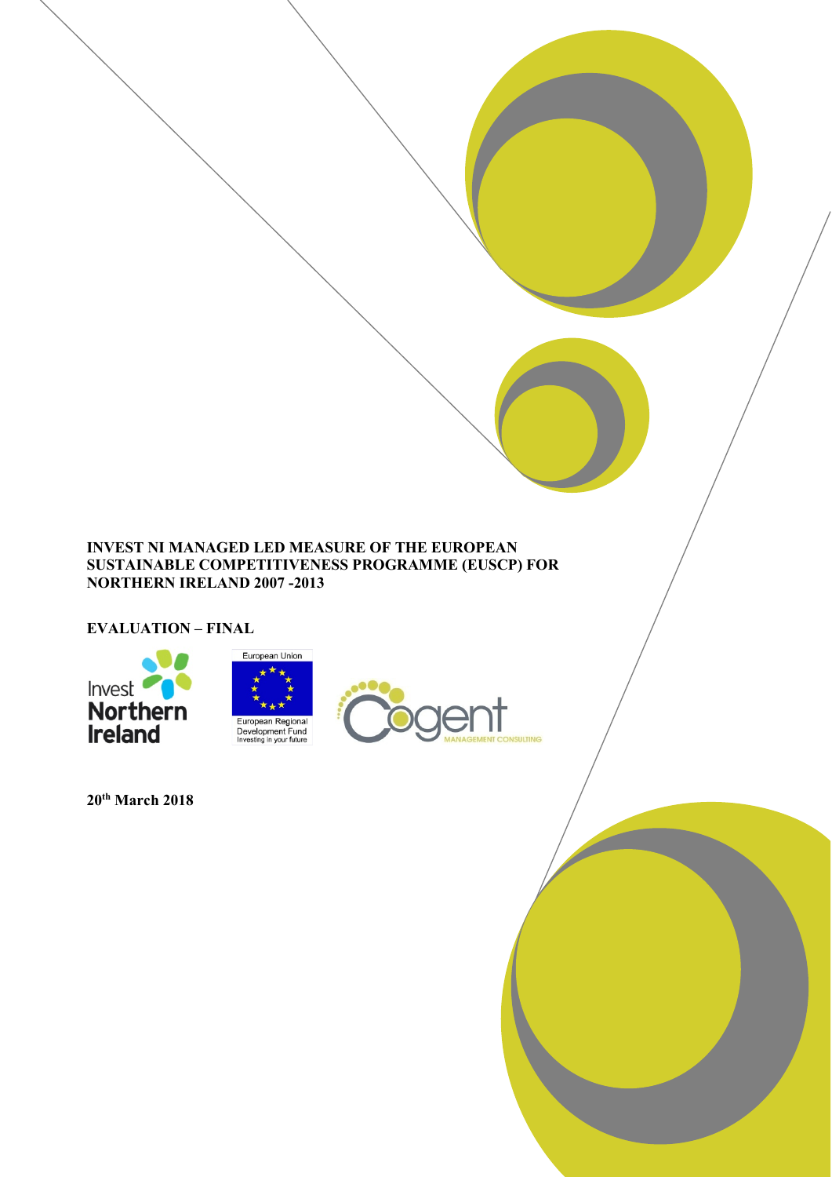## **INVEST NI MANAGED LED MEASURE OF THE EUROPEAN SUSTAINABLE COMPETITIVENESS PROGRAMME (EUSCP) FOR NORTHERN IRELAND 2007 -2013**

**EVALUATION – FINAL**



**20th March 2018**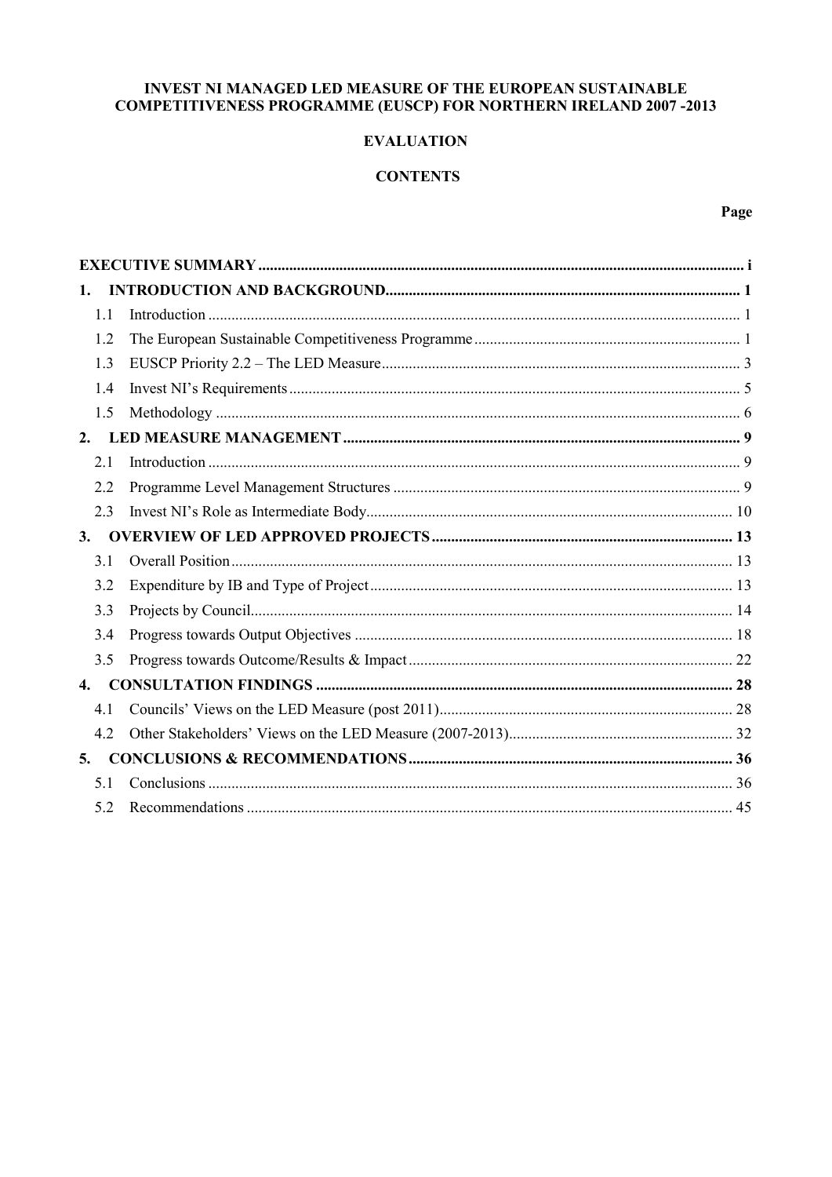## INVEST NI MANAGED LED MEASURE OF THE EUROPEAN SUSTAINABLE COMPETITIVENESS PROGRAMME (EUSCP) FOR NORTHERN IRELAND 2007-2013

## **EVALUATION**

## **CONTENTS**

Page

| 1.             |  |
|----------------|--|
| 1.1            |  |
| 1.2            |  |
| 1.3            |  |
| 1.4            |  |
| 1.5            |  |
| 2.             |  |
| 2.1            |  |
| 2.2            |  |
| 2.3            |  |
| 3.             |  |
| 3.1            |  |
| 3.2            |  |
| 3.3            |  |
| 3.4            |  |
| 3.5            |  |
| $\mathbf{4}$ . |  |
| 4.1            |  |
| 4.2            |  |
| 5.             |  |
| 5.1            |  |
| 5.2            |  |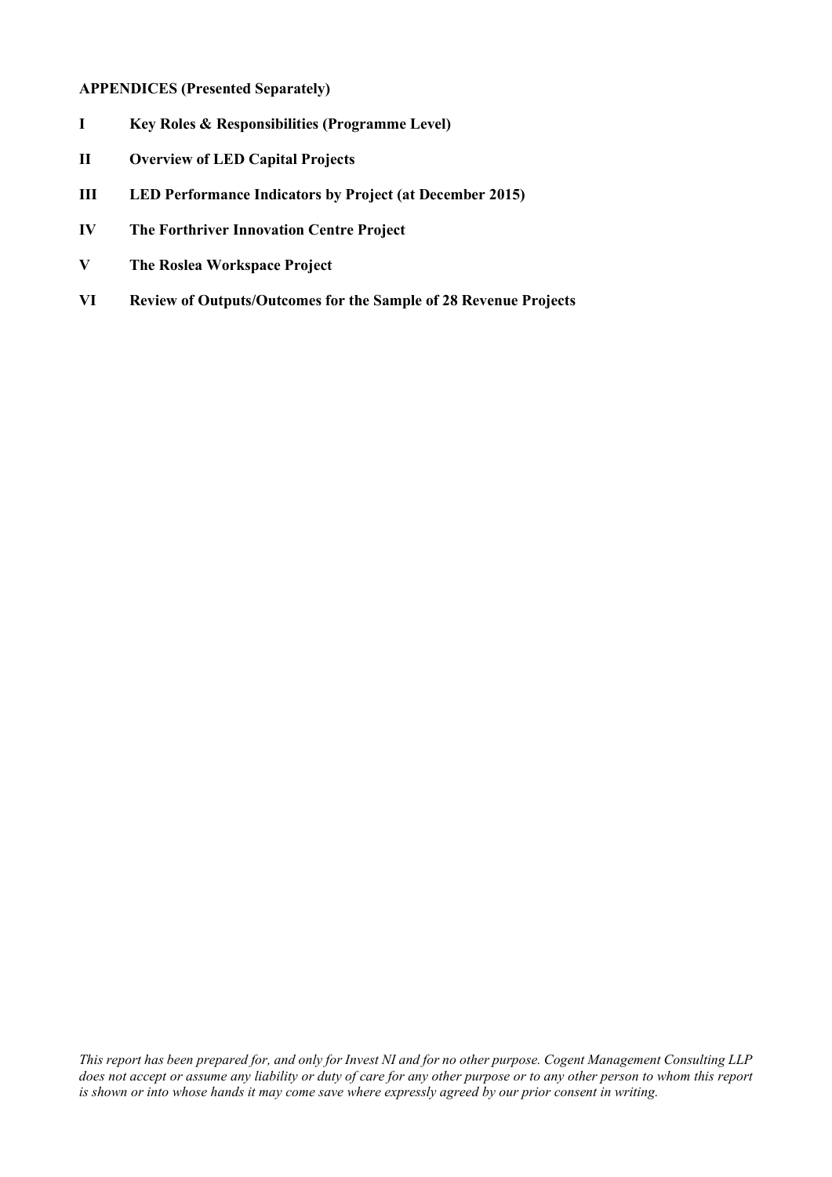## **APPENDICES (Presented Separately)**

- **I Key Roles & Responsibilities (Programme Level)**
- **II Overview of LED Capital Projects**
- **III LED Performance Indicators by Project (at December 2015)**
- **IV The Forthriver Innovation Centre Project**
- **V The Roslea Workspace Project**
- **VI Review of Outputs/Outcomes for the Sample of 28 Revenue Projects**

*This report has been prepared for, and only for Invest NI and for no other purpose. Cogent Management Consulting LLP does not accept or assume any liability or duty of care for any other purpose or to any other person to whom this report is shown or into whose hands it may come save where expressly agreed by our prior consent in writing.*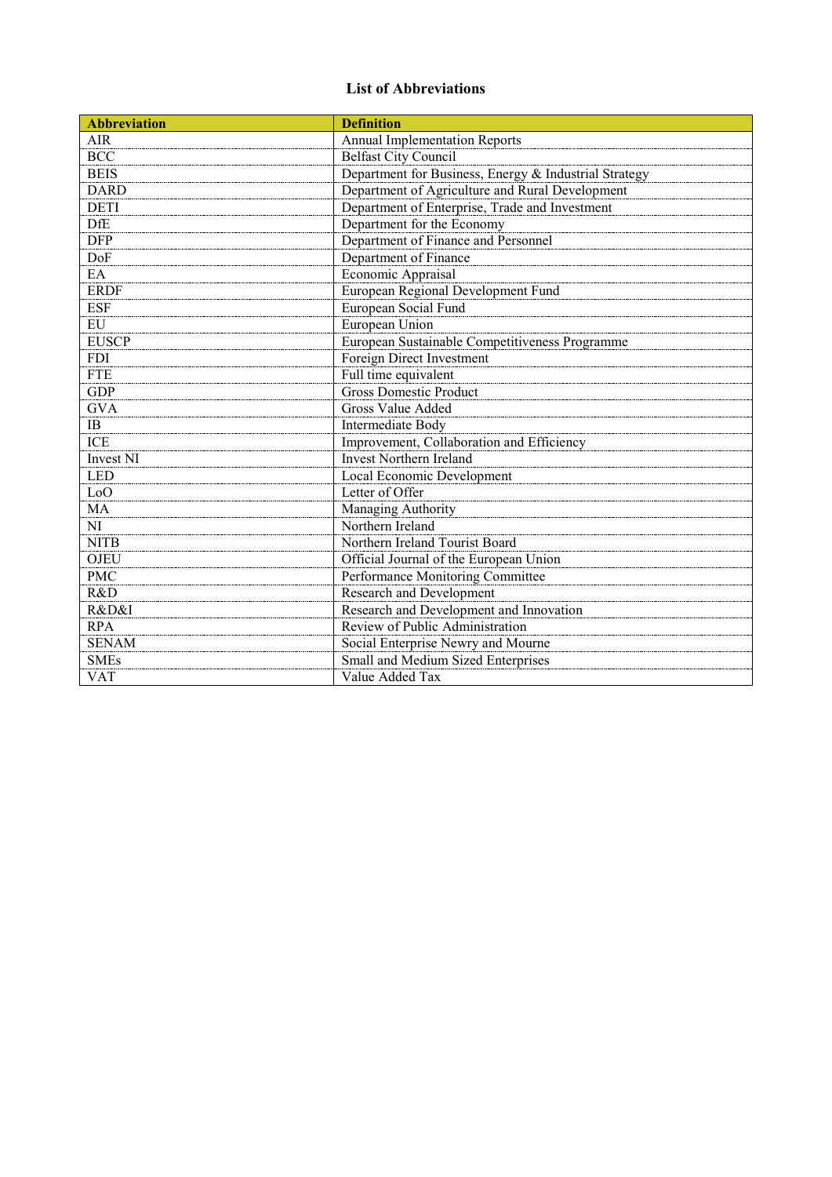# **List of Abbreviations**

| <b>Abbreviation</b>  | <b>Definition</b>                                     |
|----------------------|-------------------------------------------------------|
| <b>AIR</b>           | <b>Annual Implementation Reports</b>                  |
| $\overline{BCC}$     | <b>Belfast City Council</b>                           |
| <b>BEIS</b>          | Department for Business, Energy & Industrial Strategy |
| <b>DARD</b>          | Department of Agriculture and Rural Development       |
| <b>DETI</b>          | Department of Enterprise, Trade and Investment        |
| <b>DfE</b>           | Department for the Economy                            |
| <b>DFP</b>           | Department of Finance and Personnel                   |
| DoF                  | Department of Finance                                 |
| EA                   | Economic Appraisal                                    |
| <b>ERDF</b>          | European Regional Development Fund                    |
| <b>ESF</b>           | European Social Fund                                  |
| $E$ U                | European Union                                        |
| <b>EUSCP</b>         | European Sustainable Competitiveness Programme        |
| <b>FDI</b>           | Foreign Direct Investment                             |
| <b>FTE</b>           | Full time equivalent                                  |
| <b>GDP</b>           | <b>Gross Domestic Product</b>                         |
| <b>GVA</b>           | <b>Gross Value Added</b>                              |
| IB                   | Intermediate Body                                     |
| <b>ICE</b>           | Improvement, Collaboration and Efficiency             |
| Invest <sub>NI</sub> | <b>Invest Northern Ireland</b>                        |
| <b>LED</b>           | Local Economic Development                            |
| LoO                  | Letter of Offer                                       |
| MA                   | Managing Authority                                    |
| NI                   | Northern Ireland                                      |
| <b>NITB</b>          | Northern Ireland Tourist Board                        |
| <b>OJEU</b>          | Official Journal of the European Union                |
| <b>PMC</b>           | Performance Monitoring Committee                      |
| R&D                  | Research and Development                              |
| R&D&I                | Research and Development and Innovation               |
| <b>RPA</b>           | Review of Public Administration                       |
| <b>SENAM</b>         | Social Enterprise Newry and Mourne                    |
| <b>SMEs</b>          | Small and Medium Sized Enterprises                    |
| <b>VAT</b>           | Value Added Tax                                       |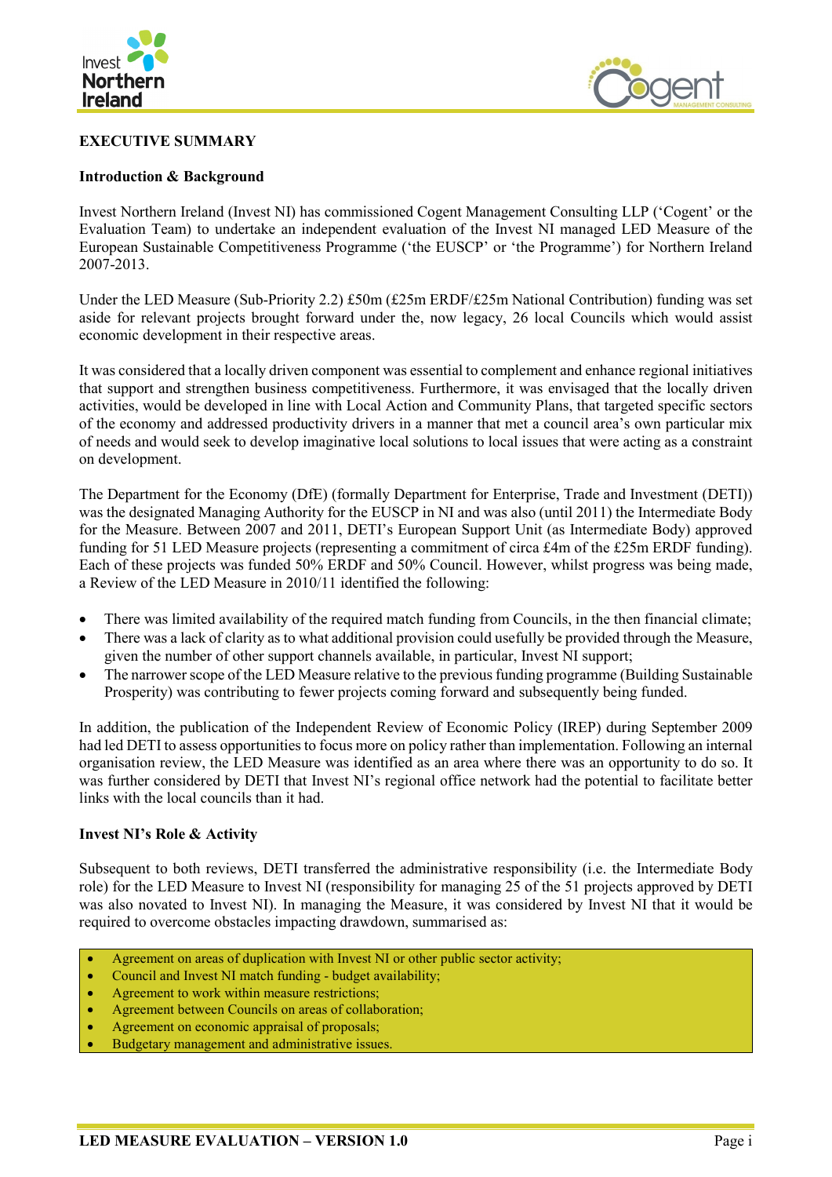

## <span id="page-4-0"></span>**EXECUTIVE SUMMARY**

## **Introduction & Background**



Invest Northern Ireland (Invest NI) has commissioned Cogent Management Consulting LLP ('Cogent' or the Evaluation Team) to undertake an independent evaluation of the Invest NI managed LED Measure of the European Sustainable Competitiveness Programme ('the EUSCP' or 'the Programme') for Northern Ireland 2007-2013.

Under the LED Measure (Sub-Priority 2.2) £50m (£25m ERDF/£25m National Contribution) funding was set aside for relevant projects brought forward under the, now legacy, 26 local Councils which would assist economic development in their respective areas.

It was considered that a locally driven component was essential to complement and enhance regional initiatives that support and strengthen business competitiveness. Furthermore, it was envisaged that the locally driven activities, would be developed in line with Local Action and Community Plans, that targeted specific sectors of the economy and addressed productivity drivers in a manner that met a council area's own particular mix of needs and would seek to develop imaginative local solutions to local issues that were acting as a constraint on development.

The Department for the Economy (DfE) (formally Department for Enterprise, Trade and Investment (DETI)) was the designated Managing Authority for the EUSCP in NI and was also (until 2011) the Intermediate Body for the Measure. Between 2007 and 2011, DETI's European Support Unit (as Intermediate Body) approved funding for 51 LED Measure projects (representing a commitment of circa £4m of the £25m ERDF funding). Each of these projects was funded 50% ERDF and 50% Council. However, whilst progress was being made, a Review of the LED Measure in 2010/11 identified the following:

- There was limited availability of the required match funding from Councils, in the then financial climate;
- There was a lack of clarity as to what additional provision could usefully be provided through the Measure, given the number of other support channels available, in particular, Invest NI support;
- The narrower scope of the LED Measure relative to the previous funding programme (Building Sustainable Prosperity) was contributing to fewer projects coming forward and subsequently being funded.

In addition, the publication of the Independent Review of Economic Policy (IREP) during September 2009 had led DETI to assess opportunities to focus more on policy rather than implementation. Following an internal organisation review, the LED Measure was identified as an area where there was an opportunity to do so. It was further considered by DETI that Invest NI's regional office network had the potential to facilitate better links with the local councils than it had.

## **Invest NI's Role & Activity**

Subsequent to both reviews, DETI transferred the administrative responsibility (i.e. the Intermediate Body role) for the LED Measure to Invest NI (responsibility for managing 25 of the 51 projects approved by DETI was also novated to Invest NI). In managing the Measure, it was considered by Invest NI that it would be required to overcome obstacles impacting drawdown, summarised as:

- Agreement on areas of duplication with Invest NI or other public sector activity;
- Council and Invest NI match funding budget availability;
- Agreement to work within measure restrictions;
- Agreement between Councils on areas of collaboration;
- Agreement on economic appraisal of proposals;
- Budgetary management and administrative issues.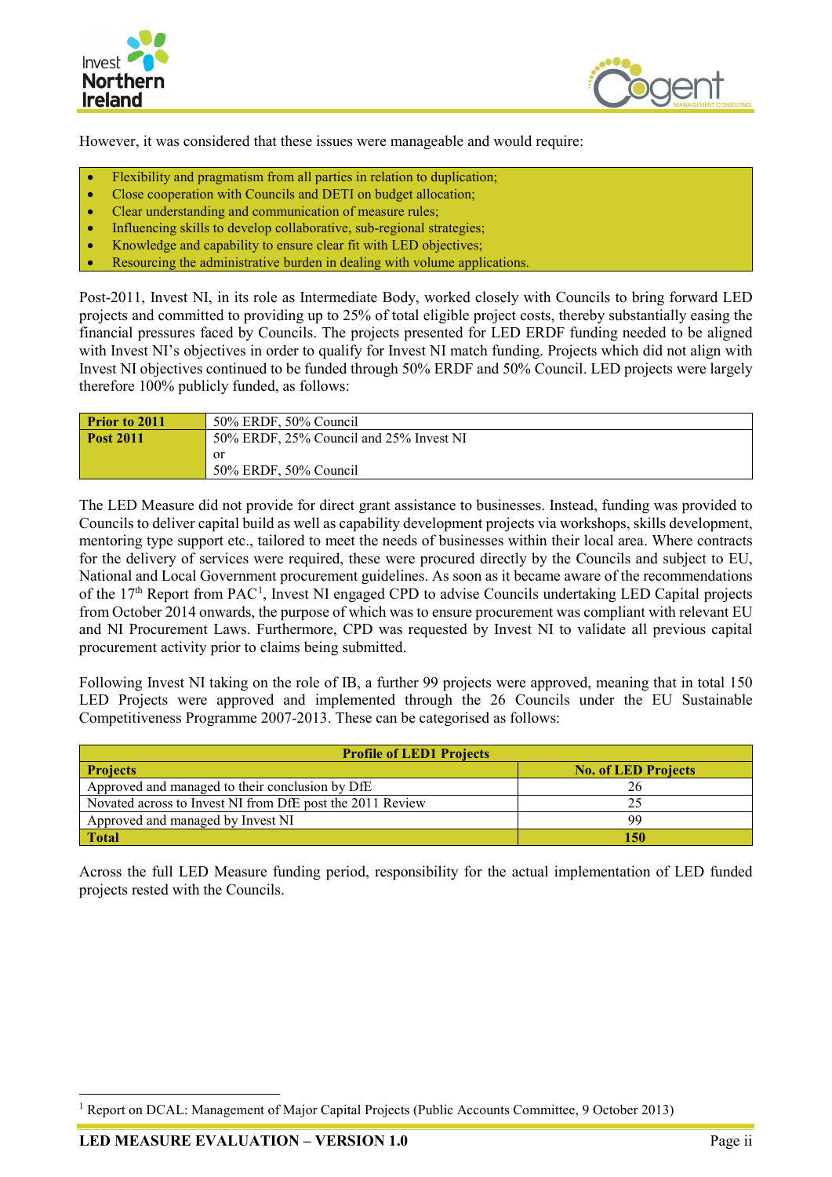



However, it was considered that these issues were manageable and would require:

- Flexibility and pragmatism from all parties in relation to duplication;
- Close cooperation with Councils and DETI on budget allocation;
- Clear understanding and communication of measure rules;
- Influencing skills to develop collaborative, sub-regional strategies;
- Knowledge and capability to ensure clear fit with LED objectives;
- Resourcing the administrative burden in dealing with volume applications.

Post-2011, Invest NI, in its role as Intermediate Body, worked closely with Councils to bring forward LED projects and committed to providing up to 25% of total eligible project costs, thereby substantially easing the financial pressures faced by Councils. The projects presented for LED ERDF funding needed to be aligned with Invest NI's objectives in order to qualify for Invest NI match funding. Projects which did not align with Invest NI objectives continued to be funded through 50% ERDF and 50% Council. LED projects were largely therefore 100% publicly funded, as follows:

| Prior to 2011    | 50% ERDF, 50% Council                   |  |
|------------------|-----------------------------------------|--|
| <b>Post 2011</b> | 50% ERDF, 25% Council and 25% Invest NI |  |
|                  | 0r                                      |  |
|                  | 50% ERDF, 50% Council                   |  |

The LED Measure did not provide for direct grant assistance to businesses. Instead, funding was provided to Councils to deliver capital build as well as capability development projects via workshops, skills development, mentoring type support etc., tailored to meet the needs of businesses within their local area. Where contracts for the delivery of services were required, these were procured directly by the Councils and subject to EU, National and Local Government procurement guidelines. As soon as it became aware of the recommendations of the [1](#page-5-0)7<sup>th</sup> Report from PAC<sup>1</sup>, Invest NI engaged CPD to advise Councils undertaking LED Capital projects from October 2014 onwards, the purpose of which was to ensure procurement was compliant with relevant EU and NI Procurement Laws. Furthermore, CPD was requested by Invest NI to validate all previous capital procurement activity prior to claims being submitted.

Following Invest NI taking on the role of IB, a further 99 projects were approved, meaning that in total 150 LED Projects were approved and implemented through the 26 Councils under the EU Sustainable Competitiveness Programme 2007-2013. These can be categorised as follows:

| <b>Profile of LED1 Projects</b>                           |                            |  |  |  |  |
|-----------------------------------------------------------|----------------------------|--|--|--|--|
| <b>Projects</b>                                           | <b>No. of LED Projects</b> |  |  |  |  |
| Approved and managed to their conclusion by DfE           |                            |  |  |  |  |
| Novated across to Invest NI from DfE post the 2011 Review |                            |  |  |  |  |
| Approved and managed by Invest NI                         | qq                         |  |  |  |  |
| <b>Total</b>                                              | 150                        |  |  |  |  |

Across the full LED Measure funding period, responsibility for the actual implementation of LED funded projects rested with the Councils.

<span id="page-5-0"></span> <sup>1</sup> Report on DCAL: Management of Major Capital Projects (Public Accounts Committee, 9 October 2013)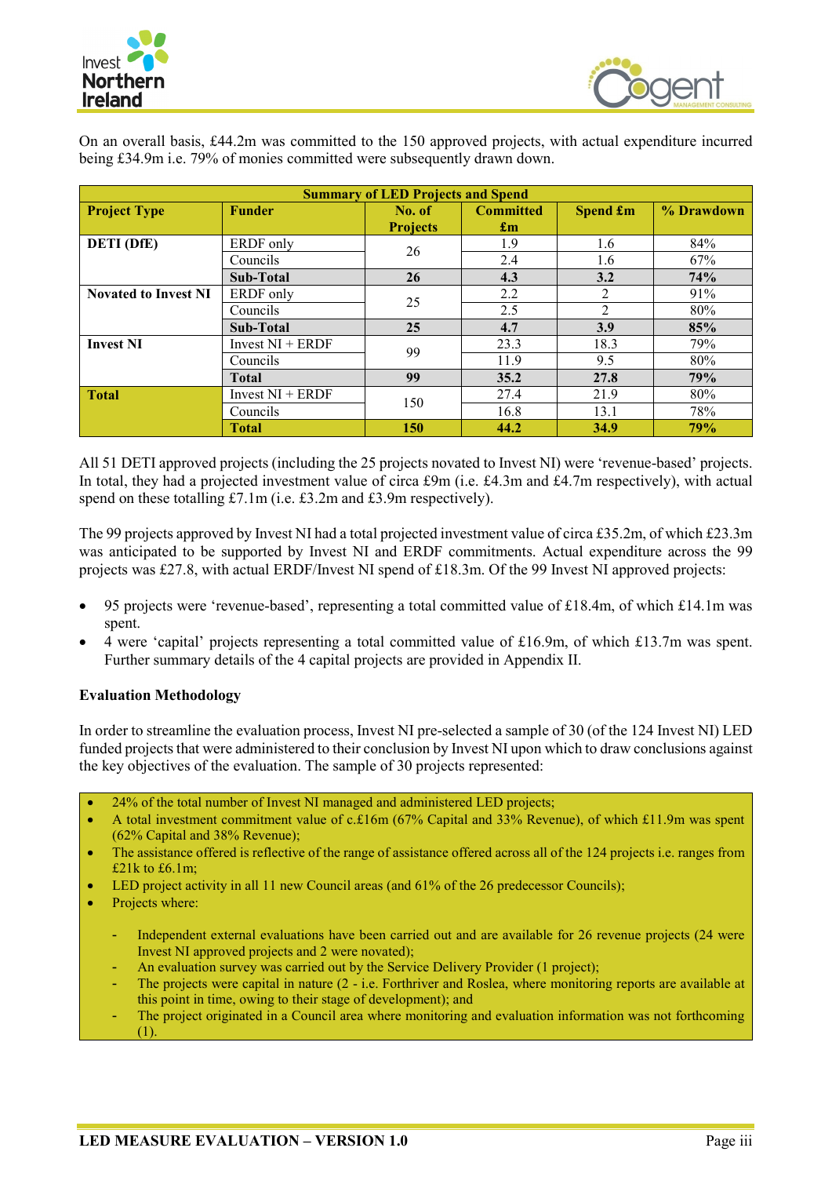



On an overall basis, £44.2m was committed to the 150 approved projects, with actual expenditure incurred being £34.9m i.e. 79% of monies committed were subsequently drawn down.

| <b>Summary of LED Projects and Spend</b> |                    |                 |                           |                             |            |
|------------------------------------------|--------------------|-----------------|---------------------------|-----------------------------|------------|
| <b>Project Type</b><br><b>Funder</b>     |                    | No. of          | <b>Committed</b>          | Spend £m                    | % Drawdown |
|                                          |                    | <b>Projects</b> | $\mathbf{f}_{\mathbf{m}}$ |                             |            |
| <b>DETI</b> (DfE)                        | ERDF only          | 26              | 1.9                       | 1.6                         | 84%        |
|                                          | Councils           |                 | 2.4                       | 1.6                         | 67%        |
|                                          | Sub-Total          | 26              | 4.3                       | 3.2                         | 74%        |
| <b>Novated to Invest NI</b>              | ERDF only          | 25              | 2.2                       | 2                           | 91%        |
|                                          | Councils           |                 | 2.5                       | $\mathcal{D}_{\mathcal{L}}$ | 80%        |
|                                          | Sub-Total          | 25              | 4.7                       | 3.9                         | 85%        |
| <b>Invest NI</b>                         | Invest $NI + ERDF$ | 99              | 23.3                      | 18.3                        | 79%        |
|                                          | Councils           |                 | 11.9                      | 9.5                         | 80%        |
|                                          | <b>Total</b>       | 99              | 35.2                      | 27.8                        | 79%        |
| <b>Total</b>                             | Invest $NI + ERDF$ | 150             | 27.4                      | 21.9                        | 80%        |
|                                          | Councils           |                 | 16.8                      | 13.1                        | 78%        |
|                                          | <b>Total</b>       | <b>150</b>      | 44.2                      | 34.9                        | 79%        |

All 51 DETI approved projects (including the 25 projects novated to Invest NI) were 'revenue-based' projects. In total, they had a projected investment value of circa £9m (i.e. £4.3m and £4.7m respectively), with actual spend on these totalling £7.1m (i.e. £3.2m and £3.9m respectively).

The 99 projects approved by Invest NI had a total projected investment value of circa £35.2m, of which £23.3m was anticipated to be supported by Invest NI and ERDF commitments. Actual expenditure across the 99 projects was £27.8, with actual ERDF/Invest NI spend of £18.3m. Of the 99 Invest NI approved projects:

- 95 projects were 'revenue-based', representing a total committed value of £18.4m, of which £14.1m was spent.
- 4 were 'capital' projects representing a total committed value of £16.9m, of which £13.7m was spent. Further summary details of the 4 capital projects are provided in Appendix II.

## **Evaluation Methodology**

In order to streamline the evaluation process, Invest NI pre-selected a sample of 30 (of the 124 Invest NI) LED funded projects that were administered to their conclusion by Invest NI upon which to draw conclusions against the key objectives of the evaluation. The sample of 30 projects represented:

- 24% of the total number of Invest NI managed and administered LED projects;
- A total investment commitment value of c.£16m (67% Capital and 33% Revenue), of which £11.9m was spent (62% Capital and 38% Revenue);
- The assistance offered is reflective of the range of assistance offered across all of the 124 projects i.e. ranges from £21 $k$  to £6.1m;
- LED project activity in all 11 new Council areas (and 61% of the 26 predecessor Councils);
- Projects where:
	- Independent external evaluations have been carried out and are available for 26 revenue projects (24 were Invest NI approved projects and 2 were novated);
	- An evaluation survey was carried out by the Service Delivery Provider (1 project);
	- The projects were capital in nature (2 i.e. Forthriver and Roslea, where monitoring reports are available at this point in time, owing to their stage of development); and
	- The project originated in a Council area where monitoring and evaluation information was not forthcoming (1).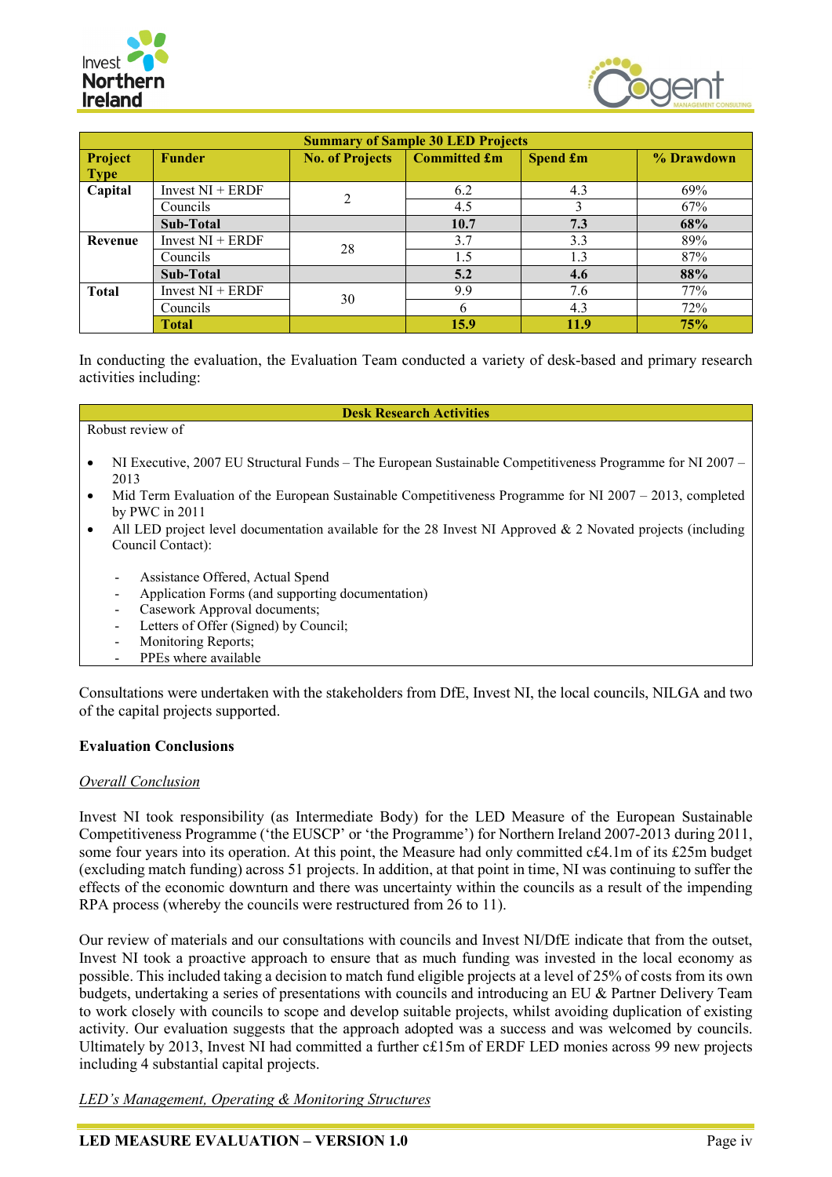



| <b>Summary of Sample 30 LED Projects</b> |                                                                            |    |      |      |            |  |
|------------------------------------------|----------------------------------------------------------------------------|----|------|------|------------|--|
| Project                                  | Committed £m<br><b>No. of Projects</b><br><b>Spend £m</b><br><b>Funder</b> |    |      |      | % Drawdown |  |
| <b>Type</b>                              |                                                                            |    |      |      |            |  |
| Capital                                  | Invest $NI + ERDF$                                                         | 2  | 6.2  | 4.3  | 69%        |  |
|                                          | Councils                                                                   |    | 4.5  |      | 67%        |  |
|                                          | Sub-Total                                                                  |    | 10.7 | 7.3  | 68%        |  |
| Revenue                                  | Invest $NI + ERDF$                                                         | 28 | 3.7  | 3.3  | 89%        |  |
|                                          | Councils                                                                   |    | 1.5  | 1.3  | 87%        |  |
|                                          | Sub-Total                                                                  |    | 5.2  | 4.6  | 88%        |  |
| <b>Total</b>                             | Invest $NI + ERDF$                                                         |    | 9.9  | 7.6  | 77%        |  |
|                                          | Councils                                                                   | 30 | 6    | 4.3  | 72%        |  |
|                                          | <b>Total</b>                                                               |    | 15.9 | 11.9 | <b>75%</b> |  |

In conducting the evaluation, the Evaluation Team conducted a variety of desk-based and primary research activities including:

#### **Desk Research Activities**

#### Robust review of

- NI Executive, 2007 EU Structural Funds The European Sustainable Competitiveness Programme for NI 2007 2013
- Mid Term Evaluation of the European Sustainable Competitiveness Programme for NI 2007 2013, completed by PWC in 2011
- All LED project level documentation available for the 28 Invest NI Approved & 2 Novated projects (including Council Contact):
	- Assistance Offered, Actual Spend
	- Application Forms (and supporting documentation)
	- Casework Approval documents;
	- Letters of Offer (Signed) by Council;
	- Monitoring Reports;
	- PPEs where available

Consultations were undertaken with the stakeholders from DfE, Invest NI, the local councils, NILGA and two of the capital projects supported.

#### **Evaluation Conclusions**

#### *Overall Conclusion*

Invest NI took responsibility (as Intermediate Body) for the LED Measure of the European Sustainable Competitiveness Programme ('the EUSCP' or 'the Programme') for Northern Ireland 2007-2013 during 2011, some four years into its operation. At this point, the Measure had only committed c£4.1m of its £25m budget (excluding match funding) across 51 projects. In addition, at that point in time, NI was continuing to suffer the effects of the economic downturn and there was uncertainty within the councils as a result of the impending RPA process (whereby the councils were restructured from 26 to 11).

Our review of materials and our consultations with councils and Invest NI/DfE indicate that from the outset, Invest NI took a proactive approach to ensure that as much funding was invested in the local economy as possible. This included taking a decision to match fund eligible projects at a level of 25% of costs from its own budgets, undertaking a series of presentations with councils and introducing an EU & Partner Delivery Team to work closely with councils to scope and develop suitable projects, whilst avoiding duplication of existing activity. Our evaluation suggests that the approach adopted was a success and was welcomed by councils. Ultimately by 2013, Invest NI had committed a further c£15m of ERDF LED monies across 99 new projects including 4 substantial capital projects.

*LED's Management, Operating & Monitoring Structures*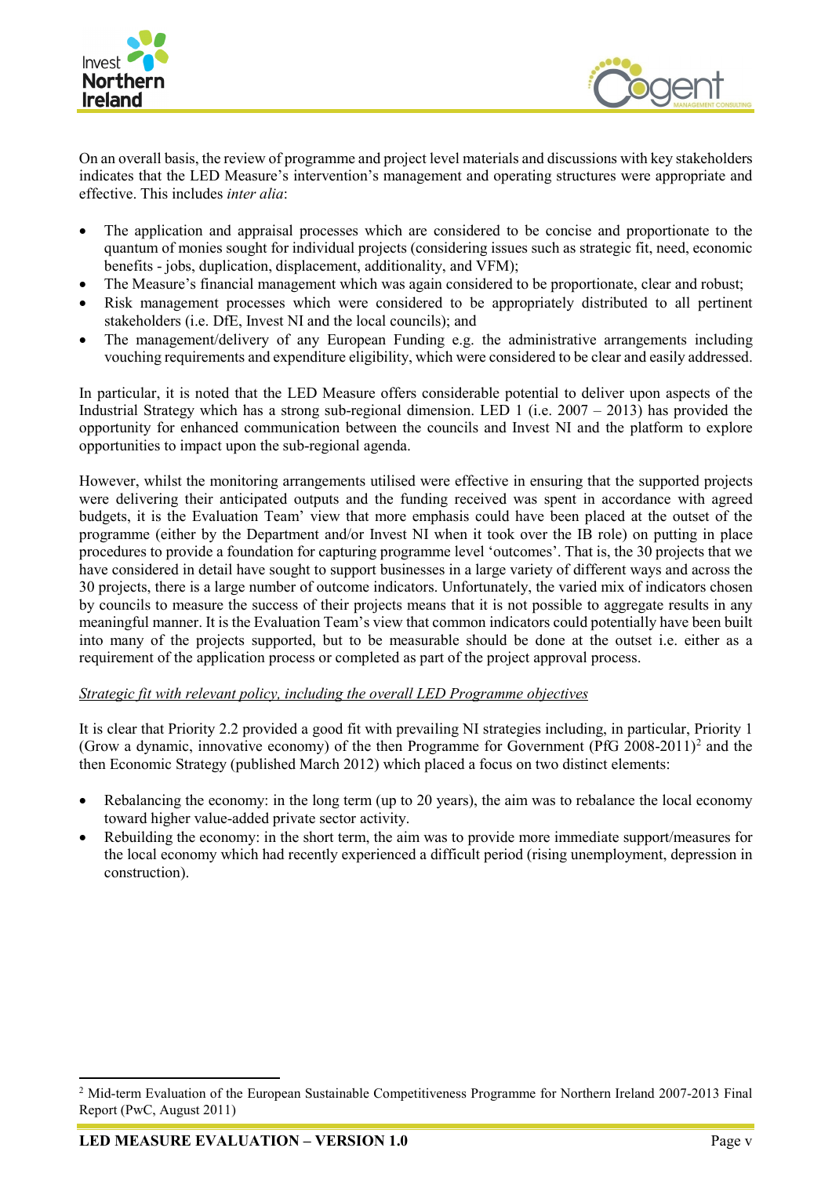



On an overall basis, the review of programme and project level materials and discussions with key stakeholders indicates that the LED Measure's intervention's management and operating structures were appropriate and effective. This includes *inter alia*:

- The application and appraisal processes which are considered to be concise and proportionate to the quantum of monies sought for individual projects (considering issues such as strategic fit, need, economic benefits - jobs, duplication, displacement, additionality, and VFM);
- The Measure's financial management which was again considered to be proportionate, clear and robust;
- Risk management processes which were considered to be appropriately distributed to all pertinent stakeholders (i.e. DfE, Invest NI and the local councils); and
- The management/delivery of any European Funding e.g. the administrative arrangements including vouching requirements and expenditure eligibility, which were considered to be clear and easily addressed.

In particular, it is noted that the LED Measure offers considerable potential to deliver upon aspects of the Industrial Strategy which has a strong sub-regional dimension. LED 1 (i.e.  $2007 - 2013$ ) has provided the opportunity for enhanced communication between the councils and Invest NI and the platform to explore opportunities to impact upon the sub-regional agenda.

However, whilst the monitoring arrangements utilised were effective in ensuring that the supported projects were delivering their anticipated outputs and the funding received was spent in accordance with agreed budgets, it is the Evaluation Team' view that more emphasis could have been placed at the outset of the programme (either by the Department and/or Invest NI when it took over the IB role) on putting in place procedures to provide a foundation for capturing programme level 'outcomes'. That is, the 30 projects that we have considered in detail have sought to support businesses in a large variety of different ways and across the 30 projects, there is a large number of outcome indicators. Unfortunately, the varied mix of indicators chosen by councils to measure the success of their projects means that it is not possible to aggregate results in any meaningful manner. It is the Evaluation Team's view that common indicators could potentially have been built into many of the projects supported, but to be measurable should be done at the outset i.e. either as a requirement of the application process or completed as part of the project approval process.

#### *Strategic fit with relevant policy, including the overall LED Programme objectives*

It is clear that Priority 2.2 provided a good fit with prevailing NI strategies including, in particular, Priority 1 (Grow a dynamic, innovative economy) of the then Programme for Government (PfG 2008-2011)<sup>2</sup> and the then Economic Strategy (published March 2012) which placed a focus on two distinct elements:

- Rebalancing the economy: in the long term (up to 20 years), the aim was to rebalance the local economy toward higher value-added private sector activity.
- Rebuilding the economy: in the short term, the aim was to provide more immediate support/measures for the local economy which had recently experienced a difficult period (rising unemployment, depression in construction).

<span id="page-8-0"></span><sup>&</sup>lt;sup>2</sup> Mid-term Evaluation of the European Sustainable Competitiveness Programme for Northern Ireland 2007-2013 Final Report (PwC, August 2011)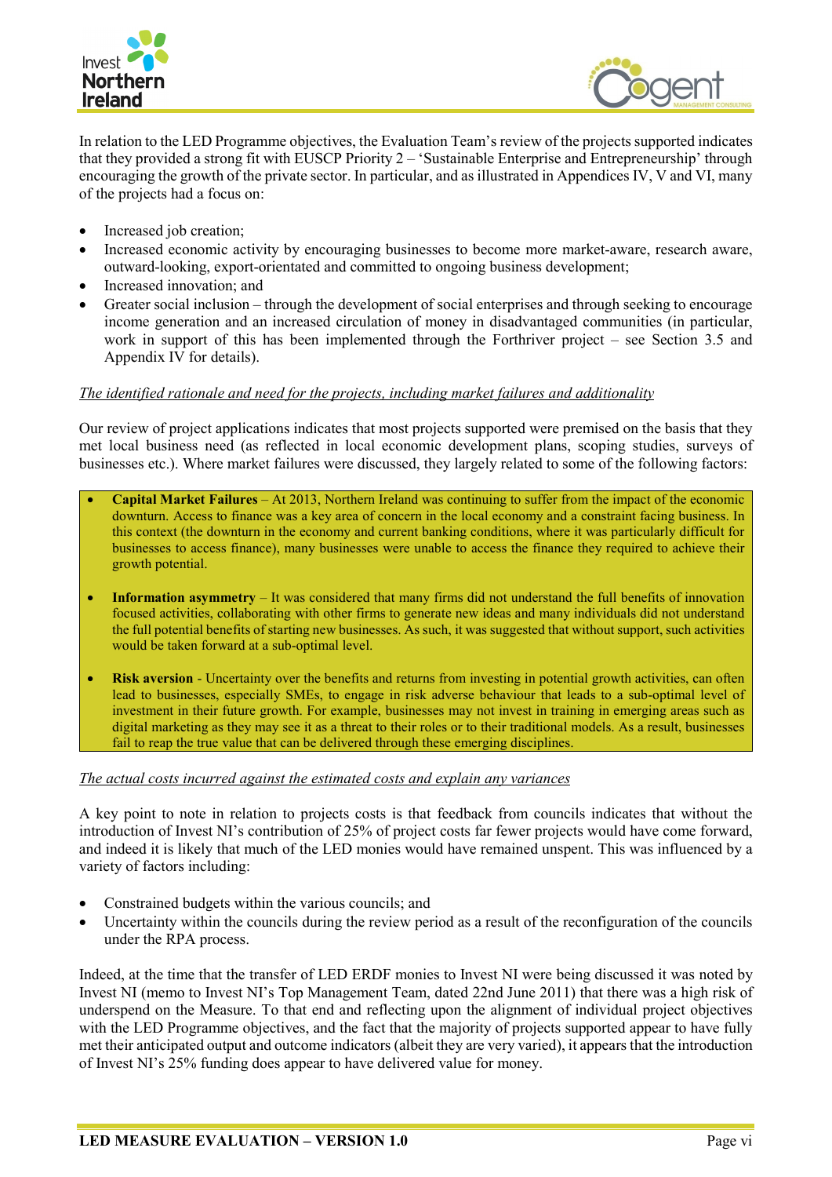



In relation to the LED Programme objectives, the Evaluation Team's review of the projects supported indicates that they provided a strong fit with EUSCP Priority 2 – 'Sustainable Enterprise and Entrepreneurship' through encouraging the growth of the private sector. In particular, and as illustrated in Appendices IV, V and VI, many of the projects had a focus on:

- Increased job creation;
- Increased economic activity by encouraging businesses to become more market-aware, research aware, outward-looking, export-orientated and committed to ongoing business development;
- Increased innovation; and
- Greater social inclusion through the development of social enterprises and through seeking to encourage income generation and an increased circulation of money in disadvantaged communities (in particular, work in support of this has been implemented through the Forthriver project – see Section 3.5 and Appendix IV for details).

#### *The identified rationale and need for the projects, including market failures and additionality*

Our review of project applications indicates that most projects supported were premised on the basis that they met local business need (as reflected in local economic development plans, scoping studies, surveys of businesses etc.). Where market failures were discussed, they largely related to some of the following factors:

- **Capital Market Failures** At 2013, Northern Ireland was continuing to suffer from the impact of the economic downturn. Access to finance was a key area of concern in the local economy and a constraint facing business. In this context (the downturn in the economy and current banking conditions, where it was particularly difficult for businesses to access finance), many businesses were unable to access the finance they required to achieve their growth potential.
- **Information asymmetry** It was considered that many firms did not understand the full benefits of innovation focused activities, collaborating with other firms to generate new ideas and many individuals did not understand the full potential benefits of starting new businesses. As such, it was suggested that without support, such activities would be taken forward at a sub-optimal level.
- **Risk aversion** Uncertainty over the benefits and returns from investing in potential growth activities, can often lead to businesses, especially SMEs, to engage in risk adverse behaviour that leads to a sub-optimal level of investment in their future growth. For example, businesses may not invest in training in emerging areas such as digital marketing as they may see it as a threat to their roles or to their traditional models. As a result, businesses fail to reap the true value that can be delivered through these emerging disciplines.

#### *The actual costs incurred against the estimated costs and explain any variances*

A key point to note in relation to projects costs is that feedback from councils indicates that without the introduction of Invest NI's contribution of 25% of project costs far fewer projects would have come forward, and indeed it is likely that much of the LED monies would have remained unspent. This was influenced by a variety of factors including:

- Constrained budgets within the various councils; and
- Uncertainty within the councils during the review period as a result of the reconfiguration of the councils under the RPA process.

Indeed, at the time that the transfer of LED ERDF monies to Invest NI were being discussed it was noted by Invest NI (memo to Invest NI's Top Management Team, dated 22nd June 2011) that there was a high risk of underspend on the Measure. To that end and reflecting upon the alignment of individual project objectives with the LED Programme objectives, and the fact that the majority of projects supported appear to have fully met their anticipated output and outcome indicators (albeit they are very varied), it appears that the introduction of Invest NI's 25% funding does appear to have delivered value for money.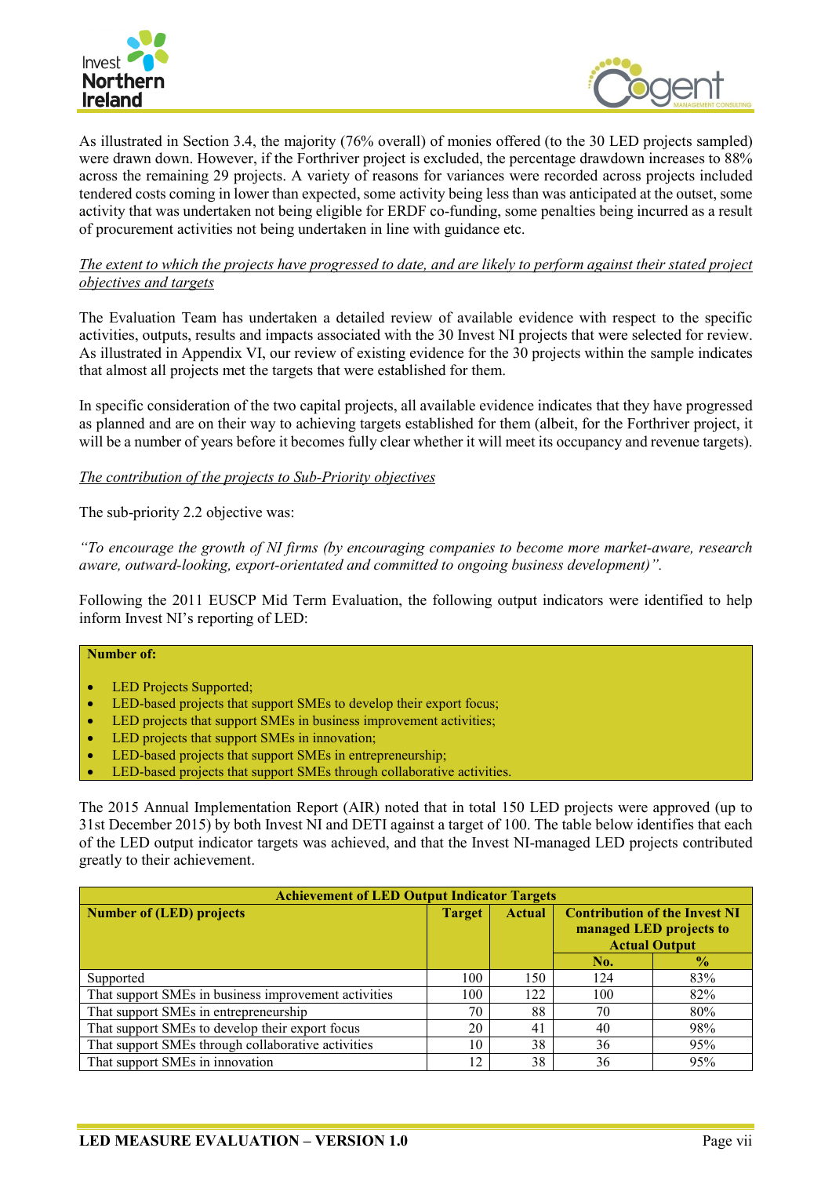



As illustrated in Section 3.4, the majority (76% overall) of monies offered (to the 30 LED projects sampled) were drawn down. However, if the Forthriver project is excluded, the percentage drawdown increases to 88% across the remaining 29 projects. A variety of reasons for variances were recorded across projects included tendered costs coming in lower than expected, some activity being less than was anticipated at the outset, some activity that was undertaken not being eligible for ERDF co-funding, some penalties being incurred as a result of procurement activities not being undertaken in line with guidance etc.

## *The extent to which the projects have progressed to date, and are likely to perform against their stated project objectives and targets*

The Evaluation Team has undertaken a detailed review of available evidence with respect to the specific activities, outputs, results and impacts associated with the 30 Invest NI projects that were selected for review. As illustrated in Appendix VI, our review of existing evidence for the 30 projects within the sample indicates that almost all projects met the targets that were established for them.

In specific consideration of the two capital projects, all available evidence indicates that they have progressed as planned and are on their way to achieving targets established for them (albeit, for the Forthriver project, it will be a number of years before it becomes fully clear whether it will meet its occupancy and revenue targets).

#### *The contribution of the projects to Sub-Priority objectives*

The sub-priority 2.2 objective was:

*"To encourage the growth of NI firms (by encouraging companies to become more market-aware, research aware, outward-looking, export-orientated and committed to ongoing business development)".*

Following the 2011 EUSCP Mid Term Evaluation, the following output indicators were identified to help inform Invest NI's reporting of LED:

# **Number of:**

- LED Projects Supported;
- LED-based projects that support SMEs to develop their export focus;
- LED projects that support SMEs in business improvement activities;
- LED projects that support SMEs in innovation;
- LED-based projects that support SMEs in entrepreneurship;
- LED-based projects that support SMEs through collaborative activities.

The 2015 Annual Implementation Report (AIR) noted that in total 150 LED projects were approved (up to 31st December 2015) by both Invest NI and DETI against a target of 100. The table below identifies that each of the LED output indicator targets was achieved, and that the Invest NI-managed LED projects contributed greatly to their achievement.

| <b>Achievement of LED Output Indicator Targets</b>   |               |               |                                                                                         |               |  |
|------------------------------------------------------|---------------|---------------|-----------------------------------------------------------------------------------------|---------------|--|
| <b>Number of (LED) projects</b>                      | <b>Target</b> | <b>Actual</b> | <b>Contribution of the Invest NI</b><br>managed LED projects to<br><b>Actual Output</b> |               |  |
|                                                      |               |               | No.                                                                                     | $\frac{1}{2}$ |  |
| Supported                                            | 100           | 150           | 124                                                                                     | 83%           |  |
| That support SMEs in business improvement activities | 100           | 122           | 100                                                                                     | 82%           |  |
| That support SMEs in entrepreneurship                | 70            | 88            | 70                                                                                      | 80%           |  |
| That support SMEs to develop their export focus      | 20            | 41            | 40                                                                                      | 98%           |  |
| That support SMEs through collaborative activities   | 10            | 38            | 36                                                                                      | 95%           |  |
| That support SMEs in innovation                      | 12            | 38            | 36                                                                                      | 95%           |  |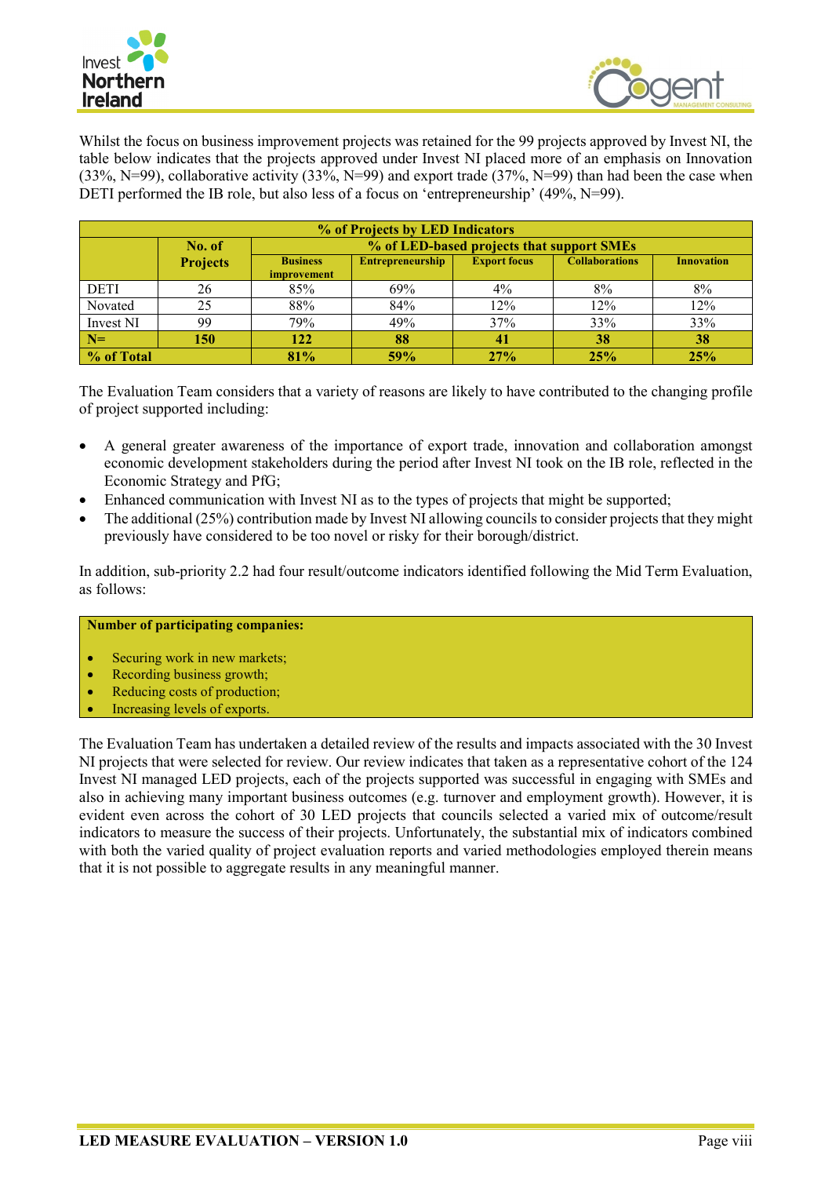



Whilst the focus on business improvement projects was retained for the 99 projects approved by Invest NI, the table below indicates that the projects approved under Invest NI placed more of an emphasis on Innovation (33%, N=99), collaborative activity (33%, N=99) and export trade (37%, N=99) than had been the case when DETI performed the IB role, but also less of a focus on 'entrepreneurship' (49%, N=99).

| % of Projects by LED Indicators |                 |                                       |                         |                                           |                       |                   |
|---------------------------------|-----------------|---------------------------------------|-------------------------|-------------------------------------------|-----------------------|-------------------|
|                                 | No. of          |                                       |                         | % of LED-based projects that support SMEs |                       |                   |
|                                 | <b>Projects</b> | <b>Business</b><br><i>improvement</i> | <b>Entrepreneurship</b> | <b>Export focus</b>                       | <b>Collaborations</b> | <b>Innovation</b> |
| <b>DETI</b>                     | 26              | 85%                                   | 69%                     | 4%                                        | 8%                    | 8%                |
| Novated                         | 25              | 88%                                   | 84%                     | 12%                                       | 12%                   | 12%               |
| Invest NI                       | 99              | 79%                                   | 49%                     | 37%                                       | 33%                   | 33%               |
| $N=$                            | 150             | 122                                   | 88                      | 41                                        | 38                    | 38                |
| % of Total                      |                 | 81%                                   | 59%                     | 27%                                       | 25%                   | 25%               |

The Evaluation Team considers that a variety of reasons are likely to have contributed to the changing profile of project supported including:

- A general greater awareness of the importance of export trade, innovation and collaboration amongst economic development stakeholders during the period after Invest NI took on the IB role, reflected in the Economic Strategy and PfG;
- Enhanced communication with Invest NI as to the types of projects that might be supported;
- The additional (25%) contribution made by Invest NI allowing councils to consider projects that they might previously have considered to be too novel or risky for their borough/district.

In addition, sub-priority 2.2 had four result/outcome indicators identified following the Mid Term Evaluation, as follows:

## **Number of participating companies:**

- Securing work in new markets;
- Recording business growth;
- Reducing costs of production;
- Increasing levels of exports.

The Evaluation Team has undertaken a detailed review of the results and impacts associated with the 30 Invest NI projects that were selected for review. Our review indicates that taken as a representative cohort of the 124 Invest NI managed LED projects, each of the projects supported was successful in engaging with SMEs and also in achieving many important business outcomes (e.g. turnover and employment growth). However, it is evident even across the cohort of 30 LED projects that councils selected a varied mix of outcome/result indicators to measure the success of their projects. Unfortunately, the substantial mix of indicators combined with both the varied quality of project evaluation reports and varied methodologies employed therein means that it is not possible to aggregate results in any meaningful manner.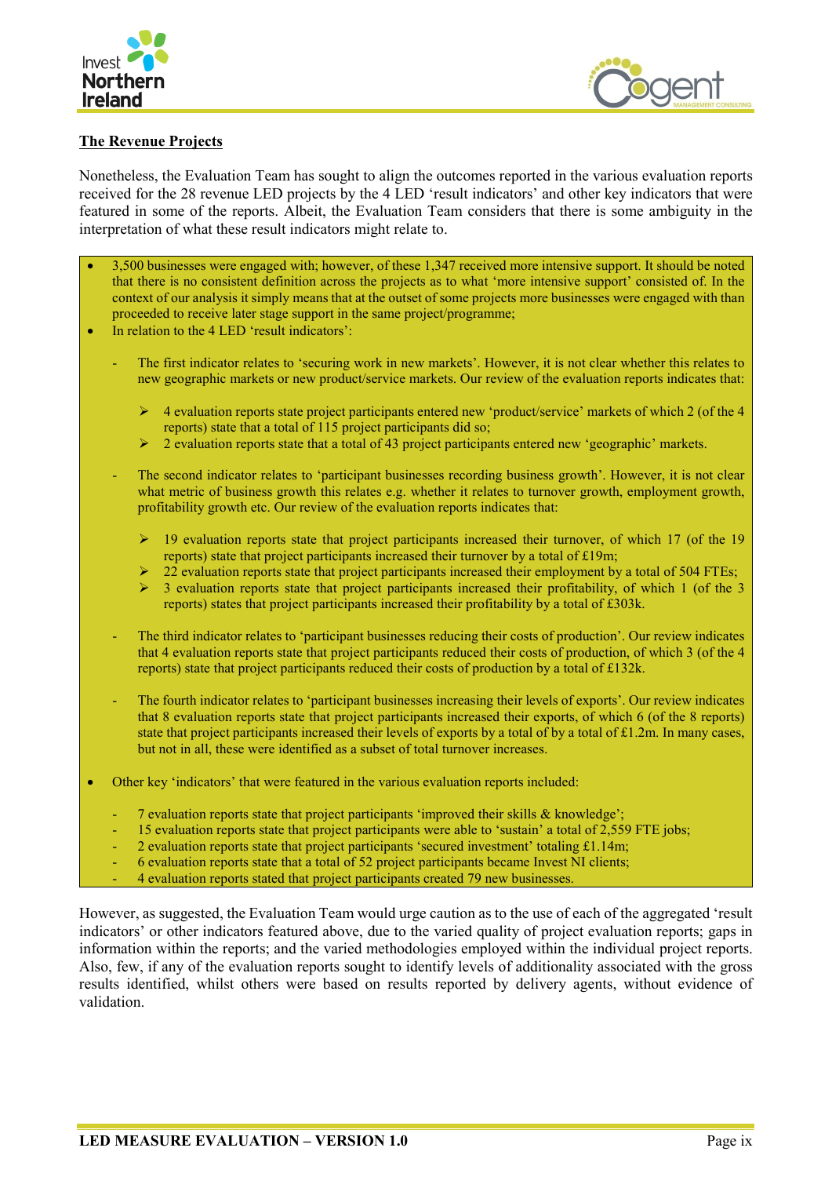



## **The Revenue Projects**

Nonetheless, the Evaluation Team has sought to align the outcomes reported in the various evaluation reports received for the 28 revenue LED projects by the 4 LED 'result indicators' and other key indicators that were featured in some of the reports. Albeit, the Evaluation Team considers that there is some ambiguity in the interpretation of what these result indicators might relate to.

- 3,500 businesses were engaged with; however, of these 1,347 received more intensive support. It should be noted that there is no consistent definition across the projects as to what 'more intensive support' consisted of. In the context of our analysis it simply means that at the outset of some projects more businesses were engaged with than proceeded to receive later stage support in the same project/programme;
- In relation to the 4 LED 'result indicators':
	- The first indicator relates to 'securing work in new markets'. However, it is not clear whether this relates to new geographic markets or new product/service markets. Our review of the evaluation reports indicates that:
		- 4 evaluation reports state project participants entered new 'product/service' markets of which 2 (of the 4 reports) state that a total of 115 project participants did so;
		- 2 evaluation reports state that a total of 43 project participants entered new 'geographic' markets.
	- The second indicator relates to 'participant businesses recording business growth'. However, it is not clear what metric of business growth this relates e.g. whether it relates to turnover growth, employment growth, profitability growth etc. Our review of the evaluation reports indicates that:
		- 19 evaluation reports state that project participants increased their turnover, of which 17 (of the 19 reports) state that project participants increased their turnover by a total of £19m;
		- 22 evaluation reports state that project participants increased their employment by a total of 504 FTEs;
		- 3 evaluation reports state that project participants increased their profitability, of which 1 (of the 3 reports) states that project participants increased their profitability by a total of £303k.
	- The third indicator relates to 'participant businesses reducing their costs of production'. Our review indicates that 4 evaluation reports state that project participants reduced their costs of production, of which 3 (of the 4 reports) state that project participants reduced their costs of production by a total of £132k.
	- The fourth indicator relates to 'participant businesses increasing their levels of exports'. Our review indicates that 8 evaluation reports state that project participants increased their exports, of which 6 (of the 8 reports) state that project participants increased their levels of exports by a total of by a total of  $\pounds$ 1.2m. In many cases, but not in all, these were identified as a subset of total turnover increases.
- Other key 'indicators' that were featured in the various evaluation reports included:
	- 7 evaluation reports state that project participants 'improved their skills & knowledge';
	- 15 evaluation reports state that project participants were able to 'sustain' a total of 2,559 FTE jobs;
	- 2 evaluation reports state that project participants 'secured investment' totaling  $£1.14m;$
	- 6 evaluation reports state that a total of 52 project participants became Invest NI clients;
	- 4 evaluation reports stated that project participants created 79 new businesses.

However, as suggested, the Evaluation Team would urge caution as to the use of each of the aggregated 'result indicators' or other indicators featured above, due to the varied quality of project evaluation reports; gaps in information within the reports; and the varied methodologies employed within the individual project reports. Also, few, if any of the evaluation reports sought to identify levels of additionality associated with the gross results identified, whilst others were based on results reported by delivery agents, without evidence of validation.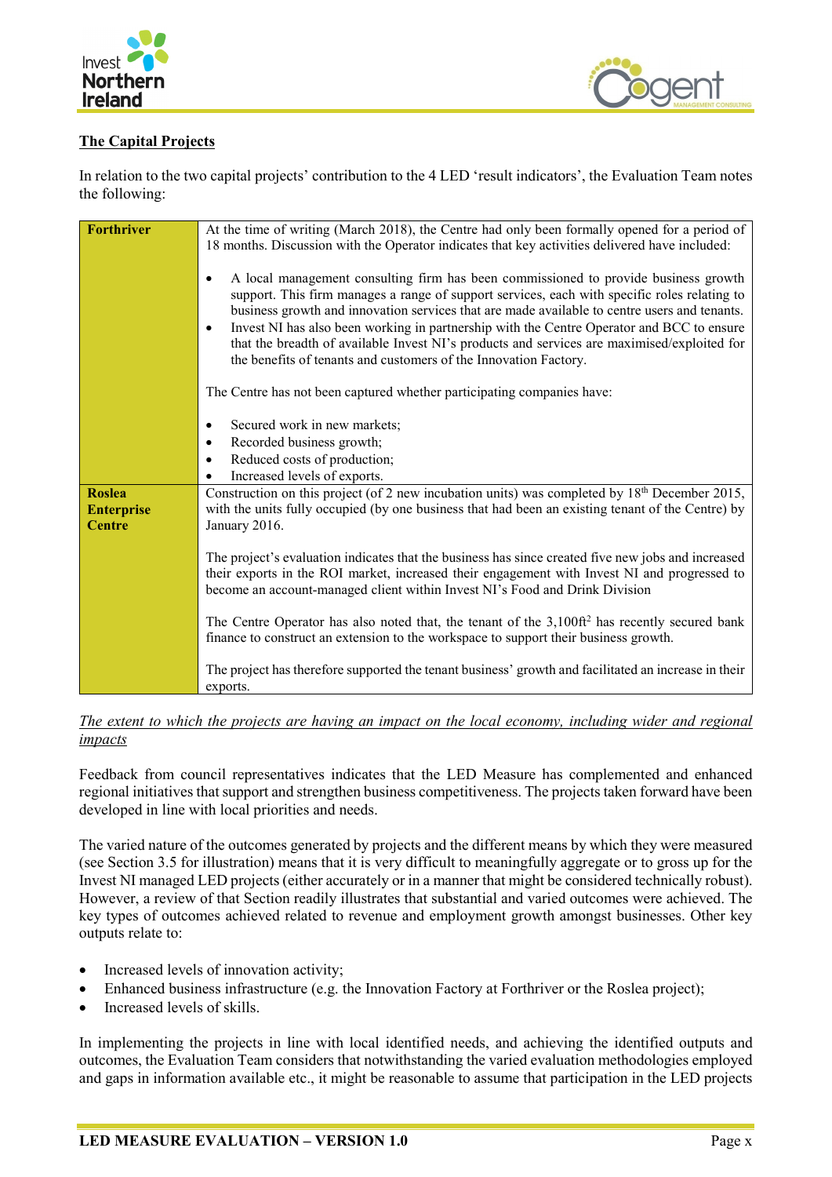



# **The Capital Projects**

In relation to the two capital projects' contribution to the 4 LED 'result indicators', the Evaluation Team notes the following:

| <b>Forthriver</b> | At the time of writing (March 2018), the Centre had only been formally opened for a period of<br>18 months. Discussion with the Operator indicates that key activities delivered have included:                                                                                                                                                                                                                                                                                                                                                                       |
|-------------------|-----------------------------------------------------------------------------------------------------------------------------------------------------------------------------------------------------------------------------------------------------------------------------------------------------------------------------------------------------------------------------------------------------------------------------------------------------------------------------------------------------------------------------------------------------------------------|
|                   | A local management consulting firm has been commissioned to provide business growth<br>$\bullet$<br>support. This firm manages a range of support services, each with specific roles relating to<br>business growth and innovation services that are made available to centre users and tenants.<br>Invest NI has also been working in partnership with the Centre Operator and BCC to ensure<br>٠<br>that the breadth of available Invest NI's products and services are maximised/exploited for<br>the benefits of tenants and customers of the Innovation Factory. |
|                   | The Centre has not been captured whether participating companies have:                                                                                                                                                                                                                                                                                                                                                                                                                                                                                                |
|                   | Secured work in new markets;<br>٠                                                                                                                                                                                                                                                                                                                                                                                                                                                                                                                                     |
|                   | Recorded business growth;<br>٠<br>Reduced costs of production;<br>$\bullet$                                                                                                                                                                                                                                                                                                                                                                                                                                                                                           |
|                   | Increased levels of exports.                                                                                                                                                                                                                                                                                                                                                                                                                                                                                                                                          |
| <b>Roslea</b>     | Construction on this project (of 2 new incubation units) was completed by $18th$ December 2015,                                                                                                                                                                                                                                                                                                                                                                                                                                                                       |
| <b>Enterprise</b> | with the units fully occupied (by one business that had been an existing tenant of the Centre) by                                                                                                                                                                                                                                                                                                                                                                                                                                                                     |
| <b>Centre</b>     | January 2016.                                                                                                                                                                                                                                                                                                                                                                                                                                                                                                                                                         |
|                   | The project's evaluation indicates that the business has since created five new jobs and increased<br>their exports in the ROI market, increased their engagement with Invest NI and progressed to<br>become an account-managed client within Invest NI's Food and Drink Division                                                                                                                                                                                                                                                                                     |
|                   | The Centre Operator has also noted that, the tenant of the 3,100ft <sup>2</sup> has recently secured bank<br>finance to construct an extension to the workspace to support their business growth.                                                                                                                                                                                                                                                                                                                                                                     |
|                   | The project has therefore supported the tenant business' growth and facilitated an increase in their<br>exports.                                                                                                                                                                                                                                                                                                                                                                                                                                                      |

## *The extent to which the projects are having an impact on the local economy, including wider and regional impacts*

Feedback from council representatives indicates that the LED Measure has complemented and enhanced regional initiatives that support and strengthen business competitiveness. The projects taken forward have been developed in line with local priorities and needs.

The varied nature of the outcomes generated by projects and the different means by which they were measured (see Section 3.5 for illustration) means that it is very difficult to meaningfully aggregate or to gross up for the Invest NI managed LED projects (either accurately or in a manner that might be considered technically robust). However, a review of that Section readily illustrates that substantial and varied outcomes were achieved. The key types of outcomes achieved related to revenue and employment growth amongst businesses. Other key outputs relate to:

- Increased levels of innovation activity;
- Enhanced business infrastructure (e.g. the Innovation Factory at Forthriver or the Roslea project);
- Increased levels of skills.

In implementing the projects in line with local identified needs, and achieving the identified outputs and outcomes, the Evaluation Team considers that notwithstanding the varied evaluation methodologies employed and gaps in information available etc., it might be reasonable to assume that participation in the LED projects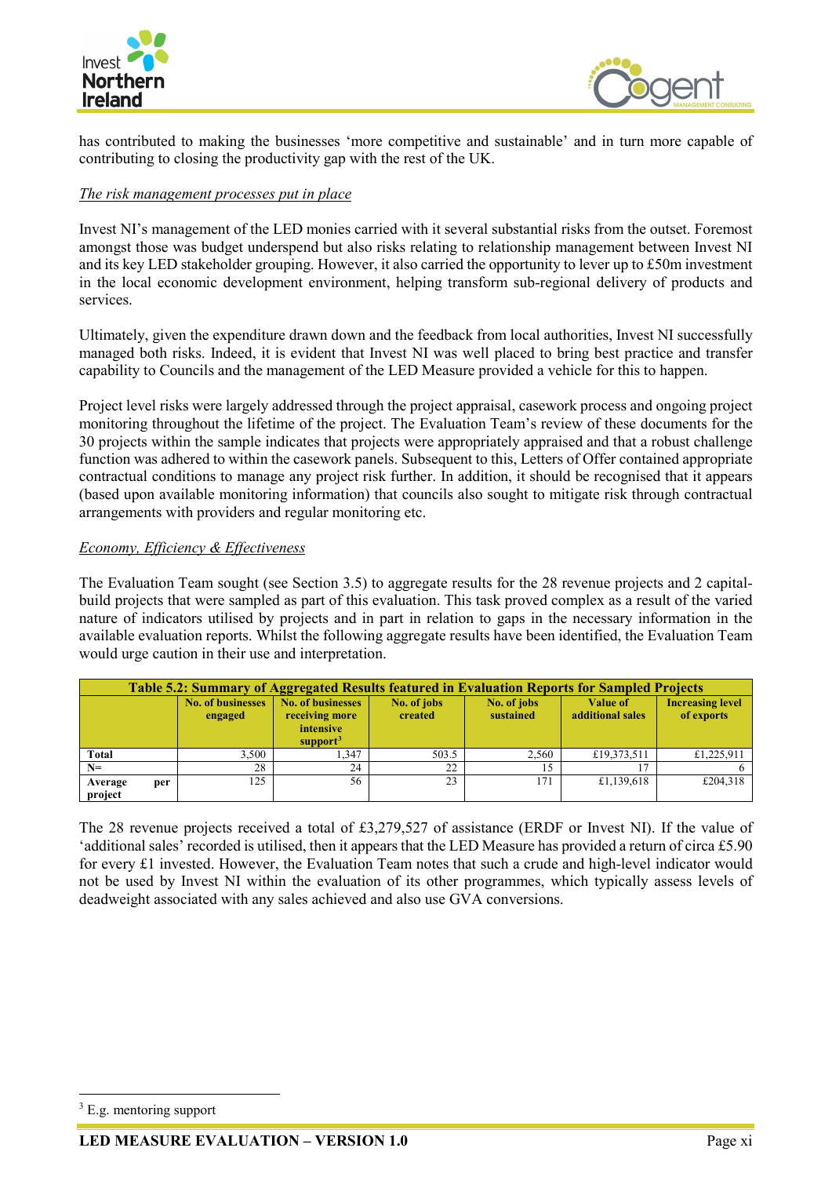



has contributed to making the businesses 'more competitive and sustainable' and in turn more capable of contributing to closing the productivity gap with the rest of the UK.

## *The risk management processes put in place*

Invest NI's management of the LED monies carried with it several substantial risks from the outset. Foremost amongst those was budget underspend but also risks relating to relationship management between Invest NI and its key LED stakeholder grouping. However, it also carried the opportunity to lever up to £50m investment in the local economic development environment, helping transform sub-regional delivery of products and services.

Ultimately, given the expenditure drawn down and the feedback from local authorities, Invest NI successfully managed both risks. Indeed, it is evident that Invest NI was well placed to bring best practice and transfer capability to Councils and the management of the LED Measure provided a vehicle for this to happen.

Project level risks were largely addressed through the project appraisal, casework process and ongoing project monitoring throughout the lifetime of the project. The Evaluation Team's review of these documents for the 30 projects within the sample indicates that projects were appropriately appraised and that a robust challenge function was adhered to within the casework panels. Subsequent to this, Letters of Offer contained appropriate contractual conditions to manage any project risk further. In addition, it should be recognised that it appears (based upon available monitoring information) that councils also sought to mitigate risk through contractual arrangements with providers and regular monitoring etc.

## *Economy, Efficiency & Effectiveness*

The Evaluation Team sought (see Section 3.5) to aggregate results for the 28 revenue projects and 2 capitalbuild projects that were sampled as part of this evaluation. This task proved complex as a result of the varied nature of indicators utilised by projects and in part in relation to gaps in the necessary information in the available evaluation reports. Whilst the following aggregate results have been identified, the Evaluation Team would urge caution in their use and interpretation.

| Table 5.2: Summary of Aggregated Results featured in Evaluation Reports for Sampled Projects |                                     |                                                                                 |                        |                          |                                     |                                       |
|----------------------------------------------------------------------------------------------|-------------------------------------|---------------------------------------------------------------------------------|------------------------|--------------------------|-------------------------------------|---------------------------------------|
|                                                                                              | <b>No. of businesses</b><br>engaged | <b>No. of businesses</b><br>receiving more<br>intensive<br>support <sup>3</sup> | No. of jobs<br>created | No. of jobs<br>sustained | <b>Value of</b><br>additional sales | <b>Increasing level</b><br>of exports |
| <b>Total</b>                                                                                 | 3.500                               | 1.347                                                                           | 503.5                  | 2,560                    | £19,373,511                         | £1,225,911                            |
| $N=$                                                                                         | 28                                  | 24                                                                              | 22                     | 15                       |                                     |                                       |
| Average<br>per<br>project                                                                    | 125                                 | 56                                                                              | 23                     | 171                      | £1,139,618                          | £204,318                              |

The 28 revenue projects received a total of £3,279,527 of assistance (ERDF or Invest NI). If the value of 'additional sales' recorded is utilised, then it appears that the LED Measure has provided a return of circa £5.90 for every £1 invested. However, the Evaluation Team notes that such a crude and high-level indicator would not be used by Invest NI within the evaluation of its other programmes, which typically assess levels of deadweight associated with any sales achieved and also use GVA conversions.

<span id="page-14-0"></span> $3$  E.g. mentoring support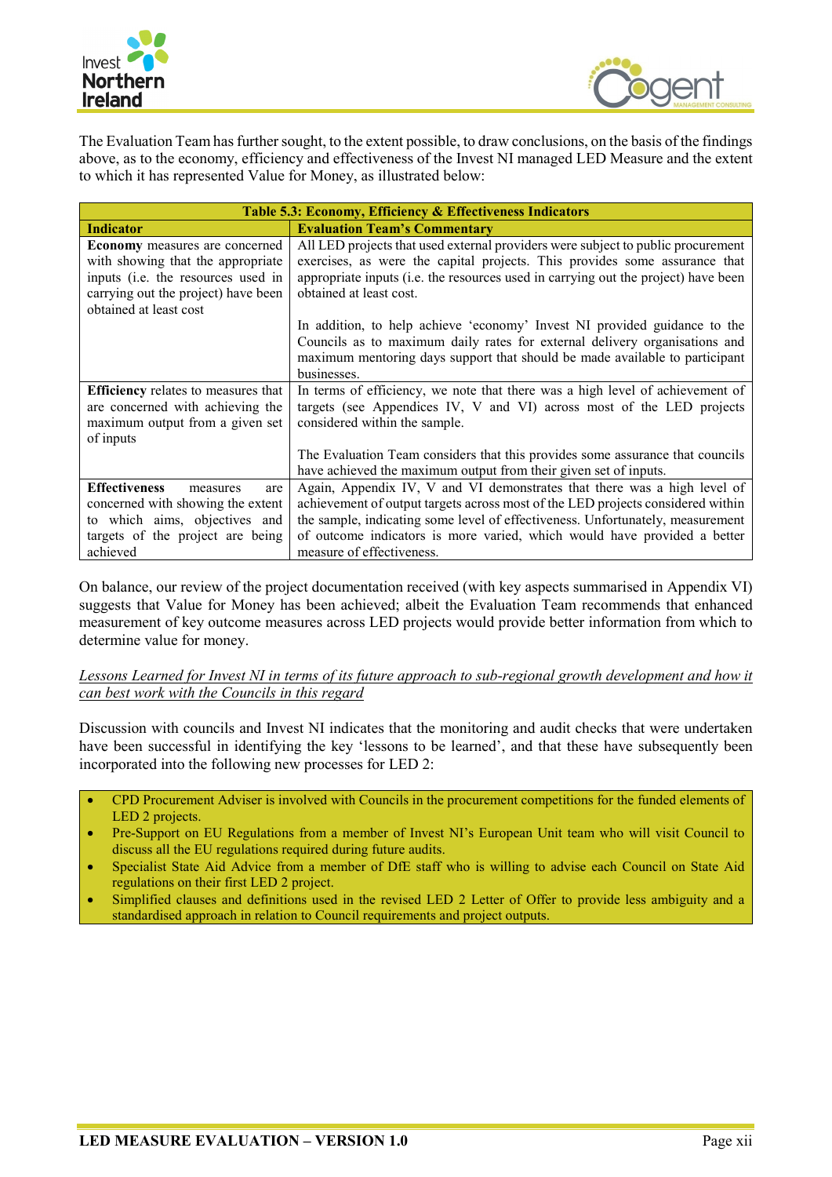



The Evaluation Team has further sought, to the extent possible, to draw conclusions, on the basis of the findings above, as to the economy, efficiency and effectiveness of the Invest NI managed LED Measure and the extent to which it has represented Value for Money, as illustrated below:

| Table 5.3: Economy, Efficiency & Effectiveness Indicators                                                                                                                         |                                                                                                                                                                                                                                                                                                                                                        |  |  |  |  |
|-----------------------------------------------------------------------------------------------------------------------------------------------------------------------------------|--------------------------------------------------------------------------------------------------------------------------------------------------------------------------------------------------------------------------------------------------------------------------------------------------------------------------------------------------------|--|--|--|--|
| <b>Indicator</b>                                                                                                                                                                  | <b>Evaluation Team's Commentary</b>                                                                                                                                                                                                                                                                                                                    |  |  |  |  |
| <b>Economy</b> measures are concerned<br>with showing that the appropriate<br>inputs (i.e. the resources used in<br>carrying out the project) have been<br>obtained at least cost | All LED projects that used external providers were subject to public procurement<br>exercises, as were the capital projects. This provides some assurance that<br>appropriate inputs (i.e. the resources used in carrying out the project) have been<br>obtained at least cost.                                                                        |  |  |  |  |
|                                                                                                                                                                                   | In addition, to help achieve 'economy' Invest NI provided guidance to the<br>Councils as to maximum daily rates for external delivery organisations and<br>maximum mentoring days support that should be made available to participant<br>businesses.                                                                                                  |  |  |  |  |
| <b>Efficiency</b> relates to measures that<br>are concerned with achieving the<br>maximum output from a given set<br>of inputs                                                    | In terms of efficiency, we note that there was a high level of achievement of<br>targets (see Appendices IV, V and VI) across most of the LED projects<br>considered within the sample.                                                                                                                                                                |  |  |  |  |
|                                                                                                                                                                                   | The Evaluation Team considers that this provides some assurance that councils<br>have achieved the maximum output from their given set of inputs.                                                                                                                                                                                                      |  |  |  |  |
| <b>Effectiveness</b><br>measures<br>are<br>concerned with showing the extent<br>to which aims, objectives and<br>targets of the project are being<br>achieved                     | Again, Appendix IV, V and VI demonstrates that there was a high level of<br>achievement of output targets across most of the LED projects considered within<br>the sample, indicating some level of effectiveness. Unfortunately, measurement<br>of outcome indicators is more varied, which would have provided a better<br>measure of effectiveness. |  |  |  |  |

On balance, our review of the project documentation received (with key aspects summarised in Appendix VI) suggests that Value for Money has been achieved; albeit the Evaluation Team recommends that enhanced measurement of key outcome measures across LED projects would provide better information from which to determine value for money.

*Lessons Learned for Invest NI in terms of its future approach to sub-regional growth development and how it can best work with the Councils in this regard*

Discussion with councils and Invest NI indicates that the monitoring and audit checks that were undertaken have been successful in identifying the key 'lessons to be learned', and that these have subsequently been incorporated into the following new processes for LED 2:

- CPD Procurement Adviser is involved with Councils in the procurement competitions for the funded elements of LED 2 projects.
- Pre-Support on EU Regulations from a member of Invest NI's European Unit team who will visit Council to discuss all the EU regulations required during future audits.
- Specialist State Aid Advice from a member of DfE staff who is willing to advise each Council on State Aid regulations on their first LED 2 project.
- Simplified clauses and definitions used in the revised LED 2 Letter of Offer to provide less ambiguity and a standardised approach in relation to Council requirements and project outputs.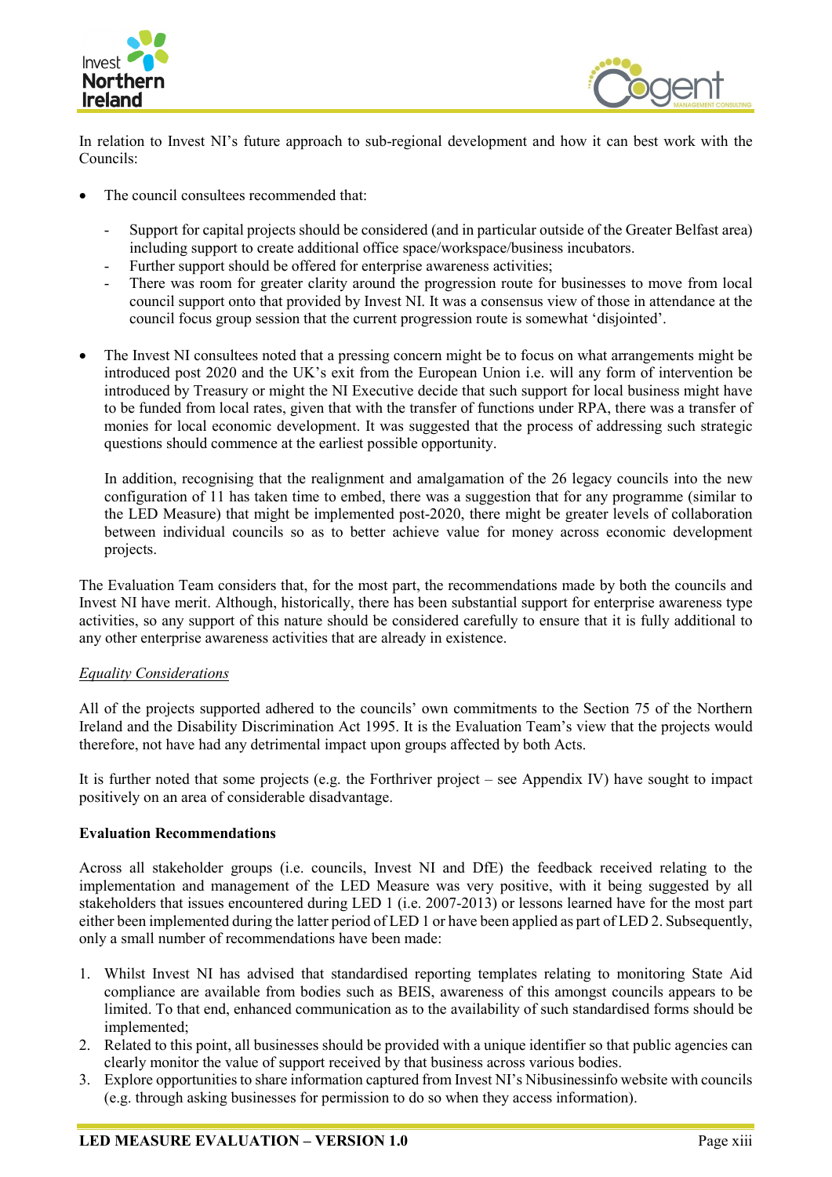



In relation to Invest NI's future approach to sub-regional development and how it can best work with the Councils:

- The council consultees recommended that:
	- Support for capital projects should be considered (and in particular outside of the Greater Belfast area) including support to create additional office space/workspace/business incubators.
	- Further support should be offered for enterprise awareness activities;
	- There was room for greater clarity around the progression route for businesses to move from local council support onto that provided by Invest NI. It was a consensus view of those in attendance at the council focus group session that the current progression route is somewhat 'disjointed'.
- The Invest NI consultees noted that a pressing concern might be to focus on what arrangements might be introduced post 2020 and the UK's exit from the European Union i.e. will any form of intervention be introduced by Treasury or might the NI Executive decide that such support for local business might have to be funded from local rates, given that with the transfer of functions under RPA, there was a transfer of monies for local economic development. It was suggested that the process of addressing such strategic questions should commence at the earliest possible opportunity.

In addition, recognising that the realignment and amalgamation of the 26 legacy councils into the new configuration of 11 has taken time to embed, there was a suggestion that for any programme (similar to the LED Measure) that might be implemented post-2020, there might be greater levels of collaboration between individual councils so as to better achieve value for money across economic development projects.

The Evaluation Team considers that, for the most part, the recommendations made by both the councils and Invest NI have merit. Although, historically, there has been substantial support for enterprise awareness type activities, so any support of this nature should be considered carefully to ensure that it is fully additional to any other enterprise awareness activities that are already in existence.

#### *Equality Considerations*

All of the projects supported adhered to the councils' own commitments to the Section 75 of the Northern Ireland and the Disability Discrimination Act 1995. It is the Evaluation Team's view that the projects would therefore, not have had any detrimental impact upon groups affected by both Acts.

It is further noted that some projects (e.g. the Forthriver project – see Appendix IV) have sought to impact positively on an area of considerable disadvantage.

#### **Evaluation Recommendations**

Across all stakeholder groups (i.e. councils, Invest NI and DfE) the feedback received relating to the implementation and management of the LED Measure was very positive, with it being suggested by all stakeholders that issues encountered during LED 1 (i.e. 2007-2013) or lessons learned have for the most part either been implemented during the latter period of LED 1 or have been applied as part of LED 2. Subsequently, only a small number of recommendations have been made:

- 1. Whilst Invest NI has advised that standardised reporting templates relating to monitoring State Aid compliance are available from bodies such as BEIS, awareness of this amongst councils appears to be limited. To that end, enhanced communication as to the availability of such standardised forms should be implemented;
- 2. Related to this point, all businesses should be provided with a unique identifier so that public agencies can clearly monitor the value of support received by that business across various bodies.
- 3. Explore opportunities to share information captured from Invest NI's Nibusinessinfo website with councils (e.g. through asking businesses for permission to do so when they access information).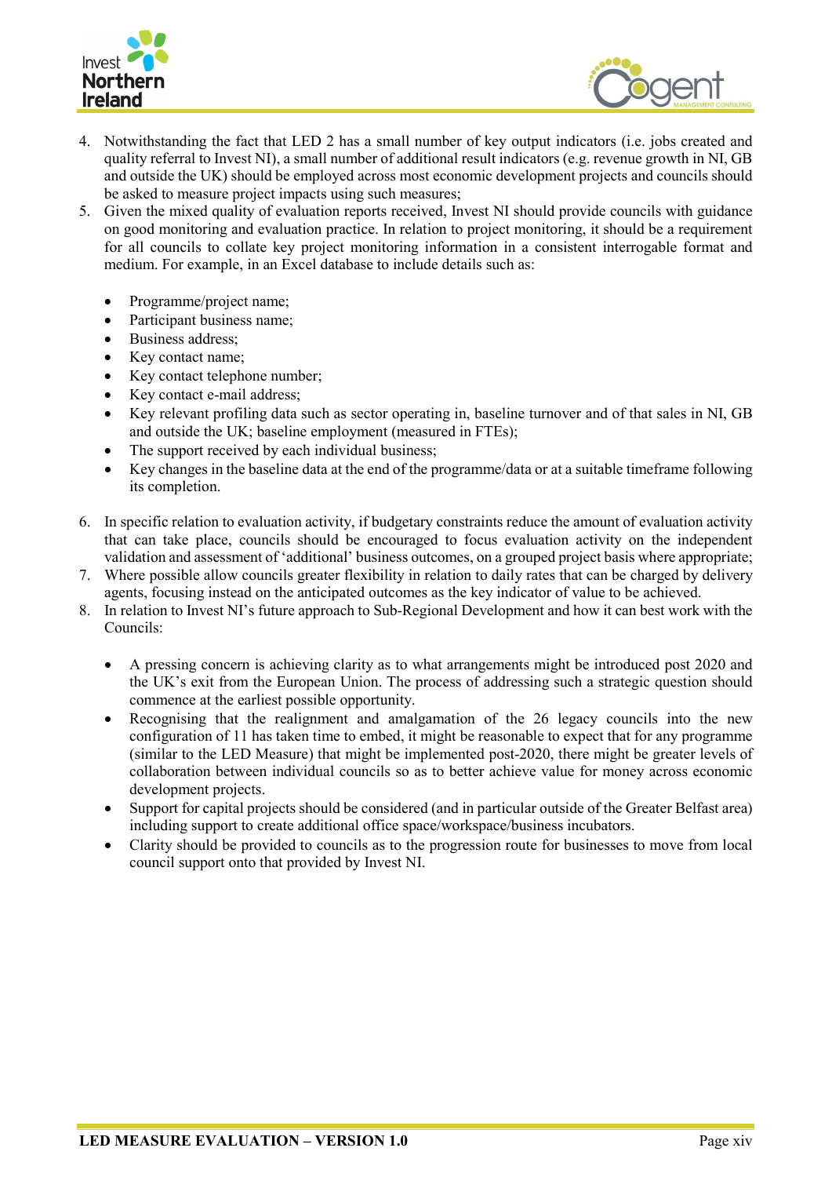



- 4. Notwithstanding the fact that LED 2 has a small number of key output indicators (i.e. jobs created and quality referral to Invest NI), a small number of additional result indicators (e.g. revenue growth in NI, GB and outside the UK) should be employed across most economic development projects and councils should be asked to measure project impacts using such measures;
- 5. Given the mixed quality of evaluation reports received, Invest NI should provide councils with guidance on good monitoring and evaluation practice. In relation to project monitoring, it should be a requirement for all councils to collate key project monitoring information in a consistent interrogable format and medium. For example, in an Excel database to include details such as:
	- Programme/project name;
	- Participant business name;
	- Business address;
	- Key contact name;
	- Key contact telephone number;
	- Key contact e-mail address;
	- Key relevant profiling data such as sector operating in, baseline turnover and of that sales in NI, GB and outside the UK; baseline employment (measured in FTEs);
	- The support received by each individual business;
	- Key changes in the baseline data at the end of the programme/data or at a suitable timeframe following its completion.
- 6. In specific relation to evaluation activity, if budgetary constraints reduce the amount of evaluation activity that can take place, councils should be encouraged to focus evaluation activity on the independent validation and assessment of 'additional' business outcomes, on a grouped project basis where appropriate;
- 7. Where possible allow councils greater flexibility in relation to daily rates that can be charged by delivery agents, focusing instead on the anticipated outcomes as the key indicator of value to be achieved.
- 8. In relation to Invest NI's future approach to Sub-Regional Development and how it can best work with the Councils:
	- A pressing concern is achieving clarity as to what arrangements might be introduced post 2020 and the UK's exit from the European Union. The process of addressing such a strategic question should commence at the earliest possible opportunity.
	- Recognising that the realignment and amalgamation of the 26 legacy councils into the new configuration of 11 has taken time to embed, it might be reasonable to expect that for any programme (similar to the LED Measure) that might be implemented post-2020, there might be greater levels of collaboration between individual councils so as to better achieve value for money across economic development projects.
	- Support for capital projects should be considered (and in particular outside of the Greater Belfast area) including support to create additional office space/workspace/business incubators.
	- Clarity should be provided to councils as to the progression route for businesses to move from local council support onto that provided by Invest NI.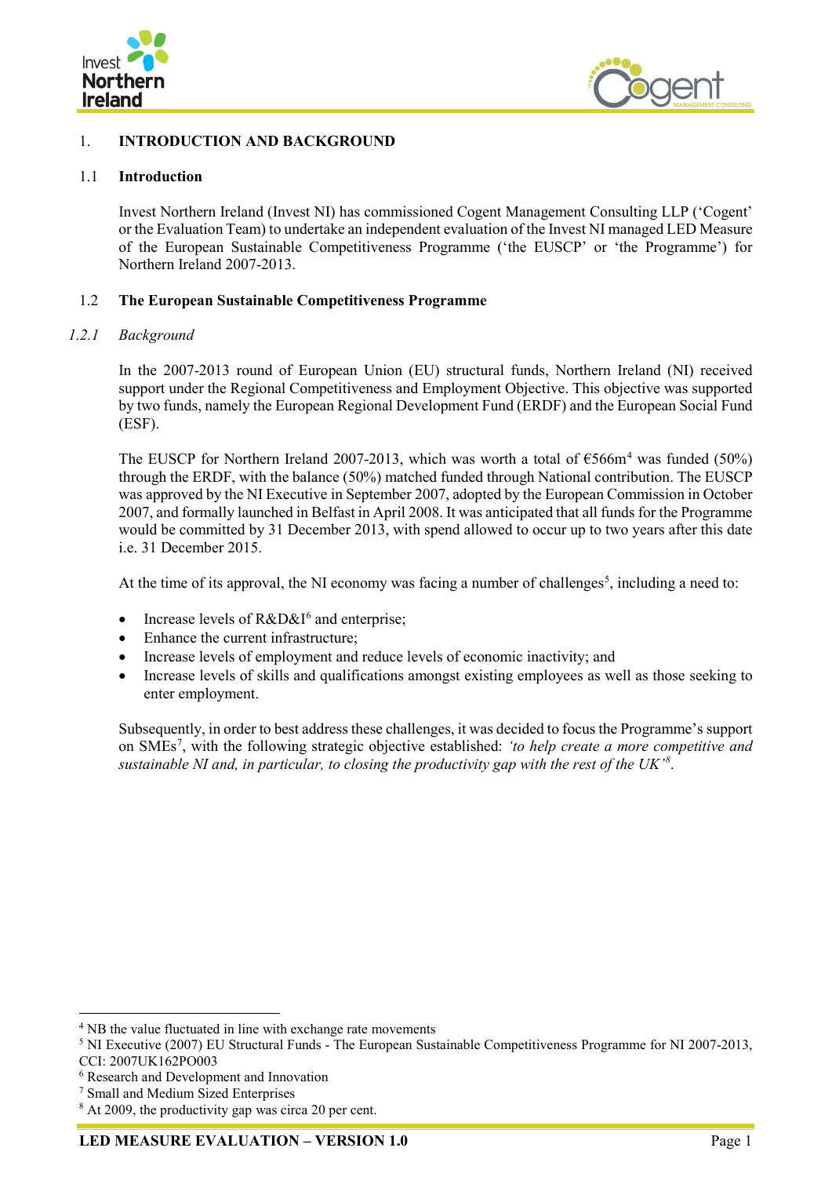



## <span id="page-18-0"></span>1. **INTRODUCTION AND BACKGROUND**

#### <span id="page-18-1"></span>1.1 **Introduction**

Invest Northern Ireland (Invest NI) has commissioned Cogent Management Consulting LLP ('Cogent' or the Evaluation Team) to undertake an independent evaluation of the Invest NI managed LED Measure of the European Sustainable Competitiveness Programme ('the EUSCP' or 'the Programme') for Northern Ireland 2007-2013.

#### <span id="page-18-2"></span>1.2 **The European Sustainable Competitiveness Programme**

#### *1.2.1 Background*

In the 2007-2013 round of European Union (EU) structural funds, Northern Ireland (NI) received support under the Regional Competitiveness and Employment Objective. This objective was supported by two funds, namely the European Regional Development Fund (ERDF) and the European Social Fund (ESF).

The EUSCP for Northern Ireland 2007-2013, which was worth a total of  $\epsilon$ 566m<sup>[4](#page-18-3)</sup> was funded (50%) through the ERDF, with the balance (50%) matched funded through National contribution. The EUSCP was approved by the NI Executive in September 2007, adopted by the European Commission in October 2007, and formally launched in Belfast in April 2008. It was anticipated that all funds for the Programme would be committed by 31 December 2013, with spend allowed to occur up to two years after this date i.e. 31 December 2015.

At the time of its approval, the NI economy was facing a number of challenges<sup>[5](#page-18-4)</sup>, including a need to:

- Increase levels of  $R&D&I<sup>6</sup>$  $R&D&I<sup>6</sup>$  $R&D&I<sup>6</sup>$  and enterprise;
- Enhance the current infrastructure;
- Increase levels of employment and reduce levels of economic inactivity; and
- Increase levels of skills and qualifications amongst existing employees as well as those seeking to enter employment.

Subsequently, in order to best address these challenges, it was decided to focus the Programme's support on SMEs[7](#page-18-6) , with the following strategic objective established: *'to help create a more competitive and sustainable NI and, in particular, to closing the productivity gap with the rest of the UK'[8](#page-18-7)* .

<span id="page-18-3"></span><sup>&</sup>lt;sup>4</sup> NB the value fluctuated in line with exchange rate movements

<span id="page-18-4"></span><sup>5</sup> NI Executive (2007) EU Structural Funds - The European Sustainable Competitiveness Programme for NI 2007-2013, CCI: 2007UK162PO003

<span id="page-18-5"></span><sup>6</sup> Research and Development and Innovation

<span id="page-18-6"></span><sup>7</sup> Small and Medium Sized Enterprises

<span id="page-18-7"></span><sup>&</sup>lt;sup>8</sup> At 2009, the productivity gap was circa 20 per cent.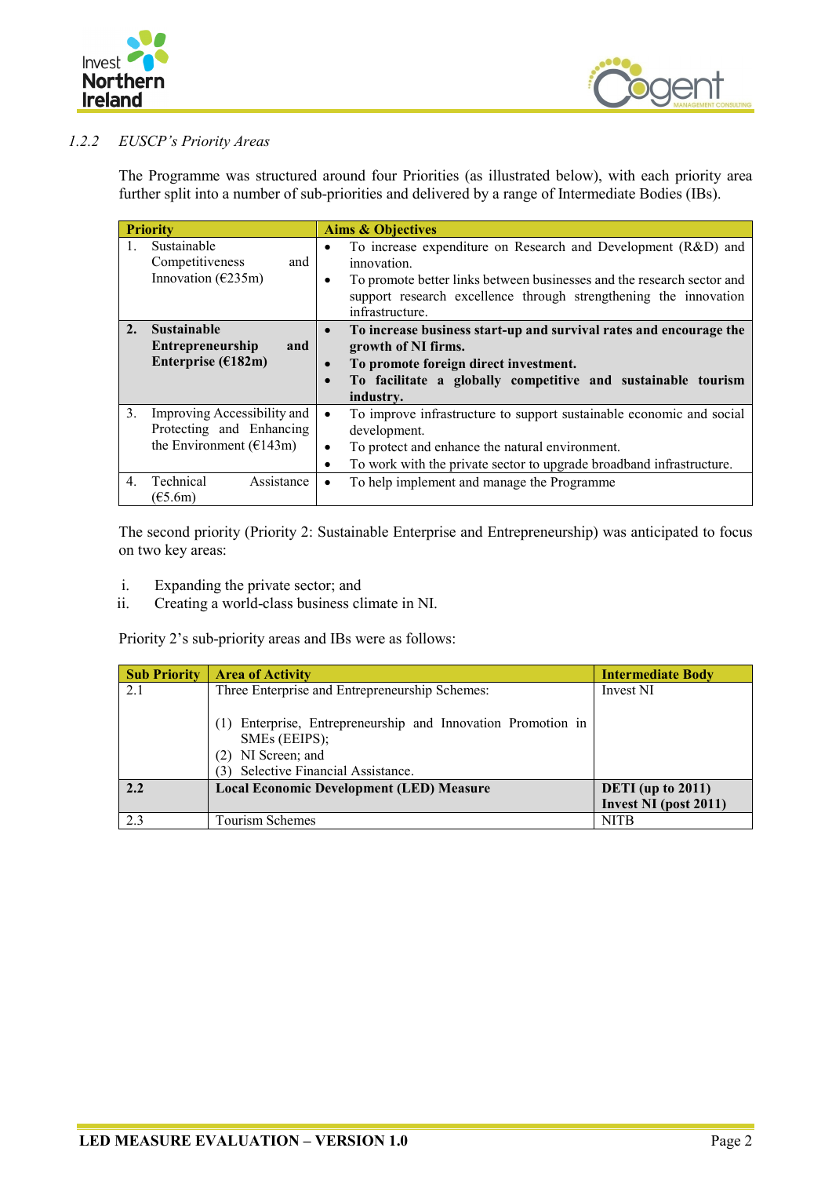



## *1.2.2 EUSCP's Priority Areas*

The Programme was structured around four Priorities (as illustrated below), with each priority area further split into a number of sub-priorities and delivered by a range of Intermediate Bodies (IBs).

| <b>Priority</b> |                                                                                        | <b>Aims &amp; Objectives</b>                                                                                                                                                                                                                  |
|-----------------|----------------------------------------------------------------------------------------|-----------------------------------------------------------------------------------------------------------------------------------------------------------------------------------------------------------------------------------------------|
|                 | Sustainable<br>Competitiveness<br>and<br>Innovation ( $E235m$ )                        | To increase expenditure on Research and Development (R&D) and<br>innovation.<br>To promote better links between businesses and the research sector and<br>support research excellence through strengthening the innovation<br>infrastructure. |
| 2.              | <b>Sustainable</b><br><b>Entrepreneurship</b><br>and<br>Enterprise ( $E182m$ )         | To increase business start-up and survival rates and encourage the<br>growth of NI firms.<br>To promote foreign direct investment.<br>To facilitate a globally competitive and sustainable tourism<br>industry.                               |
| 3.              | Improving Accessibility and<br>Protecting and Enhancing<br>the Environment ( $E143m$ ) | To improve infrastructure to support sustainable economic and social<br>development.<br>To protect and enhance the natural environment.<br>٠<br>To work with the private sector to upgrade broadband infrastructure.                          |
| 4.              | Technical<br>Assistance<br>(E5.6m)                                                     | To help implement and manage the Programme                                                                                                                                                                                                    |

The second priority (Priority 2: Sustainable Enterprise and Entrepreneurship) was anticipated to focus on two key areas:

- i. Expanding the private sector; and
- ii. Creating a world-class business climate in NI.

Priority 2's sub-priority areas and IBs were as follows:

| <b>Sub Priority</b> | <b>Area of Activity</b>                                                                                                        | <b>Intermediate Body</b> |
|---------------------|--------------------------------------------------------------------------------------------------------------------------------|--------------------------|
| 2.1                 | Three Enterprise and Entrepreneurship Schemes:                                                                                 | Invest NI                |
|                     | Enterprise, Entrepreneurship and Innovation Promotion in<br>SMEs (EEIPS);<br>NI Screen; and<br>Selective Financial Assistance. |                          |
| 2.2                 | <b>Local Economic Development (LED) Measure</b>                                                                                | DETI (up to $2011$ )     |
|                     |                                                                                                                                | Invest NI (post 2011)    |
| 2.3                 | Tourism Schemes                                                                                                                | <b>NITB</b>              |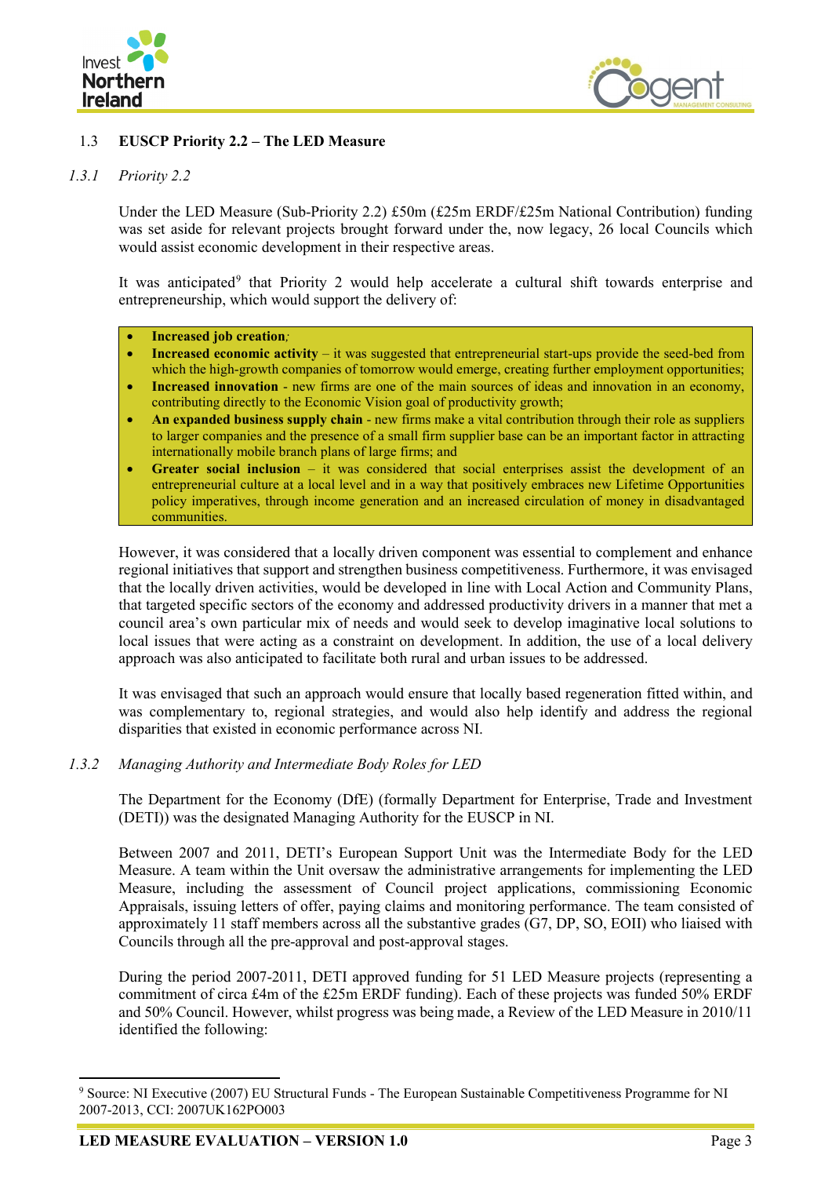



## <span id="page-20-0"></span>1.3 **EUSCP Priority 2.2 – The LED Measure**

## *1.3.1 Priority 2.2*

Under the LED Measure (Sub-Priority 2.2) £50m (£25m ERDF/£25m National Contribution) funding was set aside for relevant projects brought forward under the, now legacy, 26 local Councils which would assist economic development in their respective areas.

It was anticipated<sup>[9](#page-20-1)</sup> that Priority 2 would help accelerate a cultural shift towards enterprise and entrepreneurship, which would support the delivery of:

#### • **Increased job creation***;*

- **Increased economic activity** it was suggested that entrepreneurial start-ups provide the seed-bed from which the high-growth companies of tomorrow would emerge, creating further employment opportunities;
- **Increased innovation** new firms are one of the main sources of ideas and innovation in an economy, contributing directly to the Economic Vision goal of productivity growth;
- **An expanded business supply chain** new firms make a vital contribution through their role as suppliers to larger companies and the presence of a small firm supplier base can be an important factor in attracting internationally mobile branch plans of large firms; and
- **Greater social inclusion** it was considered that social enterprises assist the development of an entrepreneurial culture at a local level and in a way that positively embraces new Lifetime Opportunities policy imperatives, through income generation and an increased circulation of money in disadvantaged communities.

However, it was considered that a locally driven component was essential to complement and enhance regional initiatives that support and strengthen business competitiveness. Furthermore, it was envisaged that the locally driven activities, would be developed in line with Local Action and Community Plans, that targeted specific sectors of the economy and addressed productivity drivers in a manner that met a council area's own particular mix of needs and would seek to develop imaginative local solutions to local issues that were acting as a constraint on development. In addition, the use of a local delivery approach was also anticipated to facilitate both rural and urban issues to be addressed.

It was envisaged that such an approach would ensure that locally based regeneration fitted within, and was complementary to, regional strategies, and would also help identify and address the regional disparities that existed in economic performance across NI.

## *1.3.2 Managing Authority and Intermediate Body Roles for LED*

The Department for the Economy (DfE) (formally Department for Enterprise, Trade and Investment (DETI)) was the designated Managing Authority for the EUSCP in NI.

Between 2007 and 2011, DETI's European Support Unit was the Intermediate Body for the LED Measure. A team within the Unit oversaw the administrative arrangements for implementing the LED Measure, including the assessment of Council project applications, commissioning Economic Appraisals, issuing letters of offer, paying claims and monitoring performance. The team consisted of approximately 11 staff members across all the substantive grades (G7, DP, SO, EOII) who liaised with Councils through all the pre-approval and post-approval stages.

During the period 2007-2011, DETI approved funding for 51 LED Measure projects (representing a commitment of circa £4m of the £25m ERDF funding). Each of these projects was funded 50% ERDF and 50% Council. However, whilst progress was being made, a Review of the LED Measure in 2010/11 identified the following:

<span id="page-20-1"></span><sup>&</sup>lt;sup>9</sup> Source: NI Executive (2007) EU Structural Funds - The European Sustainable Competitiveness Programme for NI 2007-2013, CCI: 2007UK162PO003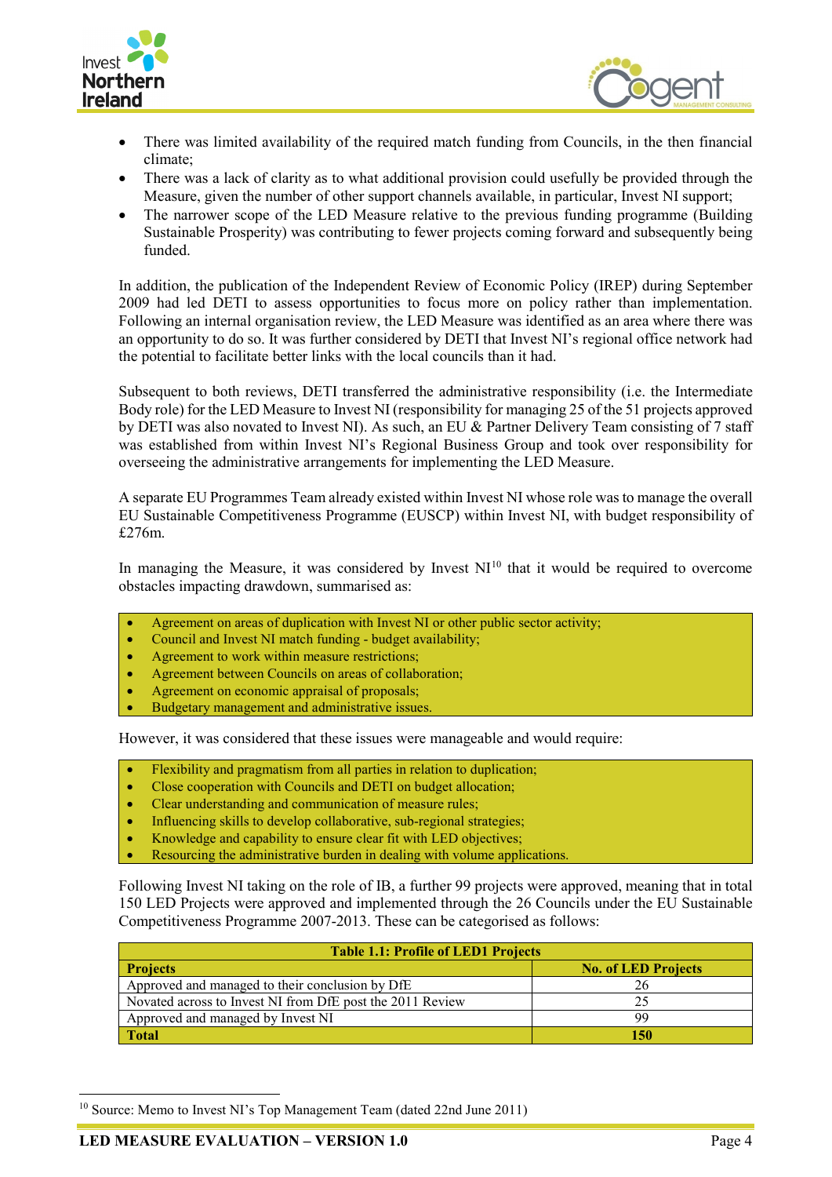



- There was limited availability of the required match funding from Councils, in the then financial climate;
- There was a lack of clarity as to what additional provision could usefully be provided through the Measure, given the number of other support channels available, in particular, Invest NI support;
- The narrower scope of the LED Measure relative to the previous funding programme (Building Sustainable Prosperity) was contributing to fewer projects coming forward and subsequently being funded.

In addition, the publication of the Independent Review of Economic Policy (IREP) during September 2009 had led DETI to assess opportunities to focus more on policy rather than implementation. Following an internal organisation review, the LED Measure was identified as an area where there was an opportunity to do so. It was further considered by DETI that Invest NI's regional office network had the potential to facilitate better links with the local councils than it had.

Subsequent to both reviews, DETI transferred the administrative responsibility (i.e. the Intermediate Body role) for the LED Measure to Invest NI (responsibility for managing 25 of the 51 projects approved by DETI was also novated to Invest NI). As such, an EU & Partner Delivery Team consisting of 7 staff was established from within Invest NI's Regional Business Group and took over responsibility for overseeing the administrative arrangements for implementing the LED Measure.

A separate EU Programmes Team already existed within Invest NI whose role was to manage the overall EU Sustainable Competitiveness Programme (EUSCP) within Invest NI, with budget responsibility of £276m.

In managing the Measure, it was considered by Invest  $NI<sup>10</sup>$  $NI<sup>10</sup>$  $NI<sup>10</sup>$  that it would be required to overcome obstacles impacting drawdown, summarised as:

- Agreement on areas of duplication with Invest NI or other public sector activity;
- Council and Invest NI match funding budget availability;
- Agreement to work within measure restrictions;
- Agreement between Councils on areas of collaboration;
- Agreement on economic appraisal of proposals;
- Budgetary management and administrative issues.

However, it was considered that these issues were manageable and would require:

- Flexibility and pragmatism from all parties in relation to duplication;
- Close cooperation with Councils and DETI on budget allocation;
- Clear understanding and communication of measure rules;
- Influencing skills to develop collaborative, sub-regional strategies;
- Knowledge and capability to ensure clear fit with LED objectives;
- Resourcing the administrative burden in dealing with volume applications.

Following Invest NI taking on the role of IB, a further 99 projects were approved, meaning that in total 150 LED Projects were approved and implemented through the 26 Councils under the EU Sustainable Competitiveness Programme 2007-2013. These can be categorised as follows:

| <b>Table 1.1: Profile of LED1 Projects</b>                |                            |  |  |
|-----------------------------------------------------------|----------------------------|--|--|
| <b>Projects</b>                                           | <b>No. of LED Projects</b> |  |  |
| Approved and managed to their conclusion by DfE           | 26                         |  |  |
| Novated across to Invest NI from DfE post the 2011 Review |                            |  |  |
| Approved and managed by Invest NI                         | qq                         |  |  |
| <b>Total</b>                                              | 150                        |  |  |

<span id="page-21-0"></span><sup>&</sup>lt;sup>10</sup> Source: Memo to Invest NI's Top Management Team (dated 22nd June 2011)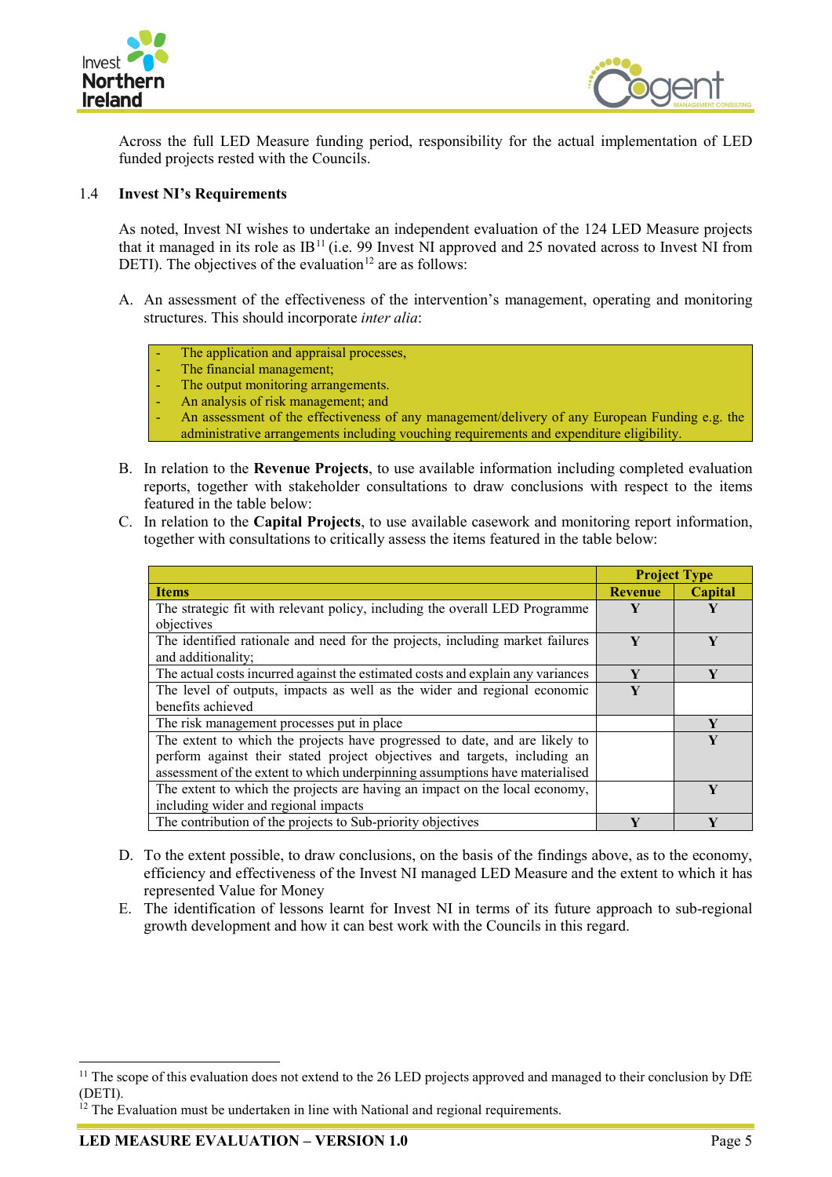



Across the full LED Measure funding period, responsibility for the actual implementation of LED funded projects rested with the Councils.

## <span id="page-22-0"></span>1.4 **Invest NI's Requirements**

As noted, Invest NI wishes to undertake an independent evaluation of the 124 LED Measure projects that it managed in its role as  $IB<sup>11</sup>$  $IB<sup>11</sup>$  $IB<sup>11</sup>$  (i.e. 99 Invest NI approved and 25 novated across to Invest NI from DETI). The objectives of the evaluation<sup>[12](#page-22-2)</sup> are as follows:

- A. An assessment of the effectiveness of the intervention's management, operating and monitoring structures. This should incorporate *inter alia*:
	- The application and appraisal processes,
	- The financial management:
	- The output monitoring arrangements.
	- An analysis of risk management; and
	- An assessment of the effectiveness of any management/delivery of any European Funding e.g. the administrative arrangements including vouching requirements and expenditure eligibility.
- B. In relation to the **Revenue Projects**, to use available information including completed evaluation reports, together with stakeholder consultations to draw conclusions with respect to the items featured in the table below:
- C. In relation to the **Capital Projects**, to use available casework and monitoring report information, together with consultations to critically assess the items featured in the table below:

|                                                                                 | <b>Project Type</b> |         |
|---------------------------------------------------------------------------------|---------------------|---------|
| <b>Items</b>                                                                    | <b>Revenue</b>      | Capital |
| The strategic fit with relevant policy, including the overall LED Programme     | Y                   | Y       |
| objectives                                                                      |                     |         |
| The identified rationale and need for the projects, including market failures   | V                   | V       |
| and additionality;                                                              |                     |         |
| The actual costs incurred against the estimated costs and explain any variances | V                   | V       |
| The level of outputs, impacts as well as the wider and regional economic        | V                   |         |
| benefits achieved                                                               |                     |         |
| The risk management processes put in place                                      |                     | Y       |
| The extent to which the projects have progressed to date, and are likely to     |                     | V       |
| perform against their stated project objectives and targets, including an       |                     |         |
| assessment of the extent to which underpinning assumptions have materialised    |                     |         |
| The extent to which the projects are having an impact on the local economy,     |                     | V       |
| including wider and regional impacts                                            |                     |         |
| The contribution of the projects to Sub-priority objectives                     | V                   |         |

- D. To the extent possible, to draw conclusions, on the basis of the findings above, as to the economy, efficiency and effectiveness of the Invest NI managed LED Measure and the extent to which it has represented Value for Money
- E. The identification of lessons learnt for Invest NI in terms of its future approach to sub-regional growth development and how it can best work with the Councils in this regard.

<span id="page-22-1"></span><sup>&</sup>lt;sup>11</sup> The scope of this evaluation does not extend to the 26 LED projects approved and managed to their conclusion by DfE (DETI).

<span id="page-22-2"></span> $12$  The Evaluation must be undertaken in line with National and regional requirements.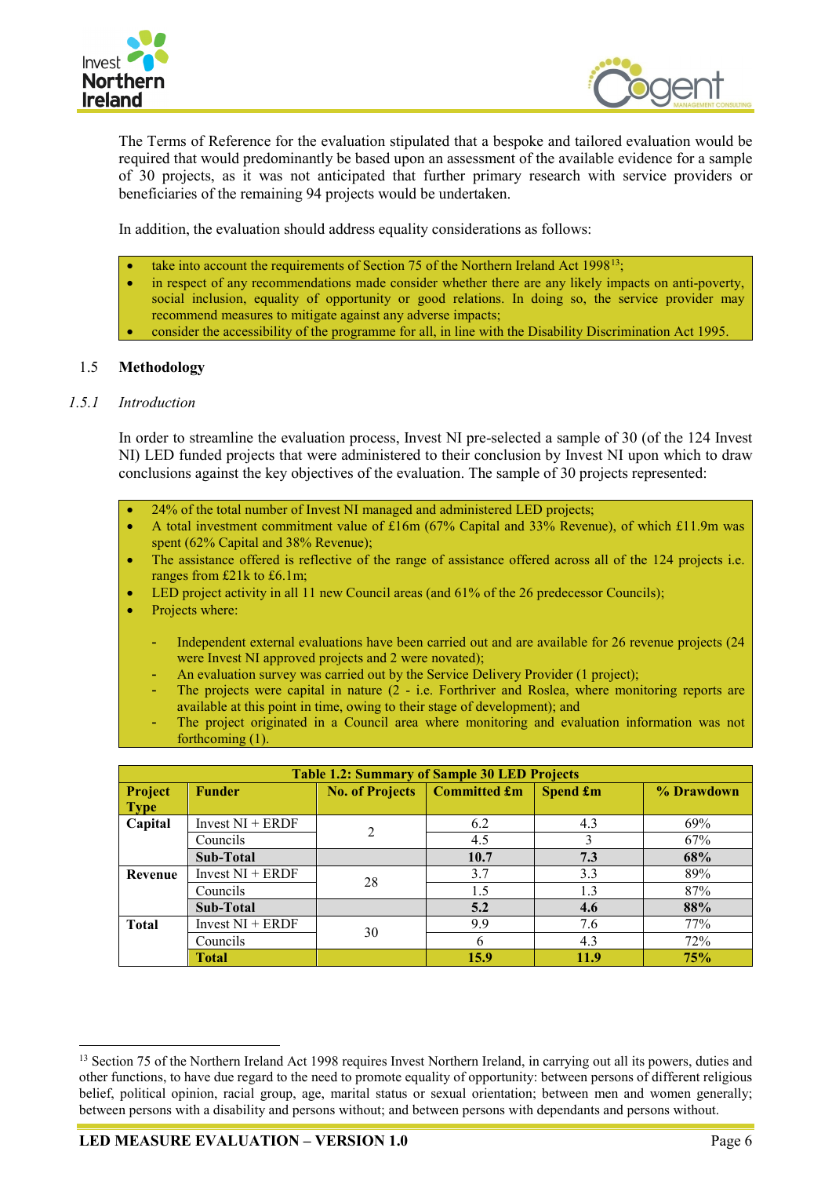



The Terms of Reference for the evaluation stipulated that a bespoke and tailored evaluation would be required that would predominantly be based upon an assessment of the available evidence for a sample of 30 projects, as it was not anticipated that further primary research with service providers or beneficiaries of the remaining 94 projects would be undertaken.

In addition, the evaluation should address equality considerations as follows:

- take into account the requirements of Section 75 of the Northern Ireland Act 1998<sup>13</sup>;
- in respect of any recommendations made consider whether there are any likely impacts on anti-poverty, social inclusion, equality of opportunity or good relations. In doing so, the service provider may recommend measures to mitigate against any adverse impacts;
- consider the accessibility of the programme for all, in line with the Disability Discrimination Act 1995.

#### <span id="page-23-0"></span>1.5 **Methodology**

#### *1.5.1 Introduction*

In order to streamline the evaluation process, Invest NI pre-selected a sample of 30 (of the 124 Invest NI) LED funded projects that were administered to their conclusion by Invest NI upon which to draw conclusions against the key objectives of the evaluation. The sample of 30 projects represented:

• 24% of the total number of Invest NI managed and administered LED projects;

• A total investment commitment value of £16m (67% Capital and 33% Revenue), of which £11.9m was spent (62% Capital and 38% Revenue);

- The assistance offered is reflective of the range of assistance offered across all of the 124 projects i.e. ranges from £21k to £6.1m;
- LED project activity in all 11 new Council areas (and 61% of the 26 predecessor Councils);
- Projects where:
	- Independent external evaluations have been carried out and are available for 26 revenue projects (24 were Invest NI approved projects and 2 were novated);
		- An evaluation survey was carried out by the Service Delivery Provider (1 project);
	- The projects were capital in nature (2 i.e. Forthriver and Roslea, where monitoring reports are available at this point in time, owing to their stage of development); and
	- The project originated in a Council area where monitoring and evaluation information was not forthcoming  $(1)$ .

| <b>Table 1.2: Summary of Sample 30 LED Projects</b> |                                                                                                 |    |      |      |            |  |  |
|-----------------------------------------------------|-------------------------------------------------------------------------------------------------|----|------|------|------------|--|--|
| Project                                             | <b>Committed £m</b><br><b>No. of Projects</b><br><b>Spend £m</b><br>% Drawdown<br><b>Funder</b> |    |      |      |            |  |  |
| <b>Type</b>                                         |                                                                                                 |    |      |      |            |  |  |
| Capital                                             | Invest $NI + ERDF$                                                                              | 2  | 6.2  | 4.3  | 69%        |  |  |
|                                                     | Councils                                                                                        |    | 4.5  |      | 67%        |  |  |
|                                                     | <b>Sub-Total</b>                                                                                |    | 10.7 | 7.3  | 68%        |  |  |
| Revenue                                             | Invest $NI + ERDF$                                                                              | 28 | 3.7  | 3.3  | 89%        |  |  |
|                                                     | Councils                                                                                        |    | 1.5  | 1.3  | 87%        |  |  |
|                                                     | Sub-Total                                                                                       |    | 5.2  | 4.6  | 88%        |  |  |
| <b>Total</b>                                        | Invest $NI + ERDF$                                                                              | 30 | 9.9  | 7.6  | 77%        |  |  |
|                                                     | Councils                                                                                        |    | 6    | 4.3  | 72%        |  |  |
|                                                     | <b>Total</b>                                                                                    |    | 15.9 | 11.9 | <b>75%</b> |  |  |

<span id="page-23-1"></span><sup>&</sup>lt;sup>13</sup> Section 75 of the Northern Ireland Act 1998 requires Invest Northern Ireland, in carrying out all its powers, duties and other functions, to have due regard to the need to promote equality of opportunity: between persons of different religious belief, political opinion, racial group, age, marital status or sexual orientation; between men and women generally; between persons with a disability and persons without; and between persons with dependants and persons without.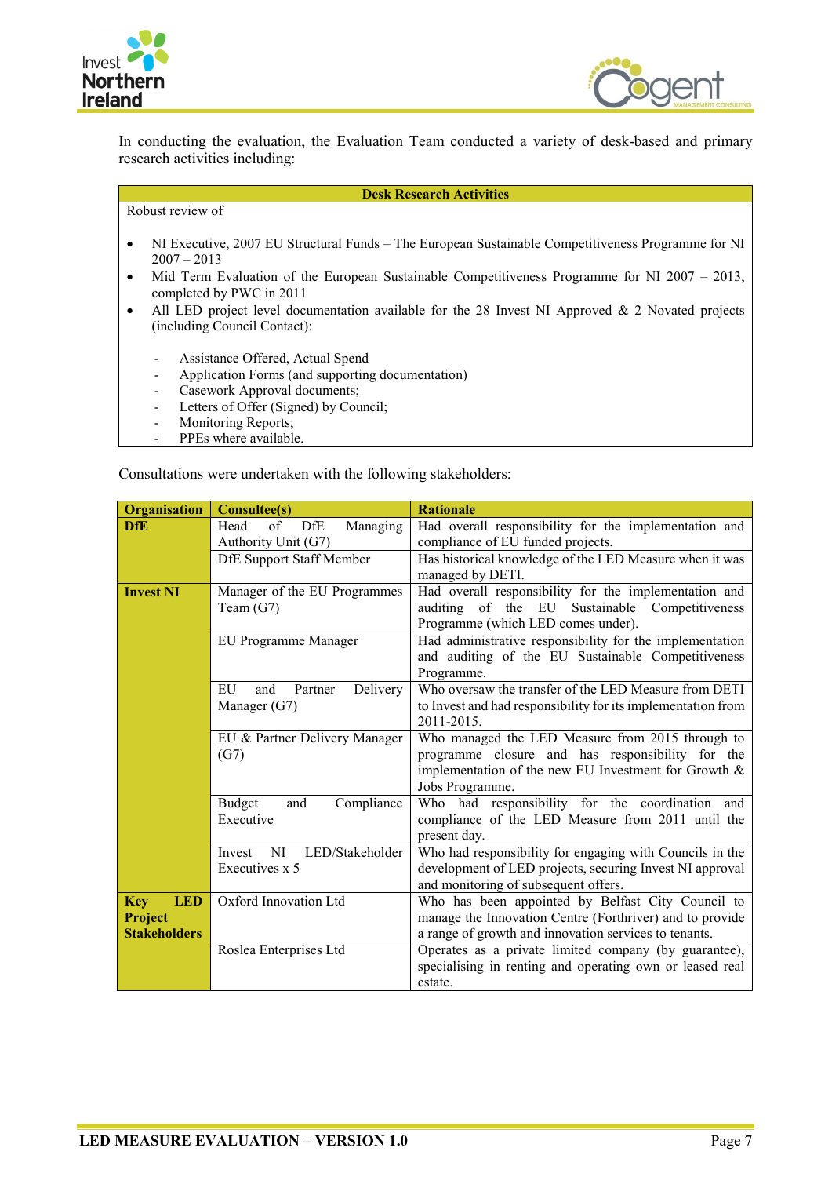



In conducting the evaluation, the Evaluation Team conducted a variety of desk-based and primary research activities including:

Robust review of

## **Desk Research Activities**

- NI Executive, 2007 EU Structural Funds The European Sustainable Competitiveness Programme for NI  $2007 - 2013$
- Mid Term Evaluation of the European Sustainable Competitiveness Programme for NI 2007 2013, completed by PWC in 2011
- All LED project level documentation available for the 28 Invest NI Approved & 2 Novated projects (including Council Contact):
	- Assistance Offered, Actual Spend
	- Application Forms (and supporting documentation)
	- Casework Approval documents;
		- Letters of Offer (Signed) by Council;
		- Monitoring Reports;
	- PPEs where available.

Consultations were undertaken with the following stakeholders:

| <b>Organisation</b>      | <b>Consultee(s)</b>                | <b>Rationale</b>                                             |  |  |
|--------------------------|------------------------------------|--------------------------------------------------------------|--|--|
| <b>DfE</b>               | Head<br>DfE<br>Managing<br>of      | Had overall responsibility for the implementation and        |  |  |
|                          | Authority Unit (G7)                | compliance of EU funded projects.                            |  |  |
|                          | <b>DfE Support Staff Member</b>    | Has historical knowledge of the LED Measure when it was      |  |  |
|                          |                                    | managed by DETI.                                             |  |  |
| <b>Invest NI</b>         | Manager of the EU Programmes       | Had overall responsibility for the implementation and        |  |  |
|                          | Team $(G7)$                        | auditing of the<br>EU<br>Sustainable<br>Competitiveness      |  |  |
|                          |                                    | Programme (which LED comes under).                           |  |  |
|                          | EU Programme Manager               | Had administrative responsibility for the implementation     |  |  |
|                          |                                    | and auditing of the EU Sustainable Competitiveness           |  |  |
|                          |                                    | Programme.                                                   |  |  |
|                          | EU<br>Delivery<br>and<br>Partner   | Who oversaw the transfer of the LED Measure from DETI        |  |  |
|                          | Manager $(G7)$                     | to Invest and had responsibility for its implementation from |  |  |
|                          |                                    | 2011-2015.                                                   |  |  |
|                          | EU & Partner Delivery Manager      | Who managed the LED Measure from 2015 through to             |  |  |
|                          | (G7)                               | programme closure and has responsibility for the             |  |  |
|                          |                                    | implementation of the new EU Investment for Growth &         |  |  |
|                          |                                    | Jobs Programme.                                              |  |  |
|                          | <b>Budget</b><br>Compliance<br>and | Who had responsibility for the coordination and              |  |  |
|                          | Executive                          | compliance of the LED Measure from 2011 until the            |  |  |
|                          |                                    | present day.                                                 |  |  |
|                          | LED/Stakeholder<br>NI<br>Invest    | Who had responsibility for engaging with Councils in the     |  |  |
|                          | Executives x 5                     | development of LED projects, securing Invest NI approval     |  |  |
|                          |                                    | and monitoring of subsequent offers.                         |  |  |
| <b>Key</b><br><b>LED</b> | Oxford Innovation Ltd              | Who has been appointed by Belfast City Council to            |  |  |
| <b>Project</b>           |                                    | manage the Innovation Centre (Forthriver) and to provide     |  |  |
| <b>Stakeholders</b>      |                                    | a range of growth and innovation services to tenants.        |  |  |
|                          | Roslea Enterprises Ltd             | Operates as a private limited company (by guarantee),        |  |  |
|                          |                                    | specialising in renting and operating own or leased real     |  |  |
|                          |                                    | estate.                                                      |  |  |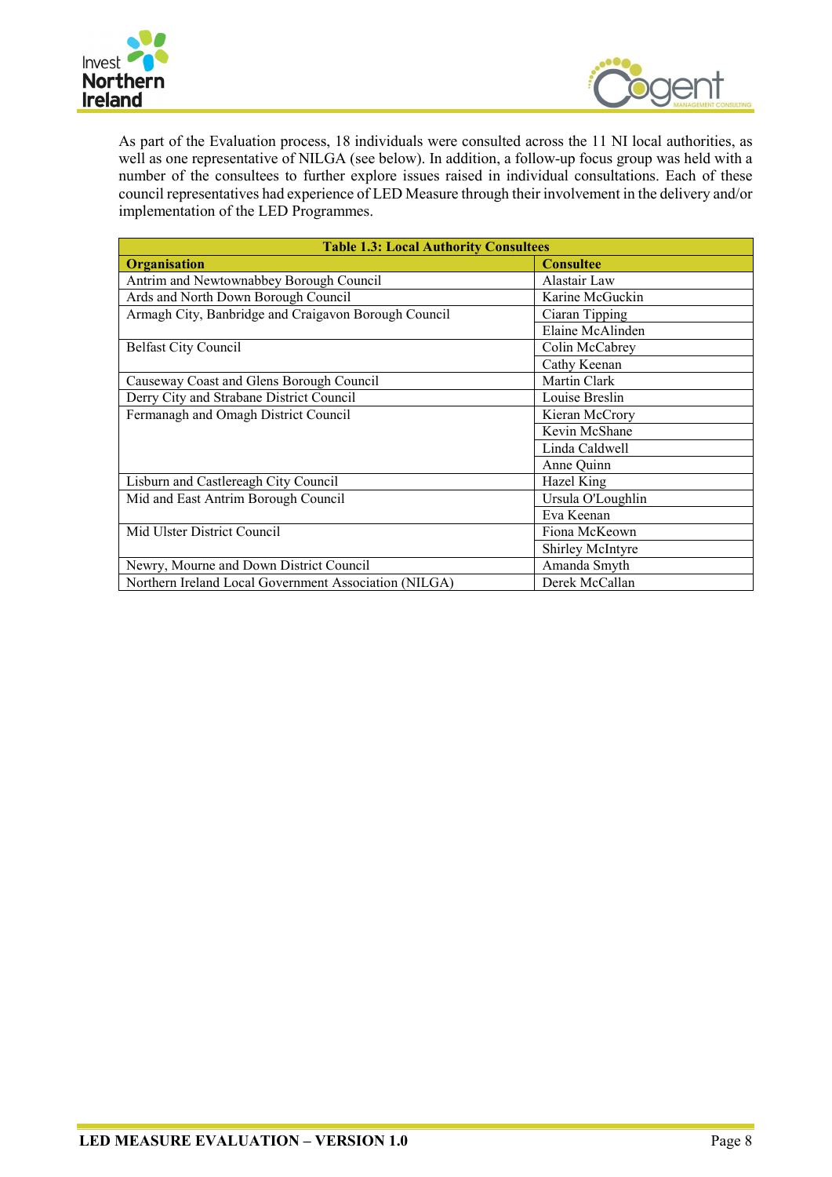



As part of the Evaluation process, 18 individuals were consulted across the 11 NI local authorities, as well as one representative of NILGA (see below). In addition, a follow-up focus group was held with a number of the consultees to further explore issues raised in individual consultations. Each of these council representatives had experience of LED Measure through their involvement in the delivery and/or implementation of the LED Programmes.

| <b>Table 1.3: Local Authority Consultees</b>          |                   |  |  |
|-------------------------------------------------------|-------------------|--|--|
| <b>Organisation</b>                                   | <b>Consultee</b>  |  |  |
| Antrim and Newtownabbey Borough Council               | Alastair Law      |  |  |
| Ards and North Down Borough Council                   | Karine McGuckin   |  |  |
| Armagh City, Banbridge and Craigavon Borough Council  | Ciaran Tipping    |  |  |
|                                                       | Elaine McAlinden  |  |  |
| <b>Belfast City Council</b>                           | Colin McCabrey    |  |  |
|                                                       | Cathy Keenan      |  |  |
| Causeway Coast and Glens Borough Council              | Martin Clark      |  |  |
| Derry City and Strabane District Council              | Louise Breslin    |  |  |
| Fermanagh and Omagh District Council                  | Kieran McCrory    |  |  |
|                                                       | Kevin McShane     |  |  |
|                                                       | Linda Caldwell    |  |  |
|                                                       | Anne Quinn        |  |  |
| Lisburn and Castlereagh City Council                  | Hazel King        |  |  |
| Mid and East Antrim Borough Council                   | Ursula O'Loughlin |  |  |
|                                                       | Eva Keenan        |  |  |
| Mid Ulster District Council                           | Fiona McKeown     |  |  |
|                                                       | Shirley McIntyre  |  |  |
| Newry, Mourne and Down District Council               | Amanda Smyth      |  |  |
| Northern Ireland Local Government Association (NILGA) | Derek McCallan    |  |  |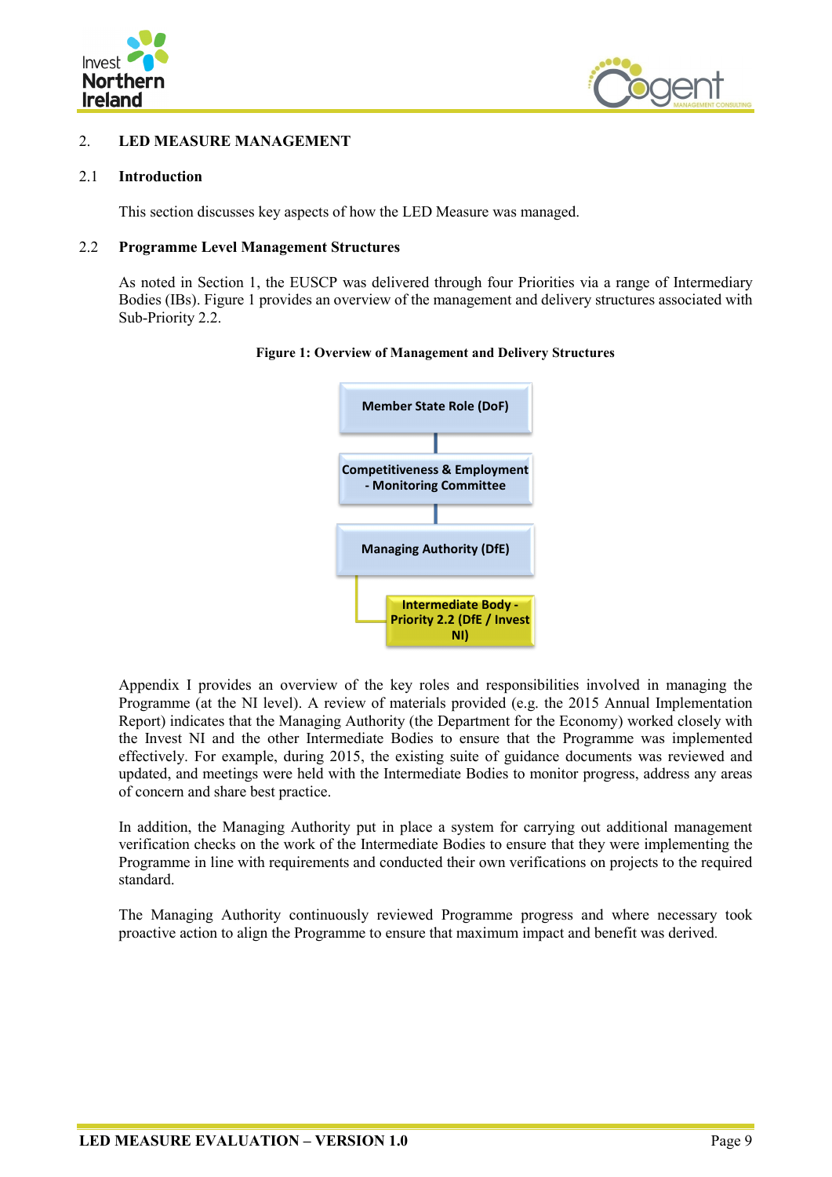



## <span id="page-26-0"></span>2. **LED MEASURE MANAGEMENT**

#### <span id="page-26-1"></span>2.1 **Introduction**

This section discusses key aspects of how the LED Measure was managed.

#### <span id="page-26-2"></span>2.2 **Programme Level Management Structures**

As noted in Section 1, the EUSCP was delivered through four Priorities via a range of Intermediary Bodies (IBs). Figure 1 provides an overview of the management and delivery structures associated with Sub-Priority 2.2.





Appendix I provides an overview of the key roles and responsibilities involved in managing the Programme (at the NI level). A review of materials provided (e.g. the 2015 Annual Implementation Report) indicates that the Managing Authority (the Department for the Economy) worked closely with the Invest NI and the other Intermediate Bodies to ensure that the Programme was implemented effectively. For example, during 2015, the existing suite of guidance documents was reviewed and updated, and meetings were held with the Intermediate Bodies to monitor progress, address any areas of concern and share best practice.

In addition, the Managing Authority put in place a system for carrying out additional management verification checks on the work of the Intermediate Bodies to ensure that they were implementing the Programme in line with requirements and conducted their own verifications on projects to the required standard.

The Managing Authority continuously reviewed Programme progress and where necessary took proactive action to align the Programme to ensure that maximum impact and benefit was derived.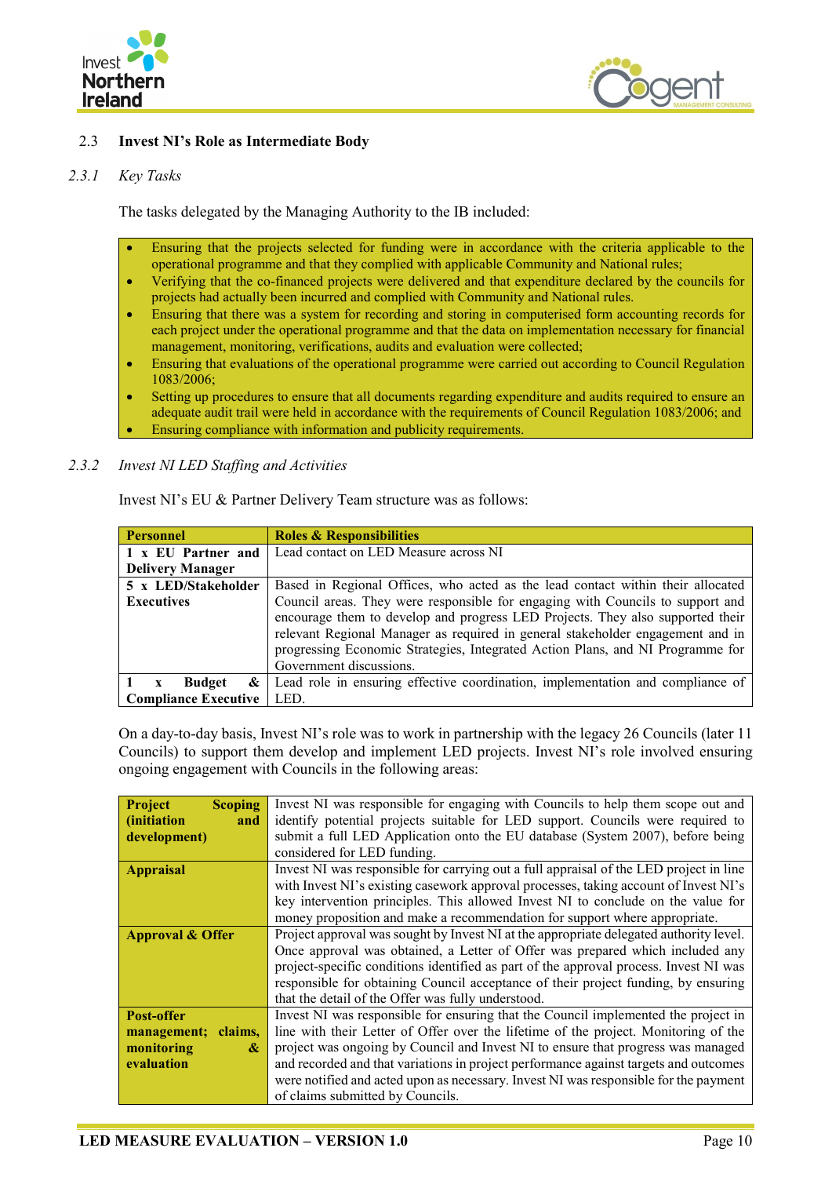



## <span id="page-27-0"></span>2.3 **Invest NI's Role as Intermediate Body**

#### *2.3.1 Key Tasks*

The tasks delegated by the Managing Authority to the IB included:

- Ensuring that the projects selected for funding were in accordance with the criteria applicable to the operational programme and that they complied with applicable Community and National rules;
- Verifying that the co-financed projects were delivered and that expenditure declared by the councils for projects had actually been incurred and complied with Community and National rules.
- Ensuring that there was a system for recording and storing in computerised form accounting records for each project under the operational programme and that the data on implementation necessary for financial management, monitoring, verifications, audits and evaluation were collected;
- Ensuring that evaluations of the operational programme were carried out according to Council Regulation 1083/2006;
- Setting up procedures to ensure that all documents regarding expenditure and audits required to ensure an adequate audit trail were held in accordance with the requirements of Council Regulation 1083/2006; and • Ensuring compliance with information and publicity requirements.

#### *2.3.2 Invest NI LED Staffing and Activities*

| <b>Personnel</b>            | <b>Roles &amp; Responsibilities</b>                                                                                                                                                                                                                                                                                                                             |
|-----------------------------|-----------------------------------------------------------------------------------------------------------------------------------------------------------------------------------------------------------------------------------------------------------------------------------------------------------------------------------------------------------------|
| 1 x EU Partner and          | Lead contact on LED Measure across NI                                                                                                                                                                                                                                                                                                                           |
| <b>Delivery Manager</b>     |                                                                                                                                                                                                                                                                                                                                                                 |
| 5 x LED/Stakeholder         | Based in Regional Offices, who acted as the lead contact within their allocated                                                                                                                                                                                                                                                                                 |
| <b>Executives</b>           | Council areas. They were responsible for engaging with Councils to support and<br>encourage them to develop and progress LED Projects. They also supported their<br>relevant Regional Manager as required in general stakeholder engagement and in<br>progressing Economic Strategies, Integrated Action Plans, and NI Programme for<br>Government discussions. |
| <b>Budget</b><br>&          | Lead role in ensuring effective coordination, implementation and compliance of                                                                                                                                                                                                                                                                                  |
| <b>Compliance Executive</b> | LED.                                                                                                                                                                                                                                                                                                                                                            |

Invest NI's EU & Partner Delivery Team structure was as follows:

On a day-to-day basis, Invest NI's role was to work in partnership with the legacy 26 Councils (later 11 Councils) to support them develop and implement LED projects. Invest NI's role involved ensuring ongoing engagement with Councils in the following areas:

| <b>Project</b><br><b>Scoping</b>                   | Invest NI was responsible for engaging with Councils to help them scope out and        |  |  |
|----------------------------------------------------|----------------------------------------------------------------------------------------|--|--|
| <i>(initiation)</i><br>and                         | identify potential projects suitable for LED support. Councils were required to        |  |  |
| development)                                       | submit a full LED Application onto the EU database (System 2007), before being         |  |  |
|                                                    | considered for LED funding.                                                            |  |  |
| <b>Appraisal</b>                                   | Invest NI was responsible for carrying out a full appraisal of the LED project in line |  |  |
|                                                    | with Invest NI's existing casework approval processes, taking account of Invest NI's   |  |  |
|                                                    | key intervention principles. This allowed Invest NI to conclude on the value for       |  |  |
|                                                    | money proposition and make a recommendation for support where appropriate.             |  |  |
| <b>Approval &amp; Offer</b>                        | Project approval was sought by Invest NI at the appropriate delegated authority level. |  |  |
|                                                    | Once approval was obtained, a Letter of Offer was prepared which included any          |  |  |
|                                                    | project-specific conditions identified as part of the approval process. Invest NI was  |  |  |
|                                                    | responsible for obtaining Council acceptance of their project funding, by ensuring     |  |  |
| that the detail of the Offer was fully understood. |                                                                                        |  |  |
| Post-offer                                         | Invest NI was responsible for ensuring that the Council implemented the project in     |  |  |
| claims.<br>management;                             | line with their Letter of Offer over the lifetime of the project. Monitoring of the    |  |  |
| monitoring<br>&                                    | project was ongoing by Council and Invest NI to ensure that progress was managed       |  |  |
| evaluation                                         | and recorded and that variations in project performance against targets and outcomes   |  |  |
|                                                    | were notified and acted upon as necessary. Invest NI was responsible for the payment   |  |  |
|                                                    | of claims submitted by Councils.                                                       |  |  |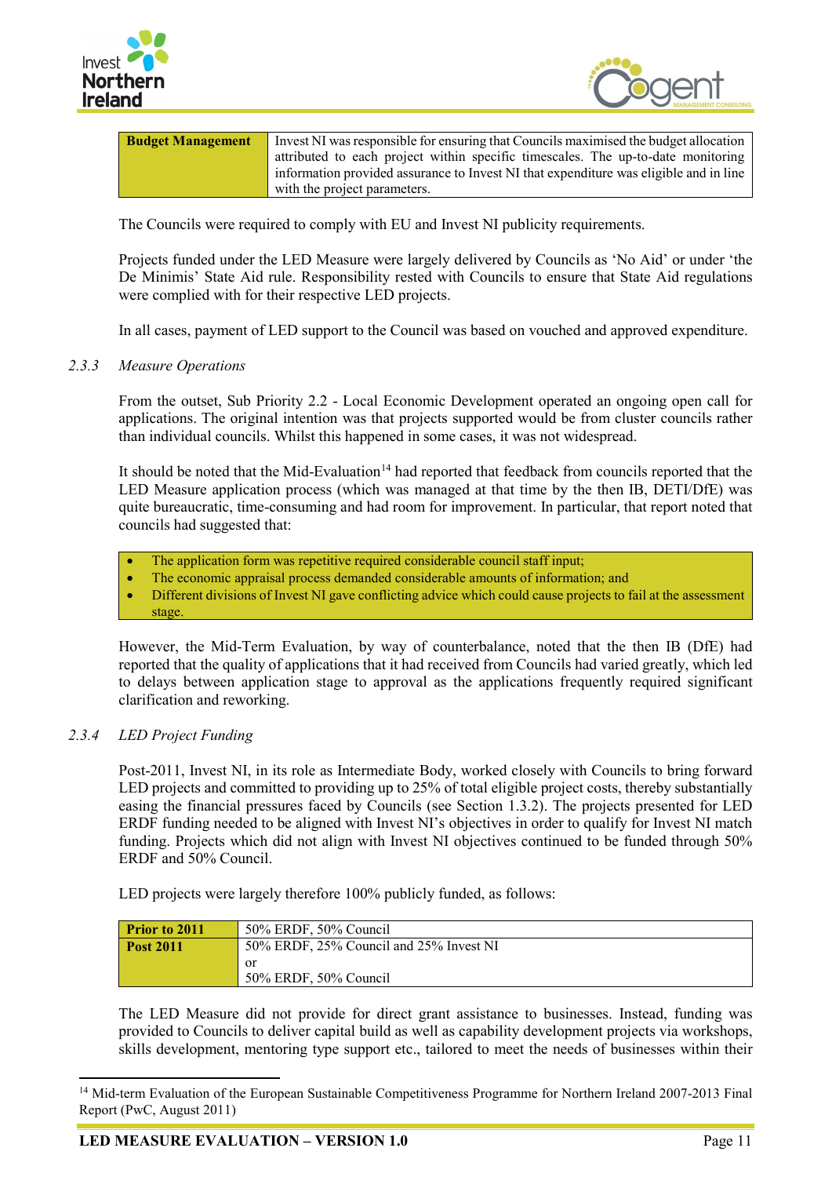



| <b>Budget Management</b> | Invest NI was responsible for ensuring that Councils maximised the budget allocation  |
|--------------------------|---------------------------------------------------------------------------------------|
|                          | attributed to each project within specific timescales. The up-to-date monitoring      |
|                          | information provided assurance to Invest NI that expenditure was eligible and in line |
|                          | with the project parameters.                                                          |

The Councils were required to comply with EU and Invest NI publicity requirements.

Projects funded under the LED Measure were largely delivered by Councils as 'No Aid' or under 'the De Minimis' State Aid rule. Responsibility rested with Councils to ensure that State Aid regulations were complied with for their respective LED projects.

In all cases, payment of LED support to the Council was based on vouched and approved expenditure.

#### *2.3.3 Measure Operations*

From the outset, Sub Priority 2.2 - Local Economic Development operated an ongoing open call for applications. The original intention was that projects supported would be from cluster councils rather than individual councils. Whilst this happened in some cases, it was not widespread.

It should be noted that the Mid-Evaluation<sup>[14](#page-28-0)</sup> had reported that feedback from councils reported that the LED Measure application process (which was managed at that time by the then IB, DETI/DfE) was quite bureaucratic, time-consuming and had room for improvement. In particular, that report noted that councils had suggested that:

- The application form was repetitive required considerable council staff input;
- The economic appraisal process demanded considerable amounts of information; and
- Different divisions of Invest NI gave conflicting advice which could cause projects to fail at the assessment stage.

However, the Mid-Term Evaluation, by way of counterbalance, noted that the then IB (DfE) had reported that the quality of applications that it had received from Councils had varied greatly, which led to delays between application stage to approval as the applications frequently required significant clarification and reworking.

#### *2.3.4 LED Project Funding*

Post-2011, Invest NI, in its role as Intermediate Body, worked closely with Councils to bring forward LED projects and committed to providing up to 25% of total eligible project costs, thereby substantially easing the financial pressures faced by Councils (see Section 1.3.2). The projects presented for LED ERDF funding needed to be aligned with Invest NI's objectives in order to qualify for Invest NI match funding. Projects which did not align with Invest NI objectives continued to be funded through 50% ERDF and 50% Council.

LED projects were largely therefore 100% publicly funded, as follows:

| <b>Prior to 2011</b> | 50% ERDF, 50% Council                   |
|----------------------|-----------------------------------------|
| <b>Post 2011</b>     | 50% ERDF, 25% Council and 25% Invest NI |
|                      | or                                      |
|                      | 50% ERDF, 50% Council                   |

The LED Measure did not provide for direct grant assistance to businesses. Instead, funding was provided to Councils to deliver capital build as well as capability development projects via workshops, skills development, mentoring type support etc., tailored to meet the needs of businesses within their

<span id="page-28-0"></span><sup>&</sup>lt;sup>14</sup> Mid-term Evaluation of the European Sustainable Competitiveness Programme for Northern Ireland 2007-2013 Final Report (PwC, August 2011)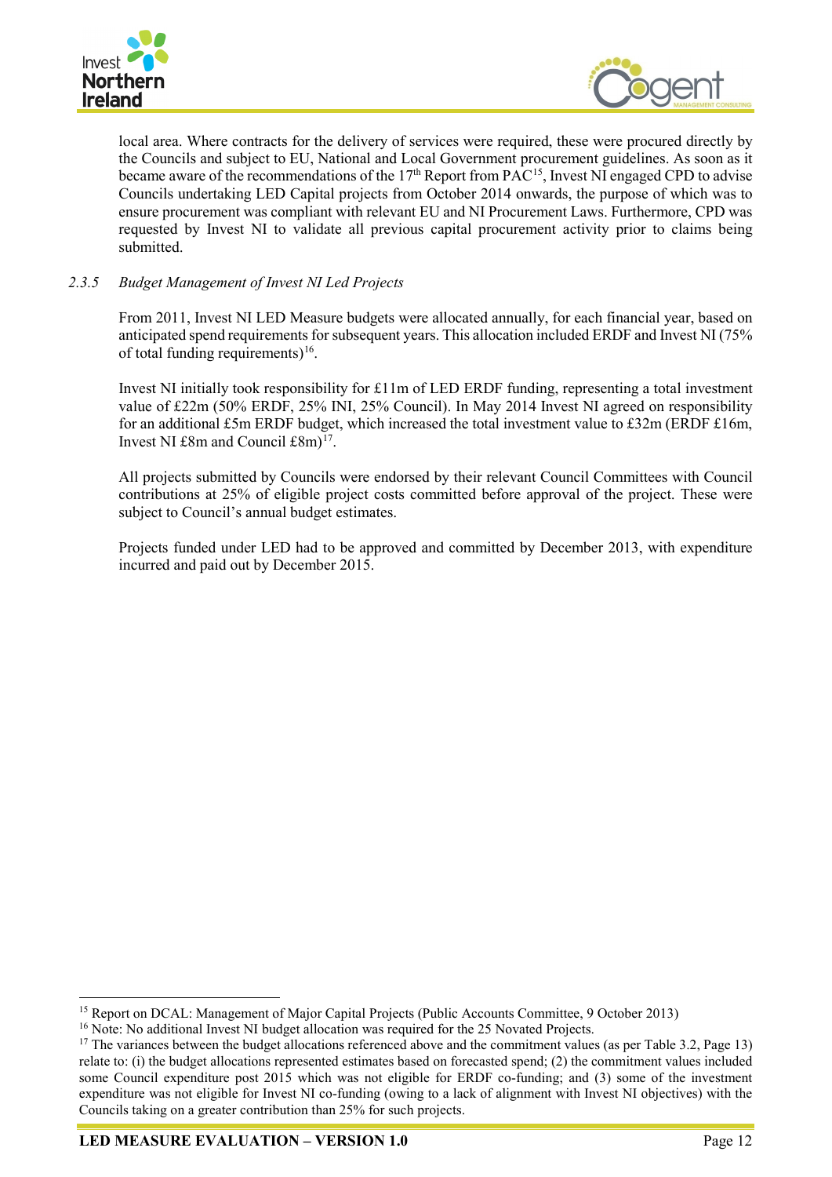



local area. Where contracts for the delivery of services were required, these were procured directly by the Councils and subject to EU, National and Local Government procurement guidelines. As soon as it became aware of the recommendations of the  $17<sup>th</sup>$  Report from PAC<sup>15</sup>, Invest NI engaged CPD to advise Councils undertaking LED Capital projects from October 2014 onwards, the purpose of which was to ensure procurement was compliant with relevant EU and NI Procurement Laws. Furthermore, CPD was requested by Invest NI to validate all previous capital procurement activity prior to claims being submitted.

## *2.3.5 Budget Management of Invest NI Led Projects*

From 2011, Invest NI LED Measure budgets were allocated annually, for each financial year, based on anticipated spend requirements for subsequent years. This allocation included ERDF and Invest NI (75% of total funding requirements)<sup>16</sup>.

Invest NI initially took responsibility for £11m of LED ERDF funding, representing a total investment value of £22m (50% ERDF, 25% INI, 25% Council). In May 2014 Invest NI agreed on responsibility for an additional £5m ERDF budget, which increased the total investment value to £32m (ERDF £16m, Invest NI  $\pounds 8m$  and Council  $\pounds 8m$ <sup>[17](#page-29-2)</sup>.

All projects submitted by Councils were endorsed by their relevant Council Committees with Council contributions at 25% of eligible project costs committed before approval of the project. These were subject to Council's annual budget estimates.

Projects funded under LED had to be approved and committed by December 2013, with expenditure incurred and paid out by December 2015.

<span id="page-29-0"></span><sup>&</sup>lt;sup>15</sup> Report on DCAL: Management of Major Capital Projects (Public Accounts Committee, 9 October 2013)

<span id="page-29-1"></span><sup>&</sup>lt;sup>16</sup> Note: No additional Invest NI budget allocation was required for the 25 Novated Projects.

<span id="page-29-2"></span><sup>&</sup>lt;sup>17</sup> The variances between the budget allocations referenced above and the commitment values (as per Table 3.2, Page 13) relate to: (i) the budget allocations represented estimates based on forecasted spend; (2) the commitment values included some Council expenditure post 2015 which was not eligible for ERDF co-funding; and (3) some of the investment expenditure was not eligible for Invest NI co-funding (owing to a lack of alignment with Invest NI objectives) with the Councils taking on a greater contribution than 25% for such projects.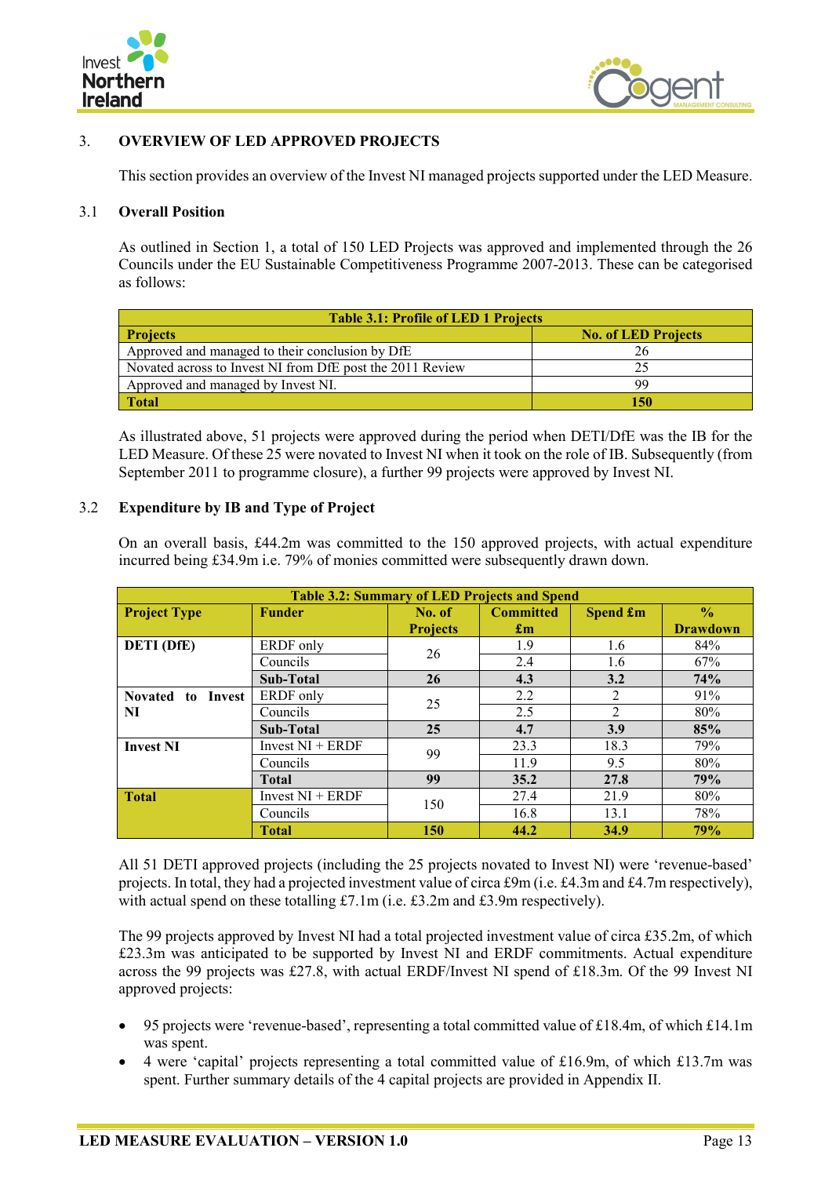



## <span id="page-30-0"></span>3. **OVERVIEW OF LED APPROVED PROJECTS**

This section provides an overview of the Invest NI managed projects supported under the LED Measure.

#### <span id="page-30-1"></span>3.1 **Overall Position**

As outlined in Section 1, a total of 150 LED Projects was approved and implemented through the 26 Councils under the EU Sustainable Competitiveness Programme 2007-2013. These can be categorised as follows:

| <b>Table 3.1: Profile of LED 1 Projects</b>               |                            |  |  |
|-----------------------------------------------------------|----------------------------|--|--|
| <b>Projects</b>                                           | <b>No. of LED Projects</b> |  |  |
| Approved and managed to their conclusion by DfE           |                            |  |  |
| Novated across to Invest NI from DfE post the 2011 Review |                            |  |  |
| Approved and managed by Invest NI.                        | 99                         |  |  |
| <b>Total</b>                                              | 150                        |  |  |

As illustrated above, 51 projects were approved during the period when DETI/DfE was the IB for the LED Measure. Of these 25 were novated to Invest NI when it took on the role of IB. Subsequently (from September 2011 to programme closure), a further 99 projects were approved by Invest NI.

#### <span id="page-30-2"></span>3.2 **Expenditure by IB and Type of Project**

On an overall basis, £44.2m was committed to the 150 approved projects, with actual expenditure incurred being £34.9m i.e. 79% of monies committed were subsequently drawn down.

| <b>Table 3.2: Summary of LED Projects and Spend</b> |                    |                 |                           |                |                 |
|-----------------------------------------------------|--------------------|-----------------|---------------------------|----------------|-----------------|
| <b>Project Type</b>                                 | <b>Funder</b>      | No. of          | <b>Committed</b>          | Spend £m       | $\frac{0}{0}$   |
|                                                     |                    | <b>Projects</b> | $\mathbf{f}_{\mathbf{m}}$ |                | <b>Drawdown</b> |
| <b>DETI</b> (DfE)                                   | ERDF only          | 26              | 1.9                       | 1.6            | 84%             |
|                                                     | Councils           |                 | 2.4                       | 1.6            | 67%             |
|                                                     | Sub-Total          | 26              | 4.3                       | 3.2            | 74%             |
| <b>Novated</b><br>Invest<br>to                      | ERDF only          | 25              | 2.2                       | 2              | 91%             |
| NI                                                  | Councils           |                 | 2.5                       | $\overline{2}$ | 80%             |
|                                                     | Sub-Total          | 25              | 4.7                       | 3.9            | 85%             |
| <b>Invest NI</b>                                    | Invest $NI + ERDF$ | 99              | 23.3                      | 18.3           | 79%             |
|                                                     | Councils           |                 | 11.9                      | 9.5            | 80%             |
|                                                     | <b>Total</b>       | 99              | 35.2                      | 27.8           | 79%             |
| <b>Total</b>                                        | Invest $NI + ERDF$ | 150             | 27.4                      | 21.9           | 80%             |
|                                                     | Councils           |                 | 16.8                      | 13.1           | 78%             |
|                                                     | <b>Total</b>       | 150             | 44.2                      | 34.9           | 79%             |

All 51 DETI approved projects (including the 25 projects novated to Invest NI) were 'revenue-based' projects. In total, they had a projected investment value of circa £9m (i.e. £4.3m and £4.7m respectively), with actual spend on these totalling £7.1m (i.e. £3.2m and £3.9m respectively).

The 99 projects approved by Invest NI had a total projected investment value of circa £35.2m, of which £23.3m was anticipated to be supported by Invest NI and ERDF commitments. Actual expenditure across the 99 projects was £27.8, with actual ERDF/Invest NI spend of £18.3m. Of the 99 Invest NI approved projects:

- 95 projects were 'revenue-based', representing a total committed value of £18.4m, of which £14.1m was spent.
- 4 were 'capital' projects representing a total committed value of £16.9m, of which £13.7m was spent. Further summary details of the 4 capital projects are provided in Appendix II.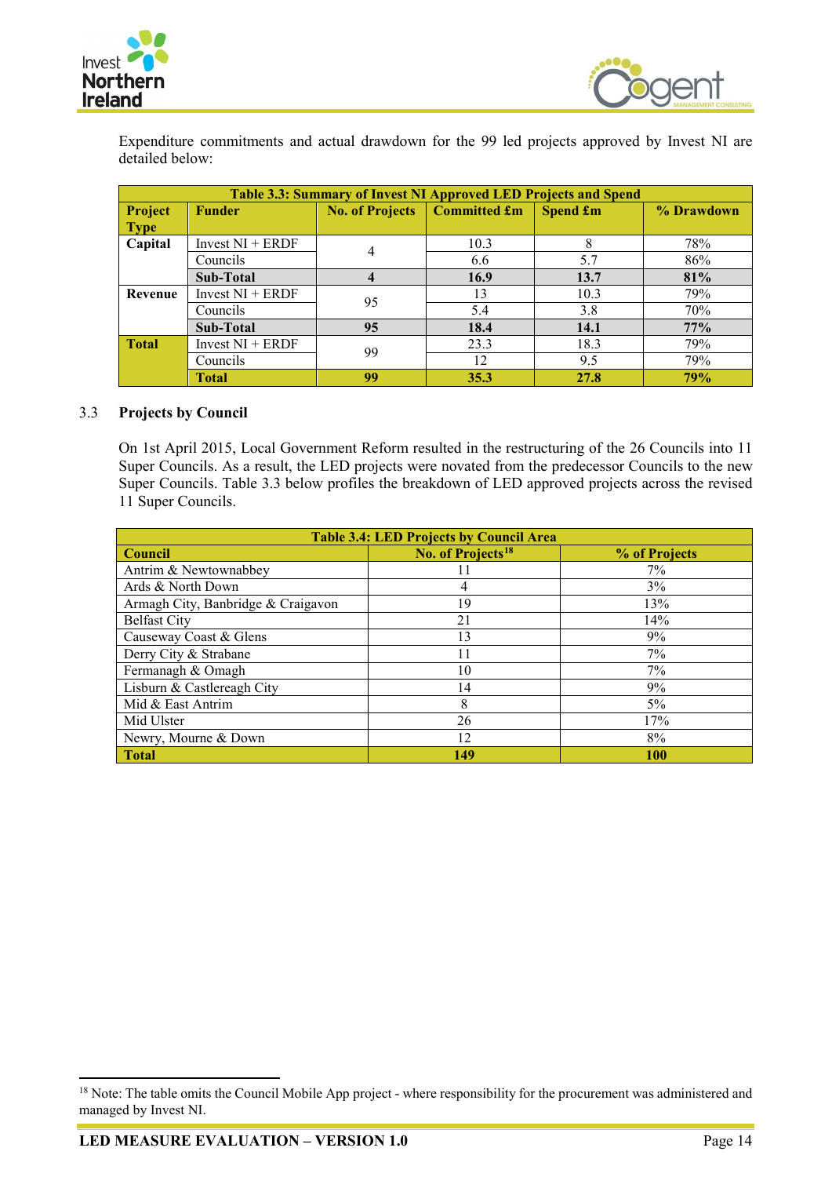



Expenditure commitments and actual drawdown for the 99 led projects approved by Invest NI are detailed below:

|              | Table 3.3: Summary of Invest NI Approved LED Projects and Spend |    |                                |                 |            |  |  |  |  |  |
|--------------|-----------------------------------------------------------------|----|--------------------------------|-----------------|------------|--|--|--|--|--|
| Project      | <b>Funder</b>                                                   |    | No. of Projects   Committed £m | <b>Spend £m</b> | % Drawdown |  |  |  |  |  |
| <b>Type</b>  |                                                                 |    |                                |                 |            |  |  |  |  |  |
| Capital      | Invest $NI + ERDF$                                              | 4  | 10.3                           | 8               | 78%        |  |  |  |  |  |
|              | Councils                                                        |    | 6.6                            | 5.7             | 86%        |  |  |  |  |  |
|              | Sub-Total                                                       | 4  | 16.9                           | 13.7            | 81%        |  |  |  |  |  |
| Revenue      | Invest $NI + ERDF$                                              | 95 | 13                             | 10.3            | 79%        |  |  |  |  |  |
|              | Councils                                                        |    | 5.4                            | 3.8             | 70%        |  |  |  |  |  |
|              | Sub-Total                                                       | 95 | 18.4                           | 14.1            | 77%        |  |  |  |  |  |
| <b>Total</b> | Invest $NI + ERDF$                                              | 99 | 23.3                           | 18.3            | 79%        |  |  |  |  |  |
|              | Councils                                                        |    | 12                             | 9.5             | 79%        |  |  |  |  |  |
|              | <b>Total</b>                                                    | 99 | 35.3                           | 27.8            | 79%        |  |  |  |  |  |

## <span id="page-31-0"></span>3.3 **Projects by Council**

On 1st April 2015, Local Government Reform resulted in the restructuring of the 26 Councils into 11 Super Councils. As a result, the LED projects were novated from the predecessor Councils to the new Super Councils. Table 3.3 below profiles the breakdown of LED approved projects across the revised 11 Super Councils.

| <b>Table 3.4: LED Projects by Council Area</b> |                               |               |  |  |  |  |  |  |
|------------------------------------------------|-------------------------------|---------------|--|--|--|--|--|--|
| <b>Council</b>                                 | No. of Projects <sup>18</sup> | % of Projects |  |  |  |  |  |  |
| Antrim & Newtownabbey                          |                               | $7\%$         |  |  |  |  |  |  |
| Ards & North Down                              | 4                             | 3%            |  |  |  |  |  |  |
| Armagh City, Banbridge & Craigavon             | 19                            | 13%           |  |  |  |  |  |  |
| <b>Belfast City</b>                            | 21                            | 14%           |  |  |  |  |  |  |
| Causeway Coast & Glens                         | 13                            | 9%            |  |  |  |  |  |  |
| Derry City & Strabane                          | 11                            | $7\%$         |  |  |  |  |  |  |
| Fermanagh & Omagh                              | 10                            | 7%            |  |  |  |  |  |  |
| Lisburn & Castlereagh City                     | 14                            | 9%            |  |  |  |  |  |  |
| Mid & East Antrim                              | 8                             | $5\%$         |  |  |  |  |  |  |
| Mid Ulster                                     | 26                            | 17%           |  |  |  |  |  |  |
| Newry, Mourne & Down                           | 12                            | 8%            |  |  |  |  |  |  |
| <b>Total</b>                                   | 149                           | 100           |  |  |  |  |  |  |

<span id="page-31-1"></span><sup>&</sup>lt;sup>18</sup> Note: The table omits the Council Mobile App project - where responsibility for the procurement was administered and managed by Invest NI.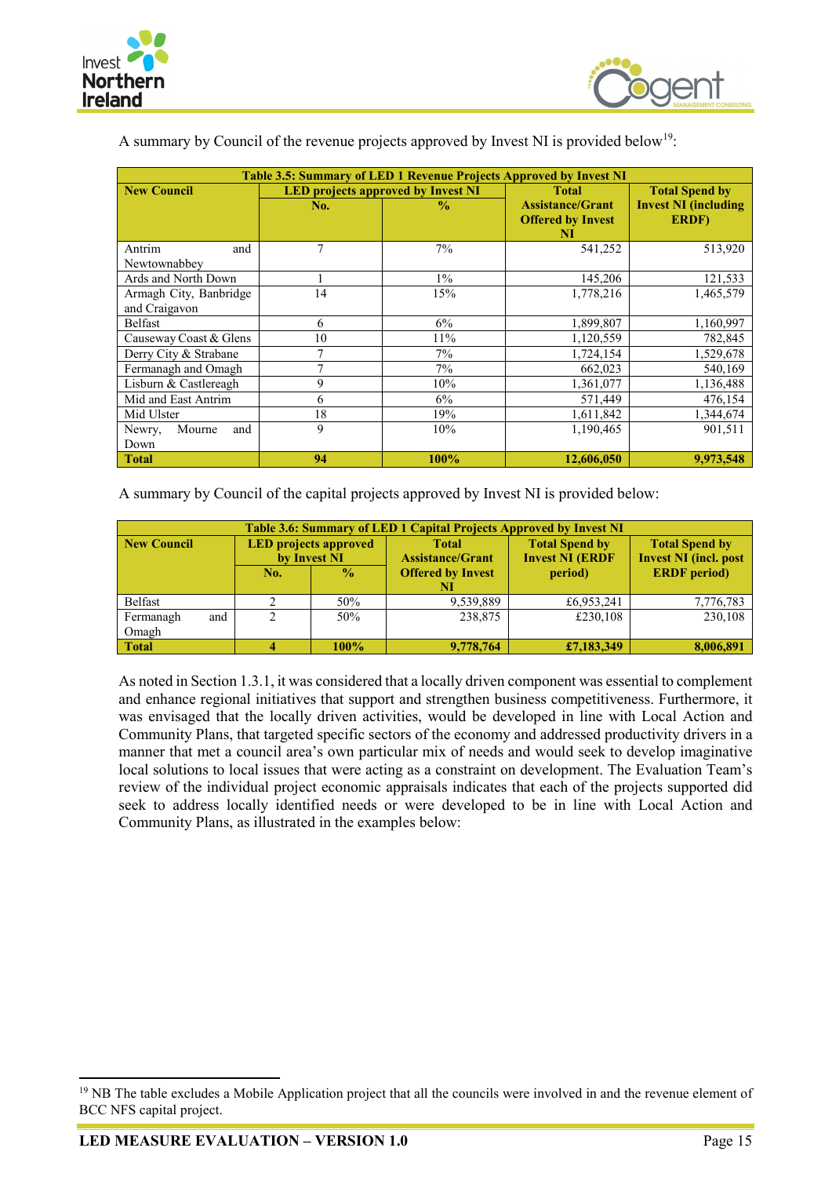



| A summary by Council of the revenue projects approved by Invest NI is provided below <sup>19</sup> : |  |  |  |  |  |  |  |  |
|------------------------------------------------------------------------------------------------------|--|--|--|--|--|--|--|--|
|                                                                                                      |  |  |  |  |  |  |  |  |

| Table 3.5: Summary of LED 1 Revenue Projects Approved by Invest NI |                                           |               |                                                     |                                      |  |  |  |  |  |  |
|--------------------------------------------------------------------|-------------------------------------------|---------------|-----------------------------------------------------|--------------------------------------|--|--|--|--|--|--|
| <b>New Council</b>                                                 | <b>LED</b> projects approved by Invest NI |               | <b>Total</b>                                        | <b>Total Spend by</b>                |  |  |  |  |  |  |
|                                                                    | No.                                       | $\frac{0}{0}$ | <b>Assistance/Grant</b><br><b>Offered by Invest</b> | <b>Invest NI (including</b><br>ERDF) |  |  |  |  |  |  |
|                                                                    |                                           |               | NI                                                  |                                      |  |  |  |  |  |  |
| Antrim<br>and                                                      | 7                                         | 7%            | 541,252                                             | 513,920                              |  |  |  |  |  |  |
| Newtownabbey                                                       |                                           |               |                                                     |                                      |  |  |  |  |  |  |
| Ards and North Down                                                |                                           | $1\%$         | 145,206                                             | 121,533                              |  |  |  |  |  |  |
| Armagh City, Banbridge                                             | 14                                        | 15%           | 1,778,216                                           | 1,465,579                            |  |  |  |  |  |  |
| and Craigavon                                                      |                                           |               |                                                     |                                      |  |  |  |  |  |  |
| Belfast                                                            | 6                                         | 6%            | 1,899,807                                           | 1,160,997                            |  |  |  |  |  |  |
| Causeway Coast & Glens                                             | 10                                        | 11%           | 1,120,559                                           | 782,845                              |  |  |  |  |  |  |
| Derry City & Strabane                                              | 7                                         | $7\%$         | 1,724,154                                           | 1,529,678                            |  |  |  |  |  |  |
| Fermanagh and Omagh                                                | 7                                         | 7%            | 662,023                                             | 540,169                              |  |  |  |  |  |  |
| Lisburn & Castlereagh                                              | 9                                         | 10%           | 1,361,077                                           | 1,136,488                            |  |  |  |  |  |  |
| Mid and East Antrim                                                | 6                                         | 6%            | 571,449                                             | 476,154                              |  |  |  |  |  |  |
| Mid Ulster                                                         | 18                                        | 19%           | 1,611,842                                           | 1,344,674                            |  |  |  |  |  |  |
| Mourne<br>Newry,<br>and                                            | 9                                         | 10%           | 1,190,465                                           | 901,511                              |  |  |  |  |  |  |
| Down                                                               |                                           |               |                                                     |                                      |  |  |  |  |  |  |
| <b>Total</b>                                                       | 94                                        | 100%          | 12,606,050                                          | 9.973.548                            |  |  |  |  |  |  |

A summary by Council of the capital projects approved by Invest NI is provided below:

|                    | <b>Table 3.6: Summary of LED 1 Capital Projects Approved by Invest NI</b> |                                              |                                         |                                                 |                                                       |  |  |  |  |  |  |  |
|--------------------|---------------------------------------------------------------------------|----------------------------------------------|-----------------------------------------|-------------------------------------------------|-------------------------------------------------------|--|--|--|--|--|--|--|
| <b>New Council</b> |                                                                           | <b>LED</b> projects approved<br>by Invest NI | <b>Total</b><br><b>Assistance/Grant</b> | <b>Total Spend by</b><br><b>Invest NI (ERDF</b> | <b>Total Spend by</b><br><b>Invest NI</b> (incl. post |  |  |  |  |  |  |  |
|                    | No.                                                                       | $\frac{0}{0}$                                | <b>Offered by Invest</b><br>NI          | period)                                         | <b>ERDF</b> period)                                   |  |  |  |  |  |  |  |
| Belfast            |                                                                           | 50%                                          | 9.539.889                               | £6,953,241                                      | 7,776,783                                             |  |  |  |  |  |  |  |
| Fermanagh<br>and   |                                                                           | 50%                                          | 238,875                                 | £230,108                                        | 230.108                                               |  |  |  |  |  |  |  |
| Omagh              |                                                                           |                                              |                                         |                                                 |                                                       |  |  |  |  |  |  |  |
| <b>Total</b>       |                                                                           | 100%                                         | 9,778,764                               | £7,183,349                                      | 8,006,891                                             |  |  |  |  |  |  |  |

As noted in Section 1.3.1, it was considered that a locally driven component was essential to complement and enhance regional initiatives that support and strengthen business competitiveness. Furthermore, it was envisaged that the locally driven activities, would be developed in line with Local Action and Community Plans, that targeted specific sectors of the economy and addressed productivity drivers in a manner that met a council area's own particular mix of needs and would seek to develop imaginative local solutions to local issues that were acting as a constraint on development. The Evaluation Team's review of the individual project economic appraisals indicates that each of the projects supported did seek to address locally identified needs or were developed to be in line with Local Action and Community Plans, as illustrated in the examples below:

<span id="page-32-0"></span><sup>&</sup>lt;sup>19</sup> NB The table excludes a Mobile Application project that all the councils were involved in and the revenue element of BCC NFS capital project.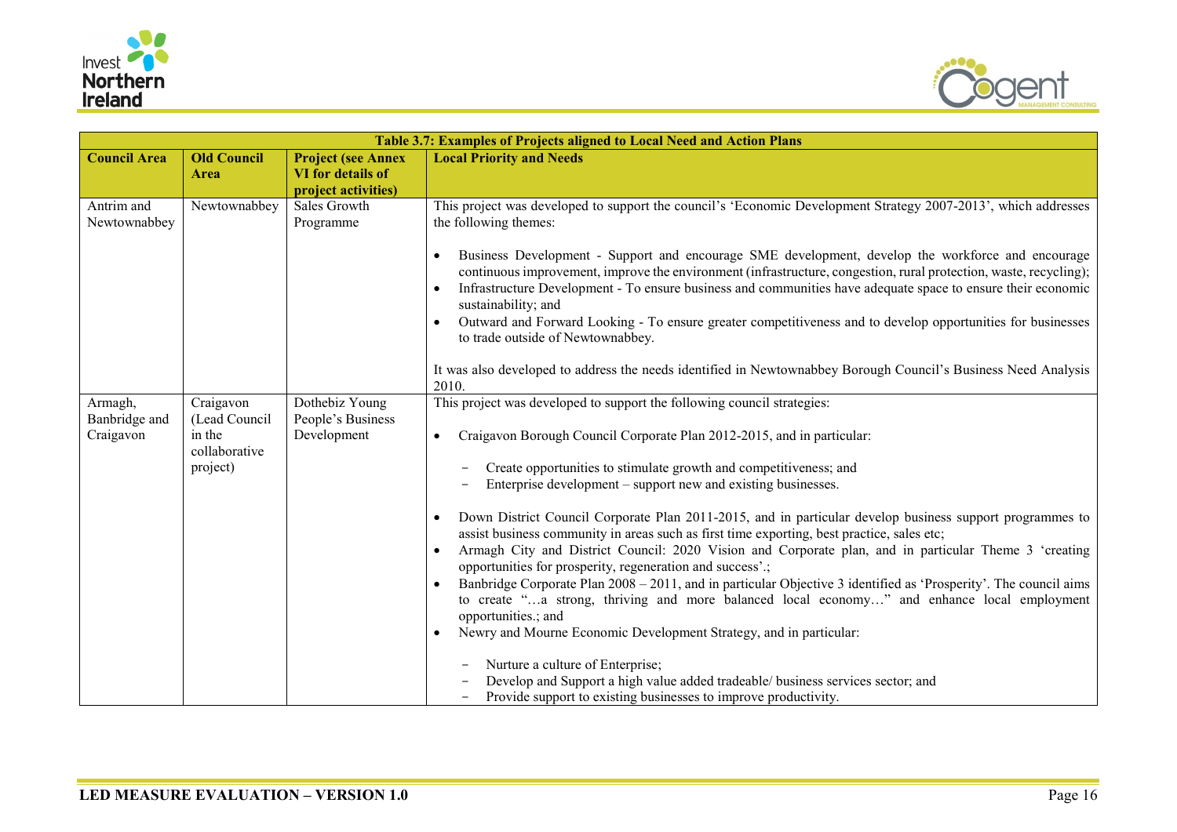



|                                       |                                                                   |                                                                       | Table 3.7: Examples of Projects aligned to Local Need and Action Plans                                                                                                                                                                                                                                                                                                                                                                                                                                                                                                                                                                                                                                                                                                                                                                                                                                                                                                                                                                                                                                                                                                                         |
|---------------------------------------|-------------------------------------------------------------------|-----------------------------------------------------------------------|------------------------------------------------------------------------------------------------------------------------------------------------------------------------------------------------------------------------------------------------------------------------------------------------------------------------------------------------------------------------------------------------------------------------------------------------------------------------------------------------------------------------------------------------------------------------------------------------------------------------------------------------------------------------------------------------------------------------------------------------------------------------------------------------------------------------------------------------------------------------------------------------------------------------------------------------------------------------------------------------------------------------------------------------------------------------------------------------------------------------------------------------------------------------------------------------|
| <b>Council Area</b>                   | <b>Old Council</b><br><b>Area</b>                                 | <b>Project (see Annex</b><br>VI for details of<br>project activities) | <b>Local Priority and Needs</b>                                                                                                                                                                                                                                                                                                                                                                                                                                                                                                                                                                                                                                                                                                                                                                                                                                                                                                                                                                                                                                                                                                                                                                |
| Antrim and<br>Newtownabbey            | Newtownabbey                                                      | Sales Growth<br>Programme                                             | This project was developed to support the council's 'Economic Development Strategy 2007-2013', which addresses<br>the following themes:<br>Business Development - Support and encourage SME development, develop the workforce and encourage<br>$\bullet$<br>continuous improvement, improve the environment (infrastructure, congestion, rural protection, waste, recycling);<br>Infrastructure Development - To ensure business and communities have adequate space to ensure their economic<br>sustainability; and<br>Outward and Forward Looking - To ensure greater competitiveness and to develop opportunities for businesses<br>to trade outside of Newtownabbey.<br>It was also developed to address the needs identified in Newtownabbey Borough Council's Business Need Analysis<br>2010.                                                                                                                                                                                                                                                                                                                                                                                           |
| Armagh,<br>Banbridge and<br>Craigavon | Craigavon<br>(Lead Council<br>in the<br>collaborative<br>project) | Dothebiz Young<br>People's Business<br>Development                    | This project was developed to support the following council strategies:<br>Craigavon Borough Council Corporate Plan 2012-2015, and in particular:<br>Create opportunities to stimulate growth and competitiveness; and<br>Enterprise development – support new and existing businesses.<br>Down District Council Corporate Plan 2011-2015, and in particular develop business support programmes to<br>assist business community in areas such as first time exporting, best practice, sales etc;<br>Armagh City and District Council: 2020 Vision and Corporate plan, and in particular Theme 3 'creating<br>opportunities for prosperity, regeneration and success'.;<br>Banbridge Corporate Plan 2008 – 2011, and in particular Objective 3 identified as 'Prosperity'. The council aims<br>to create "a strong, thriving and more balanced local economy" and enhance local employment<br>opportunities.; and<br>Newry and Mourne Economic Development Strategy, and in particular:<br>$\bullet$<br>Nurture a culture of Enterprise;<br>Develop and Support a high value added tradeable/ business services sector; and<br>Provide support to existing businesses to improve productivity. |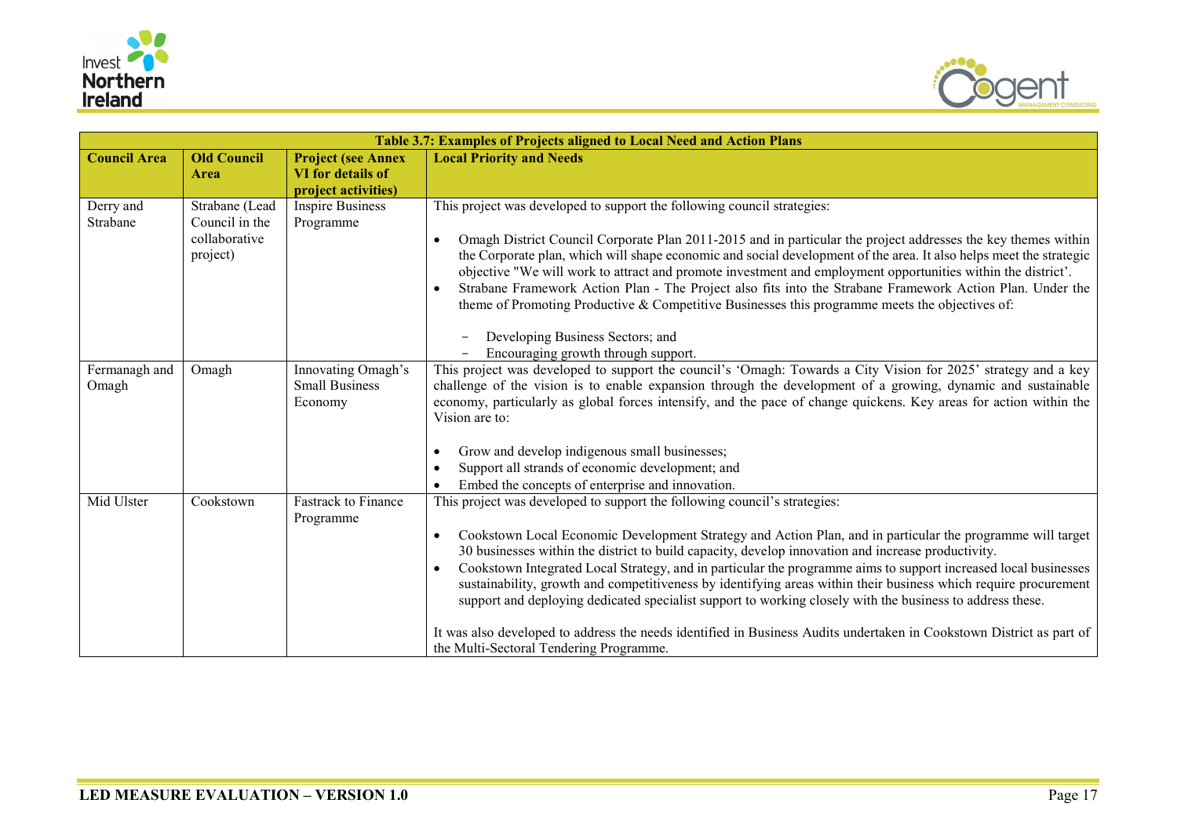



|                        |                                                               |                                                                       | Table 3.7: Examples of Projects aligned to Local Need and Action Plans                                                                                                                                                                                                                                                                                                                                                                                                                                                                                                                                                                                                                                                                                                                                                                        |
|------------------------|---------------------------------------------------------------|-----------------------------------------------------------------------|-----------------------------------------------------------------------------------------------------------------------------------------------------------------------------------------------------------------------------------------------------------------------------------------------------------------------------------------------------------------------------------------------------------------------------------------------------------------------------------------------------------------------------------------------------------------------------------------------------------------------------------------------------------------------------------------------------------------------------------------------------------------------------------------------------------------------------------------------|
| <b>Council Area</b>    | <b>Old Council</b><br>Area                                    | <b>Project (see Annex</b><br>VI for details of<br>project activities) | <b>Local Priority and Needs</b>                                                                                                                                                                                                                                                                                                                                                                                                                                                                                                                                                                                                                                                                                                                                                                                                               |
| Derry and<br>Strabane  | Strabane (Lead<br>Council in the<br>collaborative<br>project) | <b>Inspire Business</b><br>Programme                                  | This project was developed to support the following council strategies:<br>Omagh District Council Corporate Plan 2011-2015 and in particular the project addresses the key themes within<br>$\bullet$<br>the Corporate plan, which will shape economic and social development of the area. It also helps meet the strategic<br>objective "We will work to attract and promote investment and employment opportunities within the district'.<br>Strabane Framework Action Plan - The Project also fits into the Strabane Framework Action Plan. Under the<br>$\bullet$<br>theme of Promoting Productive & Competitive Businesses this programme meets the objectives of:<br>Developing Business Sectors; and<br>Encouraging growth through support.                                                                                            |
| Fermanagh and<br>Omagh | Omagh                                                         | Innovating Omagh's<br><b>Small Business</b><br>Economy                | This project was developed to support the council's 'Omagh: Towards a City Vision for 2025' strategy and a key<br>challenge of the vision is to enable expansion through the development of a growing, dynamic and sustainable<br>economy, particularly as global forces intensify, and the pace of change quickens. Key areas for action within the<br>Vision are to:<br>Grow and develop indigenous small businesses;<br>Support all strands of economic development; and<br>Embed the concepts of enterprise and innovation.                                                                                                                                                                                                                                                                                                               |
| Mid Ulster             | Cookstown                                                     | <b>Fastrack</b> to Finance<br>Programme                               | This project was developed to support the following council's strategies:<br>Cookstown Local Economic Development Strategy and Action Plan, and in particular the programme will target<br>$\bullet$<br>30 businesses within the district to build capacity, develop innovation and increase productivity.<br>Cookstown Integrated Local Strategy, and in particular the programme aims to support increased local businesses<br>$\bullet$<br>sustainability, growth and competitiveness by identifying areas within their business which require procurement<br>support and deploying dedicated specialist support to working closely with the business to address these.<br>It was also developed to address the needs identified in Business Audits undertaken in Cookstown District as part of<br>the Multi-Sectoral Tendering Programme. |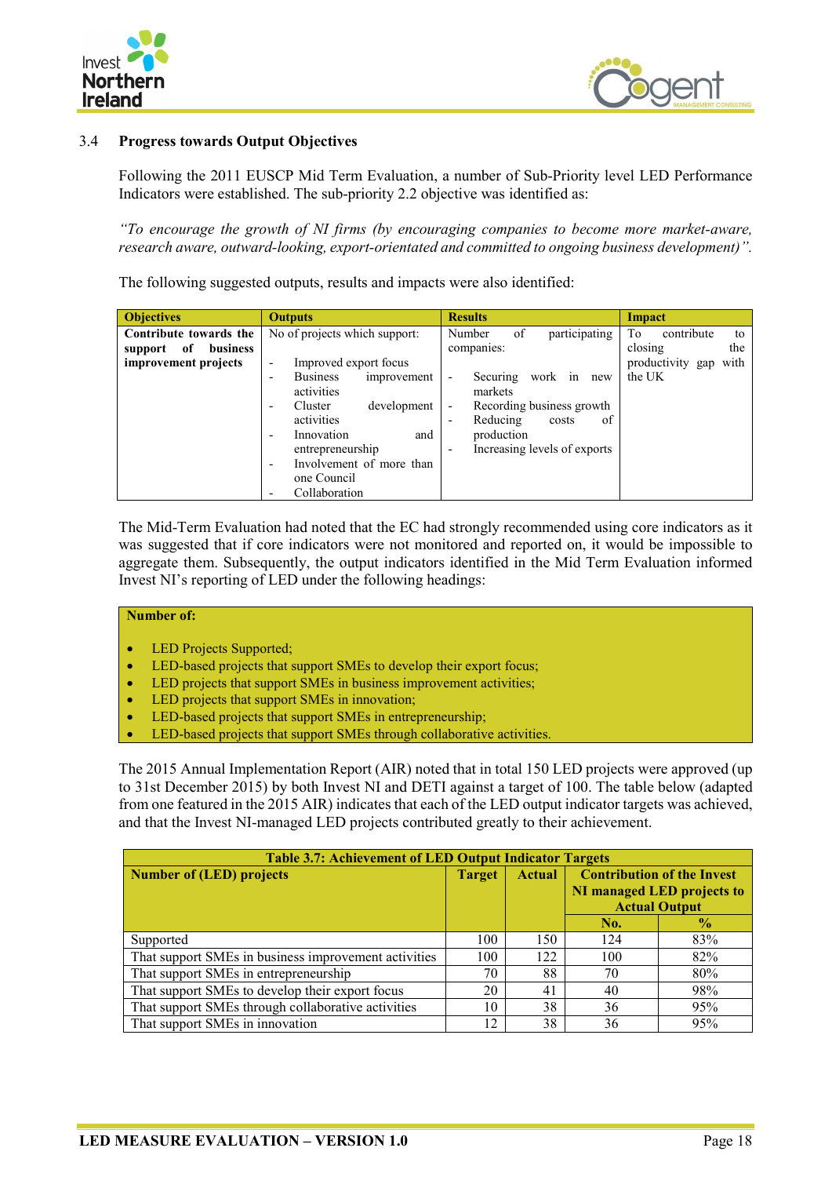



## <span id="page-35-0"></span>3.4 **Progress towards Output Objectives**

Following the 2011 EUSCP Mid Term Evaluation, a number of Sub-Priority level LED Performance Indicators were established. The sub-priority 2.2 objective was identified as:

*"To encourage the growth of NI firms (by encouraging companies to become more market-aware, research aware, outward-looking, export-orientated and committed to ongoing business development)".*

The following suggested outputs, results and impacts were also identified:

The Mid-Term Evaluation had noted that the EC had strongly recommended using core indicators as it was suggested that if core indicators were not monitored and reported on, it would be impossible to aggregate them. Subsequently, the output indicators identified in the Mid Term Evaluation informed Invest NI's reporting of LED under the following headings:

### **Number of:**

- LED Projects Supported;
- LED-based projects that support SMEs to develop their export focus;
- LED projects that support SMEs in business improvement activities;
- LED projects that support SMEs in innovation;
- LED-based projects that support SMEs in entrepreneurship;
- LED-based projects that support SMEs through collaborative activities.

The 2015 Annual Implementation Report (AIR) noted that in total 150 LED projects were approved (up to 31st December 2015) by both Invest NI and DETI against a target of 100. The table below (adapted from one featured in the 2015 AIR) indicates that each of the LED output indicator targets was achieved, and that the Invest NI-managed LED projects contributed greatly to their achievement.

| <b>Table 3.7: Achievement of LED Output Indicator Targets</b> |               |               |                                   |                            |  |  |  |  |  |  |
|---------------------------------------------------------------|---------------|---------------|-----------------------------------|----------------------------|--|--|--|--|--|--|
| <b>Number of (LED) projects</b>                               | <b>Target</b> | <b>Actual</b> | <b>Contribution of the Invest</b> |                            |  |  |  |  |  |  |
|                                                               |               |               |                                   | NI managed LED projects to |  |  |  |  |  |  |
|                                                               |               |               |                                   | <b>Actual Output</b>       |  |  |  |  |  |  |
|                                                               |               |               | No.                               | $\frac{0}{2}$              |  |  |  |  |  |  |
| Supported                                                     | 100           | 150           | 124                               | 83%                        |  |  |  |  |  |  |
| That support SMEs in business improvement activities          | 100           | 122           | 100                               | 82%                        |  |  |  |  |  |  |
| That support SMEs in entrepreneurship                         | 70            | 88            | 70                                | 80%                        |  |  |  |  |  |  |
| That support SMEs to develop their export focus               | 20            | 41            | 40                                | 98%                        |  |  |  |  |  |  |
| That support SMEs through collaborative activities            | 10            | 38            | 36                                | 95%                        |  |  |  |  |  |  |
| That support SMEs in innovation                               | 12            | 38            | 36                                | 95%                        |  |  |  |  |  |  |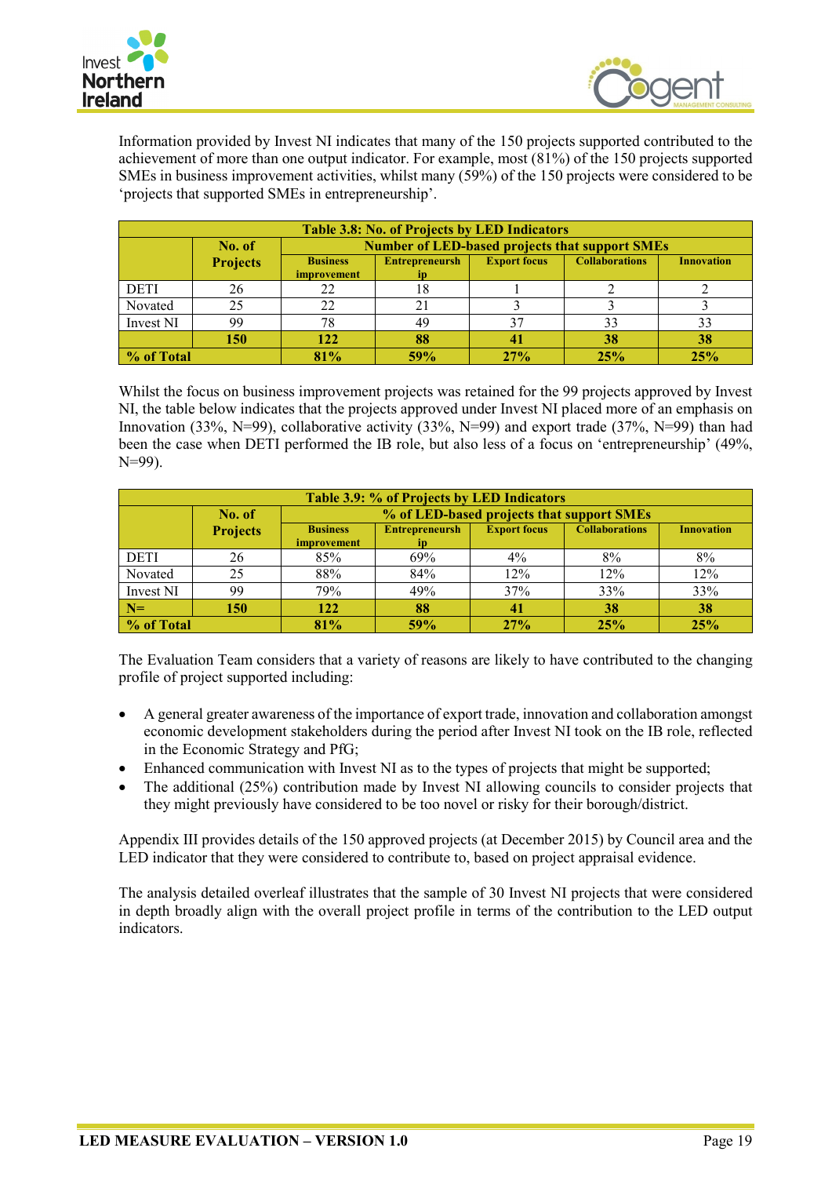



Information provided by Invest NI indicates that many of the 150 projects supported contributed to the achievement of more than one output indicator. For example, most (81%) of the 150 projects supported SMEs in business improvement activities, whilst many (59%) of the 150 projects were considered to be 'projects that supported SMEs in entrepreneurship'.

|             | <b>Table 3.8: No. of Projects by LED Indicators</b> |                                                       |                                                                                            |     |     |     |  |  |  |  |  |
|-------------|-----------------------------------------------------|-------------------------------------------------------|--------------------------------------------------------------------------------------------|-----|-----|-----|--|--|--|--|--|
|             | No. of                                              | <b>Number of LED-based projects that support SMEs</b> |                                                                                            |     |     |     |  |  |  |  |  |
|             | <b>Projects</b>                                     | <b>Business</b><br>improvement                        | <b>Collaborations</b><br><b>Entrepreneursh</b><br><b>Export focus</b><br><b>Innovation</b> |     |     |     |  |  |  |  |  |
| <b>DETI</b> | 26                                                  | 22                                                    | 18                                                                                         |     |     |     |  |  |  |  |  |
| Novated     | 25                                                  | 22                                                    |                                                                                            |     |     |     |  |  |  |  |  |
| Invest NI   | 99                                                  | 78                                                    | 49                                                                                         |     | 33  |     |  |  |  |  |  |
|             | 150                                                 | 122                                                   | 88                                                                                         | 4   | 38  | 38  |  |  |  |  |  |
| % of Total  |                                                     | 81%                                                   | 59%                                                                                        | 27% | 25% | 25% |  |  |  |  |  |

Whilst the focus on business improvement projects was retained for the 99 projects approved by Invest NI, the table below indicates that the projects approved under Invest NI placed more of an emphasis on Innovation (33%, N=99), collaborative activity (33%, N=99) and export trade (37%, N=99) than had been the case when DETI performed the IB role, but also less of a focus on 'entrepreneurship' (49%, N=99).

|             | Table 3.9: % of Projects by LED Indicators |                                |                                                                                            |       |     |     |  |  |  |  |  |  |
|-------------|--------------------------------------------|--------------------------------|--------------------------------------------------------------------------------------------|-------|-----|-----|--|--|--|--|--|--|
|             | No. of                                     |                                | % of LED-based projects that support SMEs                                                  |       |     |     |  |  |  |  |  |  |
|             | <b>Projects</b>                            | <b>Business</b><br>improvement | <b>Collaborations</b><br><b>Export focus</b><br><b>Entrepreneursh</b><br><b>Innovation</b> |       |     |     |  |  |  |  |  |  |
| <b>DETI</b> | 26                                         | 85%                            | 69%                                                                                        | $4\%$ | 8%  | 8%  |  |  |  |  |  |  |
| Novated     | 25                                         | 88%                            | 84%                                                                                        | 12%   | 12% | 12% |  |  |  |  |  |  |
| Invest NI   | 99                                         | 79%                            | 49%                                                                                        | 37%   | 33% | 33% |  |  |  |  |  |  |
| $N=$        | 150                                        | 122                            | 88                                                                                         | 41    | 38  | 38  |  |  |  |  |  |  |
| % of Total  |                                            | 81%                            | 59%                                                                                        | 27%   | 25% | 25% |  |  |  |  |  |  |

The Evaluation Team considers that a variety of reasons are likely to have contributed to the changing profile of project supported including:

- A general greater awareness of the importance of export trade, innovation and collaboration amongst economic development stakeholders during the period after Invest NI took on the IB role, reflected in the Economic Strategy and PfG;
- Enhanced communication with Invest NI as to the types of projects that might be supported;
- The additional (25%) contribution made by Invest NI allowing councils to consider projects that they might previously have considered to be too novel or risky for their borough/district.

Appendix III provides details of the 150 approved projects (at December 2015) by Council area and the LED indicator that they were considered to contribute to, based on project appraisal evidence.

The analysis detailed overleaf illustrates that the sample of 30 Invest NI projects that were considered in depth broadly align with the overall project profile in terms of the contribution to the LED output indicators.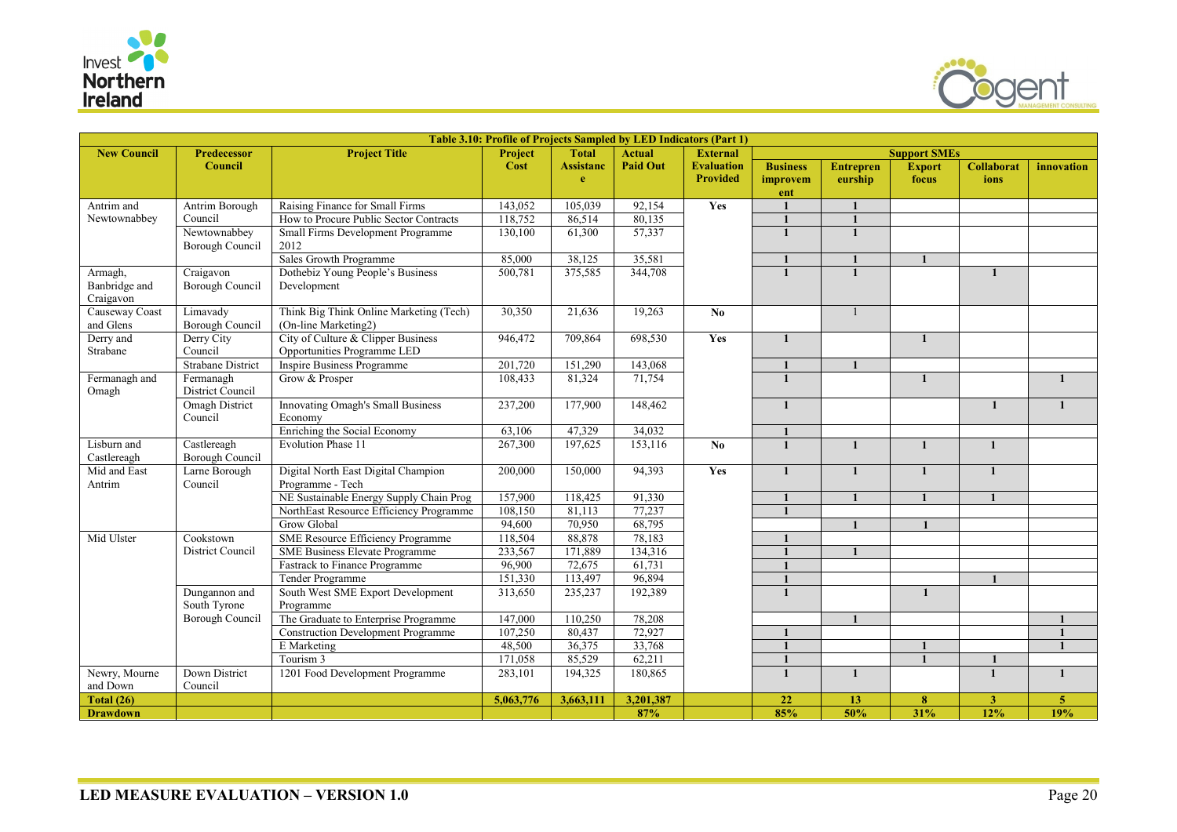



|                             | Table 3.10: Profile of Projects Sampled by LED Indicators (Part 1) |                                                                   |           |                  |                 |                        |                 |                  |                     |                   |                |
|-----------------------------|--------------------------------------------------------------------|-------------------------------------------------------------------|-----------|------------------|-----------------|------------------------|-----------------|------------------|---------------------|-------------------|----------------|
| <b>New Council</b>          | <b>Predecessor</b>                                                 | <b>Project Title</b>                                              | Project   | <b>Total</b>     | <b>Actual</b>   | <b>External</b>        |                 |                  | <b>Support SMEs</b> |                   |                |
|                             | <b>Council</b>                                                     |                                                                   | Cost      | <b>Assistanc</b> | <b>Paid Out</b> | <b>Evaluation</b>      | <b>Business</b> | <b>Entrepren</b> | <b>Export</b>       | <b>Collaborat</b> | innovation     |
|                             |                                                                    |                                                                   |           | $\mathbf{e}$     |                 | <b>Provided</b>        | improvem        | eurship          | focus               | ions              |                |
|                             |                                                                    |                                                                   |           |                  |                 | Yes                    | ent             |                  |                     |                   |                |
| Antrim and<br>Newtownabbey  | Antrim Borough<br>Council                                          | Raising Finance for Small Firms                                   | 143,052   | 105,039          | 92,154          |                        |                 |                  |                     |                   |                |
|                             |                                                                    | How to Procure Public Sector Contracts                            | 118,752   | 86,514           | 80,135          |                        |                 |                  |                     |                   |                |
|                             | Newtownabbey<br><b>Borough Council</b>                             | Small Firms Development Programme<br>2012                         | 130,100   | 61,300           | 57,337          |                        | $\mathbf{1}$    | 1                |                     |                   |                |
|                             |                                                                    | Sales Growth Programme                                            | 85,000    | 38,125           | 35,581          |                        |                 |                  | $\mathbf{1}$        |                   |                |
| Armagh,<br>Banbridge and    | Craigavon<br>Borough Council                                       | Dothebiz Young People's Business<br>Development                   | 500,781   | 375,585          | 344,708         |                        |                 |                  |                     | $\mathbf{1}$      |                |
| Craigavon                   |                                                                    |                                                                   |           |                  |                 |                        |                 |                  |                     |                   |                |
| Causeway Coast<br>and Glens | Limavady<br>Borough Council                                        | Think Big Think Online Marketing (Tech)<br>(On-line Marketing2)   | 30,350    | 21,636           | 19,263          | $\mathbf{N}\mathbf{0}$ |                 | $\mathbf{1}$     |                     |                   |                |
| Derry and<br>Strabane       | Derry City<br>Council                                              | City of Culture & Clipper Business<br>Opportunities Programme LED | 946,472   | 709,864          | 698,530         | Yes                    | $\mathbf{1}$    |                  | $\mathbf{1}$        |                   |                |
|                             | <b>Strabane District</b>                                           | <b>Inspire Business Programme</b>                                 | 201,720   | 151,290          | 143,068         |                        |                 |                  |                     |                   |                |
| Fermanagh and               | Fermanagh<br>District Council                                      | Grow & Prosper                                                    | 108,433   | 81,324           | 71,754          |                        |                 |                  | $\mathbf{1}$        |                   | $\mathbf{1}$   |
| Omagh                       | <b>Omagh District</b>                                              | Innovating Omagh's Small Business                                 | 237,200   | 177,900          | 148,462         |                        | $\mathbf{1}$    |                  |                     | $\mathbf{1}$      | $\mathbf{1}$   |
|                             | Council                                                            | Economy                                                           |           |                  |                 |                        |                 |                  |                     |                   |                |
|                             |                                                                    | Enriching the Social Economy                                      | 63,106    | 47,329           | 34,032          |                        |                 |                  |                     |                   |                |
| Lisburn and                 | Castlereagh                                                        | <b>Evolution Phase 11</b>                                         | 267,300   | 197,625          | 153,116         | N <sub>0</sub>         | $\mathbf{1}$    |                  |                     | $\blacksquare$    |                |
| Castlereagh                 | Borough Council                                                    |                                                                   |           |                  |                 |                        |                 |                  |                     |                   |                |
| Mid and East                | Larne Borough                                                      | Digital North East Digital Champion                               | 200,000   | 150,000          | 94,393          | Yes                    | $\mathbf{1}$    | $\mathbf{1}$     | $\mathbf{1}$        | $\mathbf{1}$      |                |
| Antrim                      | Council                                                            | Programme - Tech                                                  |           |                  |                 |                        |                 |                  |                     |                   |                |
|                             |                                                                    | NE Sustainable Energy Supply Chain Prog                           | 157,900   | 118,425          | 91,330          |                        | $\blacksquare$  |                  | $\mathbf{1}$        | $\blacksquare$    |                |
|                             |                                                                    | NorthEast Resource Efficiency Programme                           | 108,150   | 81,113           | 77,237          |                        | $\mathbf{1}$    |                  |                     |                   |                |
|                             |                                                                    | <b>Grow Global</b>                                                | 94,600    | 70,950           | 68,795          |                        |                 |                  |                     |                   |                |
| Mid Ulster                  | Cookstown                                                          | <b>SME Resource Efficiency Programme</b>                          | 118,504   | 88,878           | 78,183          |                        |                 |                  |                     |                   |                |
|                             | District Council                                                   | <b>SME Business Elevate Programme</b>                             | 233,567   | 171,889          | 134,316         |                        |                 |                  |                     |                   |                |
|                             |                                                                    | <b>Fastrack to Finance Programme</b>                              | 96,900    | 72,675           | 61,731          |                        |                 |                  |                     |                   |                |
|                             |                                                                    | Tender Programme                                                  | 151,330   | 113,497          | 96,894          |                        |                 |                  |                     |                   |                |
|                             | Dungannon and                                                      | South West SME Export Development                                 | 313,650   | 235,237          | 192,389         |                        | $\mathbf{1}$    |                  | $\mathbf{1}$        |                   |                |
|                             | South Tyrone                                                       | Programme                                                         |           |                  |                 |                        |                 |                  |                     |                   |                |
|                             | Borough Council                                                    | The Graduate to Enterprise Programme                              | 147,000   | 110,250          | 78,208          |                        |                 |                  |                     |                   |                |
|                             |                                                                    | <b>Construction Development Programme</b>                         | 107,250   | 80,437           | 72,927          |                        |                 |                  |                     |                   | $\mathbf{1}$   |
|                             |                                                                    | E Marketing                                                       | 48,500    | 36,375           | 33,768          |                        | $\blacksquare$  |                  |                     |                   | $\mathbf{1}$   |
|                             |                                                                    | Tourism 3                                                         | 171,058   | 85,529           | 62,211          |                        |                 |                  |                     |                   |                |
| Newry, Mourne               | Down District                                                      | 1201 Food Development Programme                                   | 283,101   | 194,325          | 180.865         |                        | $\mathbf{1}$    | $\mathbf{1}$     |                     | $\mathbf{1}$      | $\mathbf{1}$   |
| and Down                    | Council                                                            |                                                                   |           |                  |                 |                        |                 |                  |                     |                   |                |
| Total $(26)$                |                                                                    |                                                                   | 5,063,776 | 3,663,111        | 3,201,387       |                        | 22              | 13               | 8                   | 3 <sup>1</sup>    | $\overline{5}$ |
| <b>Drawdown</b>             |                                                                    |                                                                   |           |                  | 87%             |                        | 85%             | 50%              | 31%                 | 12%               | 19%            |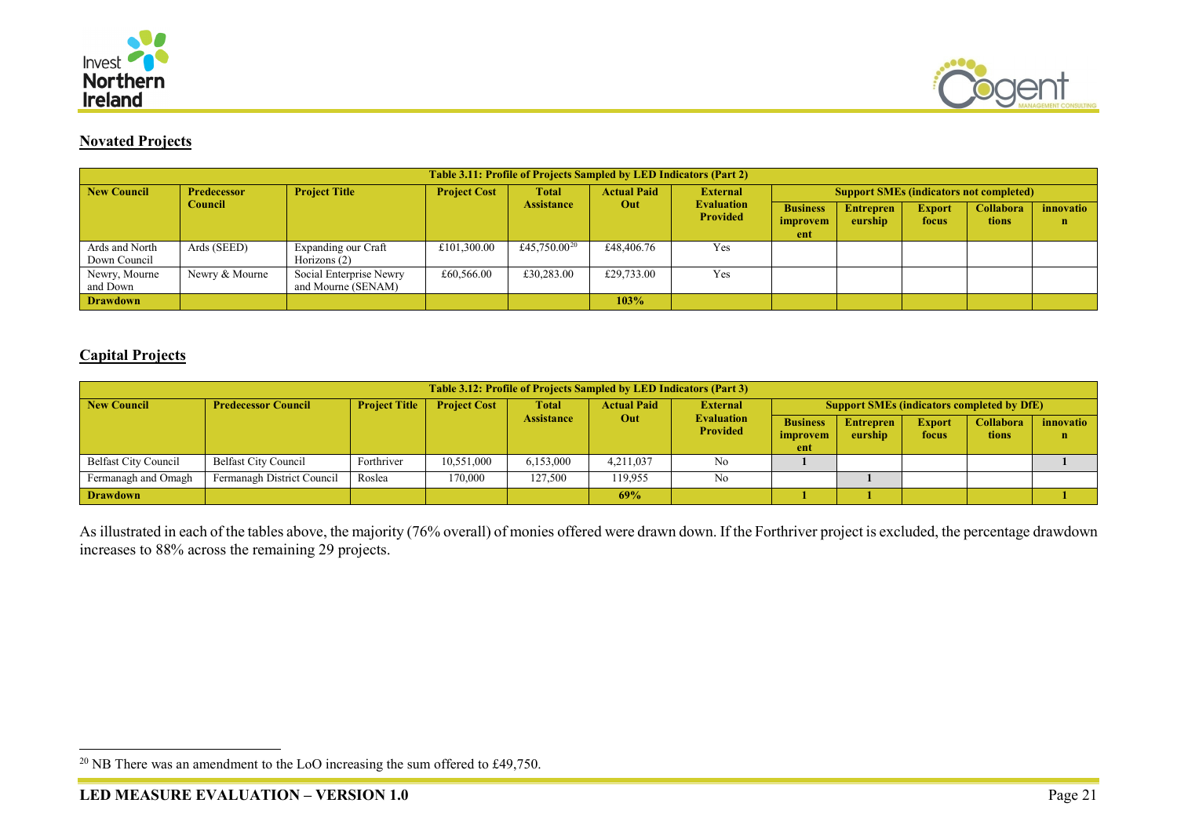

<span id="page-38-0"></span>

## **Novated Projects**

|                                | <b>Table 3.11: Profile of Projects Sampled by LED Indicators (Part 2)</b> |                                               |                     |                          |                    |                                      |                                                |                  |               |                  |           |  |  |
|--------------------------------|---------------------------------------------------------------------------|-----------------------------------------------|---------------------|--------------------------|--------------------|--------------------------------------|------------------------------------------------|------------------|---------------|------------------|-----------|--|--|
| <b>New Council</b>             | <b>Predecessor</b>                                                        | <b>Project Title</b>                          | <b>Project Cost</b> | <b>Total</b>             | <b>Actual Paid</b> | <b>External</b>                      | <b>Support SMEs (indicators not completed)</b> |                  |               |                  |           |  |  |
|                                | Council                                                                   |                                               |                     | <b>Assistance</b>        | Out                | <b>Evaluation</b><br><b>Provided</b> | <b>Business</b>                                | <b>Entrepren</b> | <b>Export</b> | <b>Collabora</b> | innovatio |  |  |
|                                |                                                                           |                                               |                     |                          |                    |                                      | improvem<br>ent                                | eurship          | focus         | tions            | n         |  |  |
| Ards and North<br>Down Council | Ards (SEED)                                                               | Expanding our Craft<br>Horizons $(2)$         | £101,300.00         | £45,750.00 <sup>20</sup> | £48,406.76         | Yes                                  |                                                |                  |               |                  |           |  |  |
| Newry, Mourne<br>and Down      | Newry & Mourne                                                            | Social Enterprise Newry<br>and Mourne (SENAM) | £60,566.00          | £30,283.00               | £29,733.00         | Yes                                  |                                                |                  |               |                  |           |  |  |
| <b>Drawdown</b>                |                                                                           |                                               |                     |                          | 103%               |                                      |                                                |                  |               |                  |           |  |  |

## **Capital Projects**

|                             | <b>Table 3.12: Profile of Projects Sampled by LED Indicators (Part 3)</b> |                      |                     |                   |                    |                                      |                                                   |                             |                        |                                  |                          |  |  |
|-----------------------------|---------------------------------------------------------------------------|----------------------|---------------------|-------------------|--------------------|--------------------------------------|---------------------------------------------------|-----------------------------|------------------------|----------------------------------|--------------------------|--|--|
| New Council                 | <b>Predecessor Council</b>                                                | <b>Project Title</b> | <b>Project Cost</b> | Total             | <b>Actual Paid</b> | <b>External</b>                      | <b>Support SMEs (indicators completed by DfE)</b> |                             |                        |                                  |                          |  |  |
|                             |                                                                           |                      |                     | <b>Assistance</b> | Out                | <b>Evaluation</b><br><b>Provided</b> | <b>Business</b><br>improvem                       | <b>Entrepren</b><br>eurship | <b>Export</b><br>focus | <b>Collabora</b><br><b>tions</b> | innovatio<br>$\mathbf n$ |  |  |
|                             |                                                                           |                      |                     |                   |                    |                                      | ent                                               |                             |                        |                                  |                          |  |  |
| <b>Belfast City Council</b> | <b>Belfast City Council</b>                                               | Forthriver           | 10,551,000          | 6,153,000         | 4.211.037          | No                                   |                                                   |                             |                        |                                  |                          |  |  |
| Fermanagh and Omagh         | Fermanagh District Council                                                | Roslea               | 170,000             | 127,500           | 119,955            | No                                   |                                                   |                             |                        |                                  |                          |  |  |
| <b>Drawdown</b>             |                                                                           |                      |                     |                   | 69%                |                                      |                                                   |                             |                        |                                  |                          |  |  |

As illustrated in each of the tables above, the majority (76% overall) of monies offered were drawn down. If the Forthriver project is excluded, the percentage drawdown increases to 88% across the remaining 29 projects.

<sup>&</sup>lt;sup>20</sup> NB There was an amendment to the LoO increasing the sum offered to £49,750.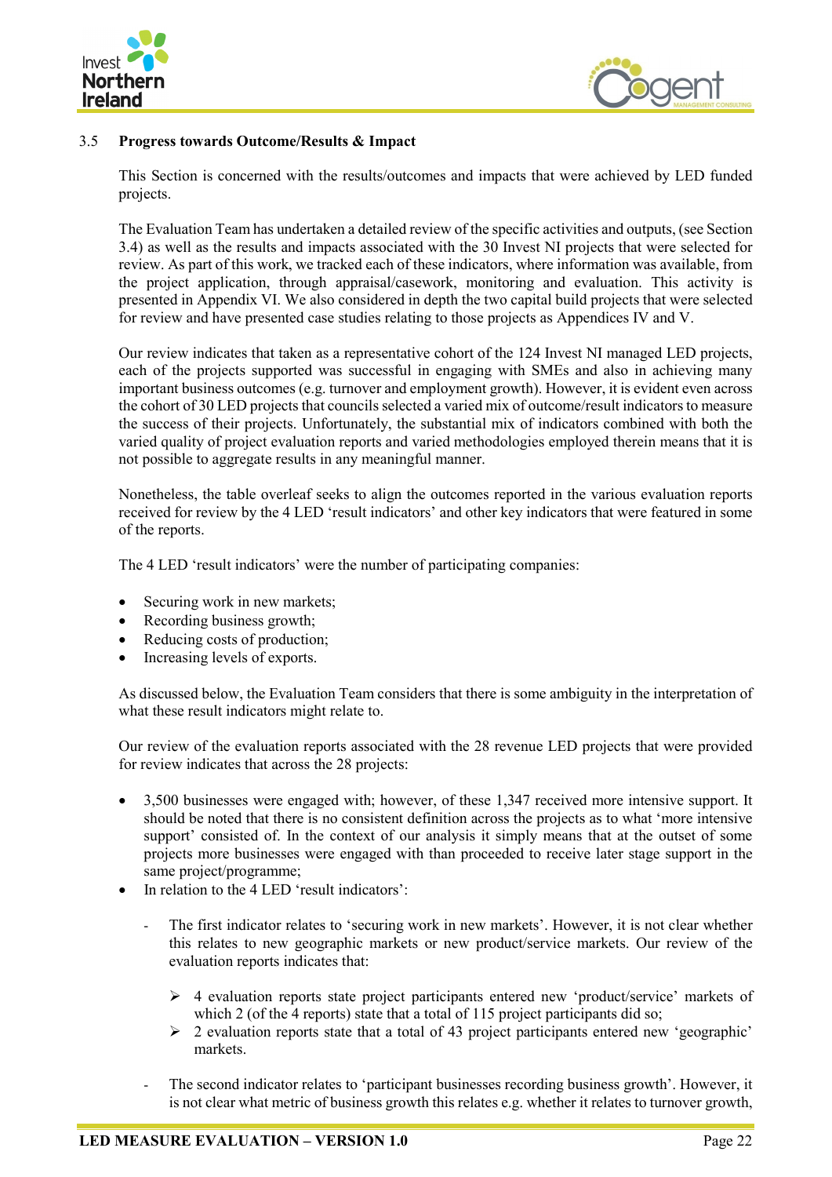



## <span id="page-39-0"></span>3.5 **Progress towards Outcome/Results & Impact**

This Section is concerned with the results/outcomes and impacts that were achieved by LED funded projects.

The Evaluation Team has undertaken a detailed review of the specific activities and outputs, (see Section 3.4) as well as the results and impacts associated with the 30 Invest NI projects that were selected for review. As part of this work, we tracked each of these indicators, where information was available, from the project application, through appraisal/casework, monitoring and evaluation. This activity is presented in Appendix VI. We also considered in depth the two capital build projects that were selected for review and have presented case studies relating to those projects as Appendices IV and V.

Our review indicates that taken as a representative cohort of the 124 Invest NI managed LED projects, each of the projects supported was successful in engaging with SMEs and also in achieving many important business outcomes (e.g. turnover and employment growth). However, it is evident even across the cohort of 30 LED projects that councils selected a varied mix of outcome/result indicators to measure the success of their projects. Unfortunately, the substantial mix of indicators combined with both the varied quality of project evaluation reports and varied methodologies employed therein means that it is not possible to aggregate results in any meaningful manner.

Nonetheless, the table overleaf seeks to align the outcomes reported in the various evaluation reports received for review by the 4 LED 'result indicators' and other key indicators that were featured in some of the reports.

The 4 LED 'result indicators' were the number of participating companies:

- Securing work in new markets;
- Recording business growth;
- Reducing costs of production;
- Increasing levels of exports.

As discussed below, the Evaluation Team considers that there is some ambiguity in the interpretation of what these result indicators might relate to.

Our review of the evaluation reports associated with the 28 revenue LED projects that were provided for review indicates that across the 28 projects:

- 3,500 businesses were engaged with; however, of these 1,347 received more intensive support. It should be noted that there is no consistent definition across the projects as to what 'more intensive support' consisted of. In the context of our analysis it simply means that at the outset of some projects more businesses were engaged with than proceeded to receive later stage support in the same project/programme;
- In relation to the 4 LED 'result indicators':
	- The first indicator relates to 'securing work in new markets'. However, it is not clear whether this relates to new geographic markets or new product/service markets. Our review of the evaluation reports indicates that:
		- $\triangleright$  4 evaluation reports state project participants entered new 'product/service' markets of which 2 (of the 4 reports) state that a total of 115 project participants did so;
		- $\geq 2$  evaluation reports state that a total of 43 project participants entered new 'geographic' markets.
	- The second indicator relates to 'participant businesses recording business growth'. However, it is not clear what metric of business growth this relates e.g. whether it relates to turnover growth,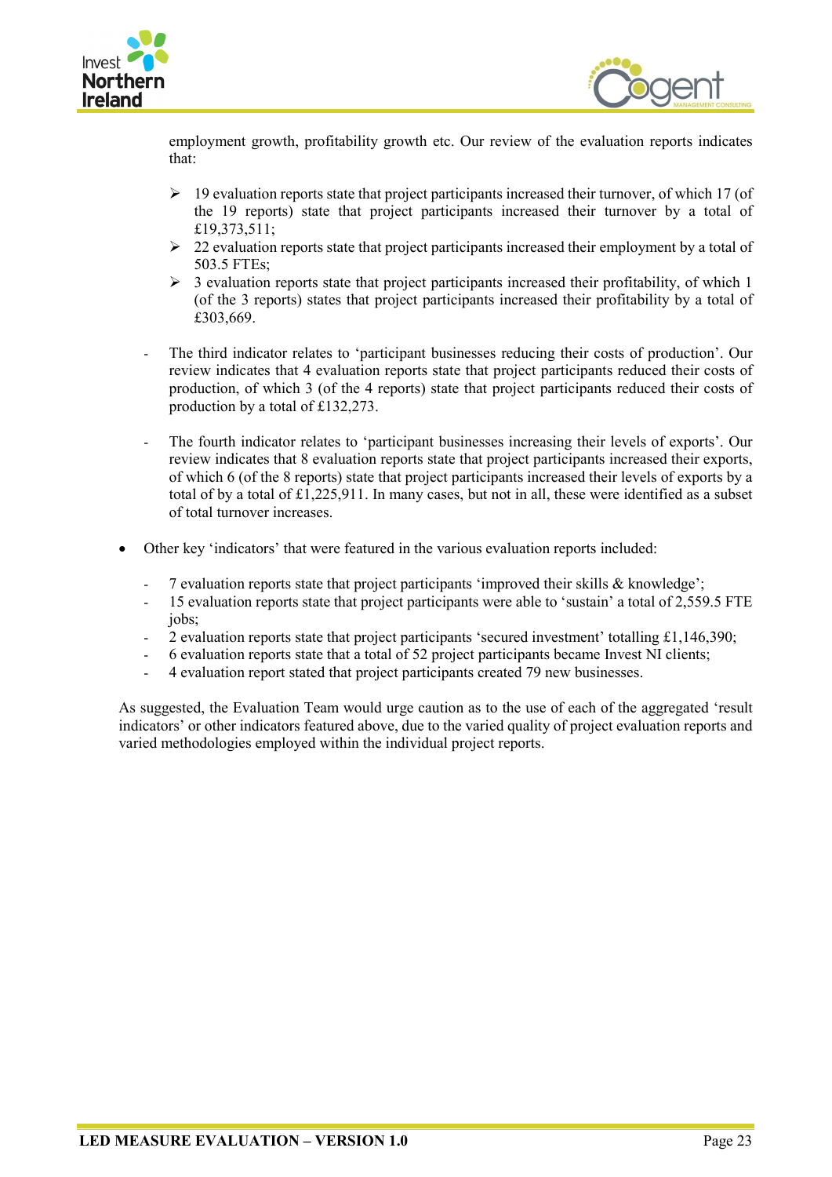



employment growth, profitability growth etc. Our review of the evaluation reports indicates that:

- $\geq 19$  evaluation reports state that project participants increased their turnover, of which 17 (of the 19 reports) state that project participants increased their turnover by a total of £19,373,511;
- $\geq 22$  evaluation reports state that project participants increased their employment by a total of 503.5 FTEs;
- $\geq$  3 evaluation reports state that project participants increased their profitability, of which 1 (of the 3 reports) states that project participants increased their profitability by a total of £303,669.
- The third indicator relates to 'participant businesses reducing their costs of production'. Our review indicates that 4 evaluation reports state that project participants reduced their costs of production, of which 3 (of the 4 reports) state that project participants reduced their costs of production by a total of £132,273.
- The fourth indicator relates to 'participant businesses increasing their levels of exports'. Our review indicates that 8 evaluation reports state that project participants increased their exports, of which 6 (of the 8 reports) state that project participants increased their levels of exports by a total of by a total of  $\pounds1,225,911$ . In many cases, but not in all, these were identified as a subset of total turnover increases.
- Other key 'indicators' that were featured in the various evaluation reports included:
	- 7 evaluation reports state that project participants 'improved their skills & knowledge';
	- 15 evaluation reports state that project participants were able to 'sustain' a total of 2,559.5 FTE jobs;
	- 2 evaluation reports state that project participants 'secured investment' totalling  $\pounds1,146,390;$
	- 6 evaluation reports state that a total of 52 project participants became Invest NI clients;
	- 4 evaluation report stated that project participants created 79 new businesses.

As suggested, the Evaluation Team would urge caution as to the use of each of the aggregated 'result indicators' or other indicators featured above, due to the varied quality of project evaluation reports and varied methodologies employed within the individual project reports.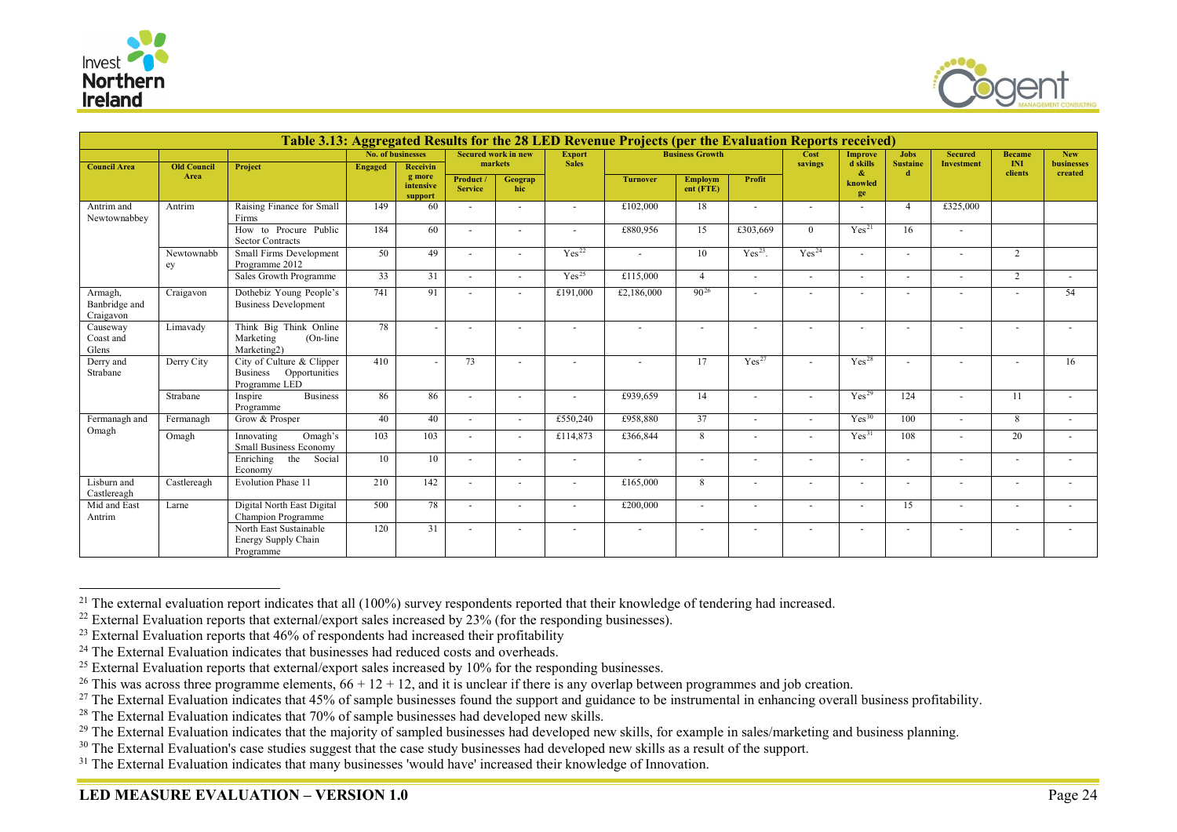

<span id="page-41-10"></span><span id="page-41-9"></span><span id="page-41-8"></span><span id="page-41-7"></span><span id="page-41-6"></span><span id="page-41-5"></span><span id="page-41-4"></span><span id="page-41-3"></span><span id="page-41-2"></span><span id="page-41-1"></span><span id="page-41-0"></span>

|                                       | Table 3.13: Aggregated Results for the 28 LED Revenue Projects (per the Evaluation Reports received) |                                                                      |                   |                                            |                             |                                       |                               |                 |                             |                          |                          |                                    |                                |                                     |                      |                          |
|---------------------------------------|------------------------------------------------------------------------------------------------------|----------------------------------------------------------------------|-------------------|--------------------------------------------|-----------------------------|---------------------------------------|-------------------------------|-----------------|-----------------------------|--------------------------|--------------------------|------------------------------------|--------------------------------|-------------------------------------|----------------------|--------------------------|
|                                       |                                                                                                      |                                                                      | No. of businesses |                                            |                             | <b>Secured work in new</b><br>markets | <b>Export</b><br><b>Sales</b> |                 | <b>Business Growth</b>      |                          | Cost<br>savings          | <b>Improve</b><br>d skills         | <b>Jobs</b><br><b>Sustaine</b> | <b>Secured</b><br><b>Investment</b> | <b>Became</b><br>INI | <b>New</b><br>businesses |
| <b>Council Area</b>                   | <b>Old Council</b><br>Area                                                                           | Project                                                              | <b>Engaged</b>    | Receivin<br>g more<br>intensive<br>support | Product /<br><b>Service</b> | Geograp<br>hic                        |                               | <b>Turnover</b> | <b>Employm</b><br>ent (FTE) | Profit                   |                          | $\mathbf{\alpha}$<br>knowled<br>ge | -d-                            |                                     | clients              | created                  |
| Antrim and<br>Newtownabbey            | Antrim                                                                                               | Raising Finance for Small<br>Firms                                   | 149               | 60                                         |                             | $\sim$                                | $\sim$                        | £102,000        | 18                          |                          |                          |                                    | $\mathbf{4}$                   | £325,000                            |                      |                          |
|                                       |                                                                                                      | How to Procure Public<br><b>Sector Contracts</b>                     | 184               | 60                                         | $\sim$                      | $\sim$                                | $\sim$                        | £880,956        | 15                          | £303,669                 | $\theta$                 | Yes <sup>21</sup>                  | 16                             | $\sim$                              |                      |                          |
|                                       | Newtownabb<br>ey                                                                                     | Small Firms Development<br>Programme 2012                            | 50                | 49                                         |                             |                                       | Yes <sup>22</sup>             | $\sim$          | 10                          | $Yes23$ .                | Yes <sup>24</sup>        | ۰                                  |                                |                                     | 2                    |                          |
|                                       |                                                                                                      | Sales Growth Programme                                               | 33                | 31                                         | $\overline{a}$              | $\overline{\phantom{a}}$              | Yes <sup>25</sup>             | £115,000        | $\overline{4}$              | $\overline{\phantom{a}}$ | $\sim$                   | $\overline{\phantom{a}}$           |                                | $\sim$                              | 2                    |                          |
| Armagh,<br>Banbridge and<br>Craigavon | Craigavon                                                                                            | Dothebiz Young People's<br><b>Business Development</b>               | 741               | 91                                         |                             |                                       | £191,000                      | £2,186,000      | $90^{26}$                   |                          |                          |                                    |                                |                                     |                      | 54                       |
| Causeway<br>Coast and<br>Glens        | Limavady                                                                                             | Think Big Think Online<br>Marketing<br>(On-line)<br>Marketing2)      | 78                |                                            |                             |                                       |                               |                 |                             |                          |                          |                                    |                                |                                     |                      |                          |
| Derry and<br>Strabane                 | Derry City                                                                                           | City of Culture & Clipper<br>Business Opportunities<br>Programme LED | 410               |                                            | 73                          |                                       |                               |                 | 17                          | Yes <sup>27</sup>        |                          | Yes <sup>28</sup>                  |                                |                                     |                      | 16                       |
|                                       | Strabane                                                                                             | <b>Business</b><br>Inspire<br>Programme                              | 86                | 86                                         |                             |                                       |                               | £939,659        | 14                          |                          | $\overline{\phantom{a}}$ | Yes <sup>29</sup>                  | 124                            |                                     | 11                   |                          |
| Fermanagh and                         | Fermanagh                                                                                            | Grow & Prosper                                                       | 40                | 40                                         |                             |                                       | £550,240                      | £958,880        | 37                          |                          | ٠                        | Yes <sup>30</sup>                  | 100                            | $\sim$                              | 8                    |                          |
| Omagh                                 | Omagh                                                                                                | Innovating<br>Omagh's<br><b>Small Business Economy</b>               | 103               | 103                                        |                             | $\overline{\phantom{a}}$              | £114,873                      | £366,844        | 8                           |                          |                          | Yes <sup>31</sup>                  | 108                            |                                     | 20                   |                          |
|                                       |                                                                                                      | Enriching<br>the<br>Social<br>Economy                                | 10                | 10                                         |                             |                                       | $\overline{\phantom{a}}$      | $\blacksquare$  |                             |                          |                          | ٠                                  |                                |                                     |                      |                          |
| Lisburn and<br>Castlereagh            | Castlereagh                                                                                          | Evolution Phase 11                                                   | 210               | 142                                        |                             |                                       |                               | £165,000        | 8                           |                          | ٠                        | ٠                                  |                                |                                     |                      |                          |
| Mid and East<br>Antrim                | Larne                                                                                                | Digital North East Digital<br>Champion Programme                     | 500               | 78                                         |                             |                                       |                               | £200,000        | $\overline{\phantom{a}}$    |                          | ٠                        | ٠                                  | 15                             | $\overline{\phantom{a}}$            |                      |                          |
|                                       |                                                                                                      | North East Sustainable<br>Energy Supply Chain<br>Programme           | 120               | 31                                         |                             |                                       |                               |                 |                             |                          | $\overline{\phantom{a}}$ |                                    |                                |                                     |                      |                          |

<sup>&</sup>lt;sup>21</sup> The external evaluation report indicates that all  $(100\%)$  survey respondents reported that their knowledge of tendering had increased.

<sup>&</sup>lt;sup>22</sup> External Evaluation reports that external/export sales increased by 23% (for the responding businesses).

 $^{23}$  External Evaluation reports that 46% of respondents had increased their profitability

<sup>&</sup>lt;sup>24</sup> The External Evaluation indicates that businesses had reduced costs and overheads.

<sup>&</sup>lt;sup>25</sup> External Evaluation reports that external/export sales increased by  $10\%$  for the responding businesses.

<sup>&</sup>lt;sup>26</sup> This was across three programme elements,  $66 + 12 + 12$ , and it is unclear if there is any overlap between programmes and job creation.

<sup>&</sup>lt;sup>27</sup> The External Evaluation indicates that 45% of sample businesses found the support and guidance to be instrumental in enhancing overall business profitability.

<sup>&</sup>lt;sup>28</sup> The External Evaluation indicates that 70% of sample businesses had developed new skills.

<sup>&</sup>lt;sup>29</sup> The External Evaluation indicates that the majority of sampled businesses had developed new skills, for example in sales/marketing and business planning.

<sup>&</sup>lt;sup>30</sup> The External Evaluation's case studies suggest that the case study businesses had developed new skills as a result of the support.

<sup>&</sup>lt;sup>31</sup> The External Evaluation indicates that many businesses 'would have' increased their knowledge of Innovation.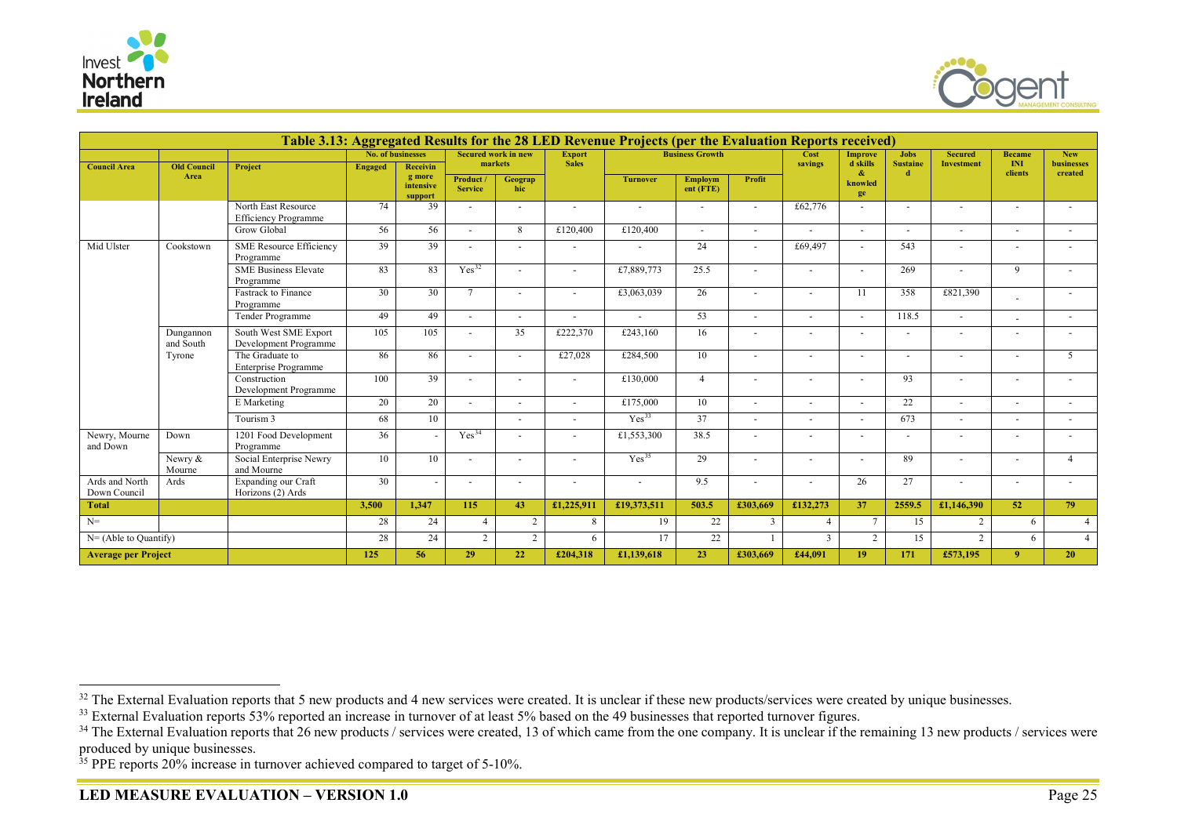

<span id="page-42-3"></span><span id="page-42-2"></span><span id="page-42-1"></span><span id="page-42-0"></span>

|                                | Table 3.13: Aggregated Results for the 28 LED Revenue Projects (per the Evaluation Reports received) |                                                    |                   |                           |                   |                                       |                               |                          |                        |                          |                          |                            |                                |                                     |                      |                                 |
|--------------------------------|------------------------------------------------------------------------------------------------------|----------------------------------------------------|-------------------|---------------------------|-------------------|---------------------------------------|-------------------------------|--------------------------|------------------------|--------------------------|--------------------------|----------------------------|--------------------------------|-------------------------------------|----------------------|---------------------------------|
|                                |                                                                                                      |                                                    | No. of businesses |                           |                   | <b>Secured work in new</b><br>markets | <b>Export</b><br><b>Sales</b> |                          | <b>Business Growth</b> |                          | Cost<br>savings          | <b>Improve</b><br>d skills | <b>Jobs</b><br><b>Sustaine</b> | <b>Secured</b><br><b>Investment</b> | <b>Became</b><br>INI | <b>New</b><br><b>businesses</b> |
| <b>Council Area</b>            | <b>Old Council</b><br>Area                                                                           | Project                                            | <b>Engaged</b>    | <b>Receivin</b><br>g more | Product /         |                                       |                               |                          |                        | Profit                   |                          | $\mathbf{\alpha}$          | d.                             |                                     | clients              | created                         |
|                                |                                                                                                      |                                                    |                   | intensive<br>support      | <b>Service</b>    | Geograp<br>hic                        |                               | <b>Turnover</b>          | Employm<br>ent (FTE)   |                          |                          | knowled<br>ge              |                                |                                     |                      |                                 |
|                                |                                                                                                      | North East Resource<br><b>Efficiency Programme</b> | 74                | 39                        |                   |                                       | $\overline{a}$                | $\overline{\phantom{a}}$ |                        |                          | £62,776                  | ÷.                         |                                |                                     |                      |                                 |
|                                |                                                                                                      | <b>Grow Global</b>                                 | 56                | 56                        | $\sim$            | 8                                     | £120,400                      | £120,400                 | $\ddot{\phantom{1}}$   | $\overline{a}$           | $\sim$                   | ÷.                         |                                |                                     |                      |                                 |
| Mid Ulster                     | Cookstown                                                                                            | <b>SME Resource Efficiency</b><br>Programme        | 39                | 39                        |                   |                                       | $\sim$                        | $\overline{a}$           | 24                     |                          | £69,497                  |                            | 543                            |                                     |                      |                                 |
|                                |                                                                                                      | <b>SME Business Elevate</b><br>Programme           | 83                | 83                        | Yes <sup>32</sup> | $\overline{a}$                        | $\sim$                        | £7,889,773               | 25.5                   |                          | $\sim$                   | $\overline{a}$             | 269                            | $\overline{a}$                      | 9                    |                                 |
|                                |                                                                                                      | Fastrack to Finance<br>Programme                   | 30                | 30                        | $7\phantom{.0}$   | $\sim$                                | $\sim$                        | £3,063,039               | 26                     |                          | $\sim$                   | 11                         | 358                            | £821,390                            |                      |                                 |
|                                |                                                                                                      | Tender Programme                                   | 49                | 49                        | $\overline{a}$    | $\overline{\phantom{a}}$              | $\overline{\phantom{a}}$      | $\sim$                   | 53                     | $\overline{\phantom{a}}$ | $\sim$                   | $\overline{\phantom{a}}$   | 118.5                          | $\sim$                              |                      |                                 |
|                                | Dungannon<br>and South                                                                               | South West SME Export<br>Development Programme     | 105               | 105                       | $\overline{a}$    | 35                                    | £222,370                      | £243,160                 | 16                     | $\overline{\phantom{a}}$ | $\overline{\phantom{a}}$ | $\overline{\phantom{a}}$   |                                | $\sim$                              |                      |                                 |
|                                | Tyrone                                                                                               | The Graduate to<br><b>Enterprise Programme</b>     | 86                | 86                        | $\overline{a}$    | $\sim$                                | £27,028                       | £284,500                 | 10                     |                          | ٠                        | $\sim$                     |                                |                                     |                      | -5                              |
|                                |                                                                                                      | Construction<br>Development Programme              | 100               | 39                        | $\overline{a}$    | $\overline{\phantom{a}}$              | $\sim$                        | £130,000                 | $\overline{4}$         |                          | ٠                        | $\overline{\phantom{a}}$   | 93                             |                                     |                      |                                 |
|                                |                                                                                                      | E Marketing                                        | 20                | 20                        |                   | $\overline{\phantom{a}}$              | $\sim$                        | £175,000                 | 10                     | $\overline{\phantom{a}}$ | $\overline{\phantom{a}}$ | $\overline{\phantom{a}}$   | 22                             |                                     |                      |                                 |
|                                |                                                                                                      | Tourism 3                                          | 68                | 10                        |                   |                                       |                               | Yes <sup>33</sup>        | 37                     |                          |                          |                            | 673                            |                                     |                      |                                 |
| Newry, Mourne<br>and Down      | Down                                                                                                 | 1201 Food Development<br>Programme                 | 36                |                           | Yes <sup>34</sup> |                                       |                               | £1,553,300               | 38.5                   |                          |                          |                            |                                |                                     |                      |                                 |
|                                | Newry &<br>Mourne                                                                                    | Social Enterprise Newry<br>and Mourne              | 10                | 10                        |                   |                                       | $\sim$                        | Yes <sup>35</sup>        | 29                     |                          |                          |                            | 89                             |                                     |                      | $\overline{4}$                  |
| Ards and North<br>Down Council | Ards                                                                                                 | Expanding our Craft<br>Horizons (2) Ards           | 30                |                           |                   |                                       |                               |                          | 9.5                    |                          |                          | 26                         | 27                             |                                     |                      |                                 |
| <b>Total</b>                   |                                                                                                      |                                                    | 3.500             | 1.347                     | 115               | 43                                    | £1,225,911                    | £19,373,511              | 503.5                  | £303,669                 | £132,273                 | 37                         | 2559.5                         | £1,146,390                          | 52                   | 79                              |
| $N=$                           |                                                                                                      |                                                    | 28                | 24                        | $\overline{4}$    | 2                                     | 8                             | 19                       | 22                     | $\overline{3}$           |                          | $7\phantom{.0}$            | 15                             | 2                                   | 6                    | $\overline{4}$                  |
| $N = (Able to Quantity)$       |                                                                                                      |                                                    | 28                | 24                        | $\overline{2}$    | $\overline{2}$                        | 6                             | 17                       | 22                     |                          | 3                        | 2                          | 15                             | 2                                   | 6                    | $\overline{4}$                  |
| <b>Average per Project</b>     |                                                                                                      |                                                    | 125               | 56                        | 29                | 22                                    | £204,318                      | £1,139,618               | 23                     | £303,669                 | £44,091                  | 19                         | 171                            | £573,195                            | $\mathbf{Q}$         | 20                              |

<sup>&</sup>lt;sup>32</sup> The External Evaluation reports that 5 new products and 4 new services were created. It is unclear if these new products/services were created by unique businesses.

<sup>&</sup>lt;sup>33</sup> External Evaluation reports 53% reported an increase in turnover of at least 5% based on the 49 businesses that reported turnover figures.

 $34$  The External Evaluation reports that 26 new products / services were created, 13 of which came from the one company. It is unclear if the remaining 13 new products / services were produced by unique businesses.

<sup>&</sup>lt;sup>35</sup> PPE reports 20% increase in turnover achieved compared to target of 5-10%.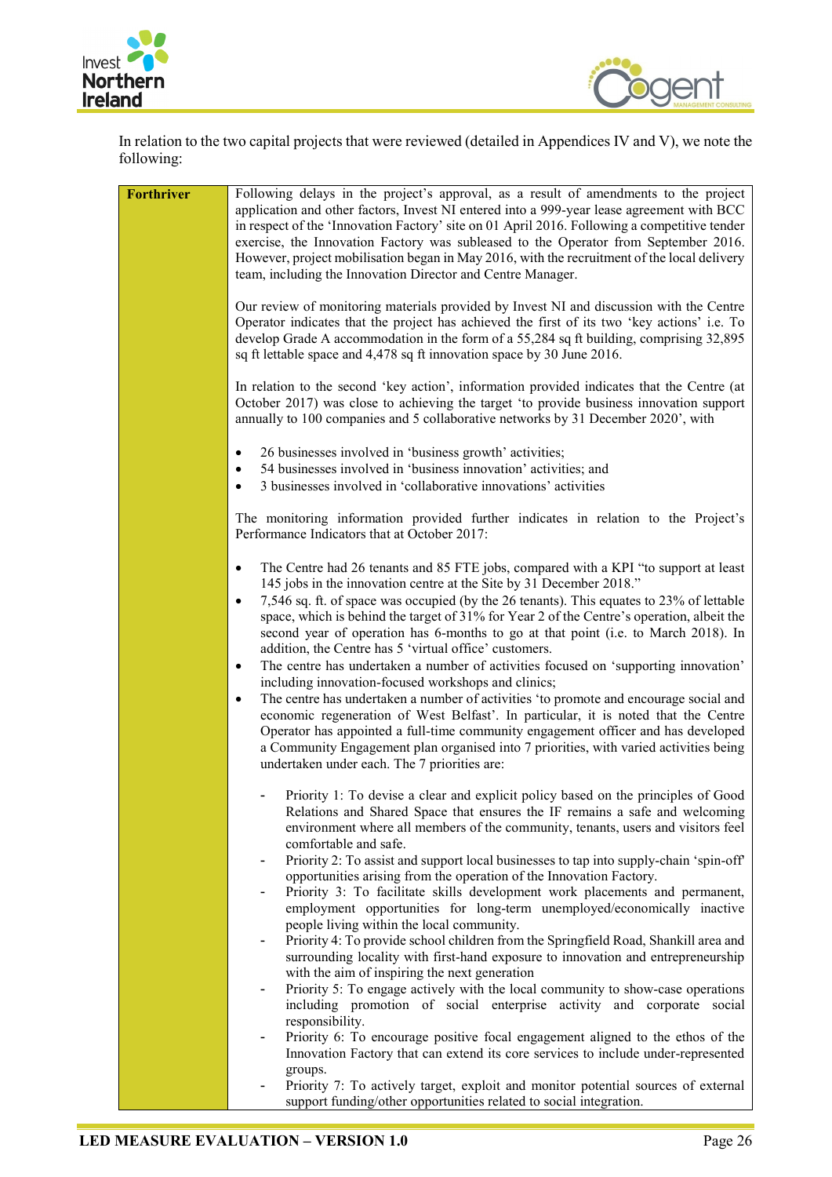



In relation to the two capital projects that were reviewed (detailed in Appendices IV and V), we note the following:

| Forthriver | Following delays in the project's approval, as a result of amendments to the project<br>application and other factors, Invest NI entered into a 999-year lease agreement with BCC<br>in respect of the 'Innovation Factory' site on 01 April 2016. Following a competitive tender<br>exercise, the Innovation Factory was subleased to the Operator from September 2016.<br>However, project mobilisation began in May 2016, with the recruitment of the local delivery<br>team, including the Innovation Director and Centre Manager.<br>Our review of monitoring materials provided by Invest NI and discussion with the Centre |
|------------|-----------------------------------------------------------------------------------------------------------------------------------------------------------------------------------------------------------------------------------------------------------------------------------------------------------------------------------------------------------------------------------------------------------------------------------------------------------------------------------------------------------------------------------------------------------------------------------------------------------------------------------|
|            | Operator indicates that the project has achieved the first of its two 'key actions' i.e. To<br>develop Grade A accommodation in the form of a 55,284 sq ft building, comprising 32,895<br>sq ft lettable space and 4,478 sq ft innovation space by 30 June 2016.                                                                                                                                                                                                                                                                                                                                                                  |
|            | In relation to the second 'key action', information provided indicates that the Centre (at<br>October 2017) was close to achieving the target 'to provide business innovation support<br>annually to 100 companies and 5 collaborative networks by 31 December 2020', with                                                                                                                                                                                                                                                                                                                                                        |
|            | 26 businesses involved in 'business growth' activities;<br>٠<br>54 businesses involved in 'business innovation' activities; and<br>٠<br>3 businesses involved in 'collaborative innovations' activities<br>$\bullet$                                                                                                                                                                                                                                                                                                                                                                                                              |
|            | The monitoring information provided further indicates in relation to the Project's<br>Performance Indicators that at October 2017:                                                                                                                                                                                                                                                                                                                                                                                                                                                                                                |
|            | The Centre had 26 tenants and 85 FTE jobs, compared with a KPI "to support at least<br>145 jobs in the innovation centre at the Site by 31 December 2018."<br>7,546 sq. ft. of space was occupied (by the 26 tenants). This equates to 23% of lettable<br>$\bullet$<br>space, which is behind the target of 31% for Year 2 of the Centre's operation, albeit the<br>second year of operation has 6-months to go at that point (i.e. to March 2018). In<br>addition, the Centre has 5 'virtual office' customers.                                                                                                                  |
|            | The centre has undertaken a number of activities focused on 'supporting innovation'<br>٠<br>including innovation-focused workshops and clinics;<br>The centre has undertaken a number of activities 'to promote and encourage social and<br>$\bullet$<br>economic regeneration of West Belfast'. In particular, it is noted that the Centre<br>Operator has appointed a full-time community engagement officer and has developed<br>a Community Engagement plan organised into 7 priorities, with varied activities being<br>undertaken under each. The 7 priorities are:                                                         |
|            | Priority 1: To devise a clear and explicit policy based on the principles of Good<br>Relations and Shared Space that ensures the IF remains a safe and welcoming<br>environment where all members of the community, tenants, users and visitors feel<br>comfortable and safe.                                                                                                                                                                                                                                                                                                                                                     |
|            | Priority 2: To assist and support local businesses to tap into supply-chain 'spin-off'<br>opportunities arising from the operation of the Innovation Factory.<br>Priority 3: To facilitate skills development work placements and permanent,<br>employment opportunities for long-term unemployed/economically inactive<br>people living within the local community.                                                                                                                                                                                                                                                              |
|            | Priority 4: To provide school children from the Springfield Road, Shankill area and<br>surrounding locality with first-hand exposure to innovation and entrepreneurship<br>with the aim of inspiring the next generation                                                                                                                                                                                                                                                                                                                                                                                                          |
|            | Priority 5: To engage actively with the local community to show-case operations<br>including promotion of social enterprise activity and corporate social<br>responsibility.<br>Priority 6: To encourage positive focal engagement aligned to the ethos of the                                                                                                                                                                                                                                                                                                                                                                    |
|            | Innovation Factory that can extend its core services to include under-represented<br>groups.<br>Priority 7: To actively target, exploit and monitor potential sources of external                                                                                                                                                                                                                                                                                                                                                                                                                                                 |
|            | support funding/other opportunities related to social integration.                                                                                                                                                                                                                                                                                                                                                                                                                                                                                                                                                                |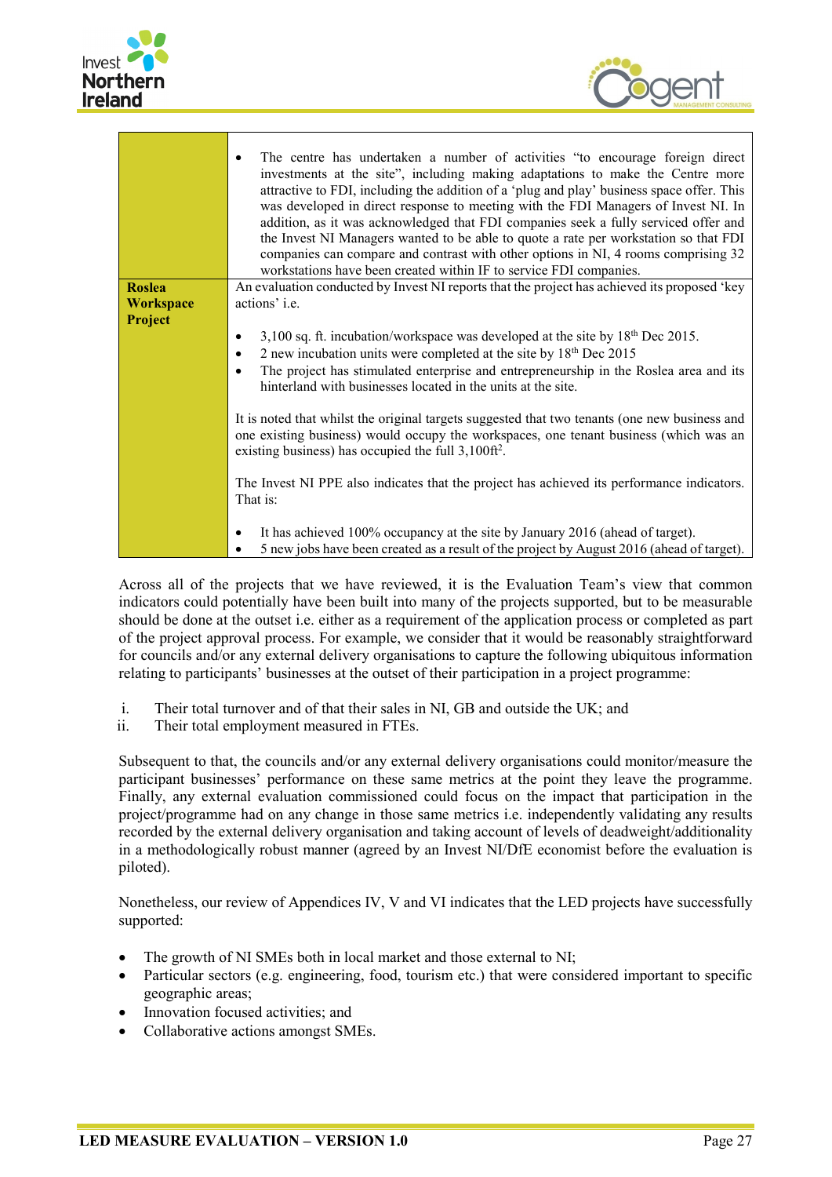



|                  | The centre has undertaken a number of activities "to encourage foreign direct<br>investments at the site", including making adaptations to make the Centre more<br>attractive to FDI, including the addition of a 'plug and play' business space offer. This<br>was developed in direct response to meeting with the FDI Managers of Invest NI. In<br>addition, as it was acknowledged that FDI companies seek a fully serviced offer and<br>the Invest NI Managers wanted to be able to quote a rate per workstation so that FDI<br>companies can compare and contrast with other options in NI, 4 rooms comprising 32<br>workstations have been created within IF to service FDI companies. |
|------------------|-----------------------------------------------------------------------------------------------------------------------------------------------------------------------------------------------------------------------------------------------------------------------------------------------------------------------------------------------------------------------------------------------------------------------------------------------------------------------------------------------------------------------------------------------------------------------------------------------------------------------------------------------------------------------------------------------|
| <b>Roslea</b>    | An evaluation conducted by Invest NI reports that the project has achieved its proposed 'key                                                                                                                                                                                                                                                                                                                                                                                                                                                                                                                                                                                                  |
| <b>Workspace</b> | actions' i.e.                                                                                                                                                                                                                                                                                                                                                                                                                                                                                                                                                                                                                                                                                 |
| Project          |                                                                                                                                                                                                                                                                                                                                                                                                                                                                                                                                                                                                                                                                                               |
|                  | 3,100 sq. ft. incubation/workspace was developed at the site by 18th Dec 2015.<br>$\bullet$                                                                                                                                                                                                                                                                                                                                                                                                                                                                                                                                                                                                   |
|                  | 2 new incubation units were completed at the site by $18th$ Dec 2015<br>$\bullet$                                                                                                                                                                                                                                                                                                                                                                                                                                                                                                                                                                                                             |
|                  | The project has stimulated enterprise and entrepreneurship in the Roslea area and its<br>$\bullet$<br>hinterland with businesses located in the units at the site.                                                                                                                                                                                                                                                                                                                                                                                                                                                                                                                            |
|                  | It is noted that whilst the original targets suggested that two tenants (one new business and<br>one existing business) would occupy the workspaces, one tenant business (which was an<br>existing business) has occupied the full 3,100ft <sup>2</sup> .                                                                                                                                                                                                                                                                                                                                                                                                                                     |
|                  | The Invest NI PPE also indicates that the project has achieved its performance indicators.<br>That is:                                                                                                                                                                                                                                                                                                                                                                                                                                                                                                                                                                                        |
|                  | It has achieved 100% occupancy at the site by January 2016 (ahead of target).<br>$\bullet$<br>5 new jobs have been created as a result of the project by August 2016 (ahead of target).                                                                                                                                                                                                                                                                                                                                                                                                                                                                                                       |

Across all of the projects that we have reviewed, it is the Evaluation Team's view that common indicators could potentially have been built into many of the projects supported, but to be measurable should be done at the outset i.e. either as a requirement of the application process or completed as part of the project approval process. For example, we consider that it would be reasonably straightforward for councils and/or any external delivery organisations to capture the following ubiquitous information relating to participants' businesses at the outset of their participation in a project programme:

- i. Their total turnover and of that their sales in NI, GB and outside the UK; and
- ii. Their total employment measured in FTEs.

Subsequent to that, the councils and/or any external delivery organisations could monitor/measure the participant businesses' performance on these same metrics at the point they leave the programme. Finally, any external evaluation commissioned could focus on the impact that participation in the project/programme had on any change in those same metrics i.e. independently validating any results recorded by the external delivery organisation and taking account of levels of deadweight/additionality in a methodologically robust manner (agreed by an Invest NI/DfE economist before the evaluation is piloted).

Nonetheless, our review of Appendices IV, V and VI indicates that the LED projects have successfully supported:

- The growth of NI SMEs both in local market and those external to NI;
- Particular sectors (e.g. engineering, food, tourism etc.) that were considered important to specific geographic areas;
- Innovation focused activities; and
- Collaborative actions amongst SMEs.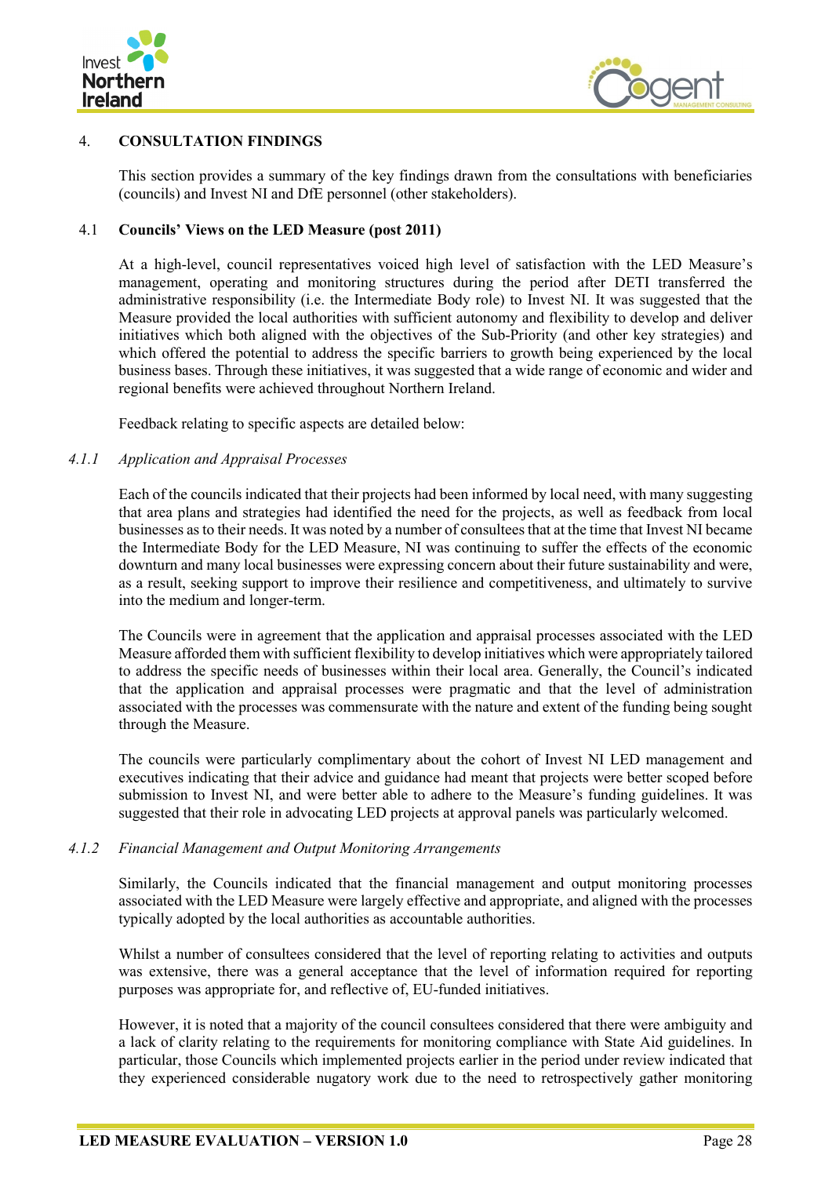



## <span id="page-45-0"></span>4. **CONSULTATION FINDINGS**

This section provides a summary of the key findings drawn from the consultations with beneficiaries (councils) and Invest NI and DfE personnel (other stakeholders).

#### <span id="page-45-1"></span>4.1 **Councils' Views on the LED Measure (post 2011)**

At a high-level, council representatives voiced high level of satisfaction with the LED Measure's management, operating and monitoring structures during the period after DETI transferred the administrative responsibility (i.e. the Intermediate Body role) to Invest NI. It was suggested that the Measure provided the local authorities with sufficient autonomy and flexibility to develop and deliver initiatives which both aligned with the objectives of the Sub-Priority (and other key strategies) and which offered the potential to address the specific barriers to growth being experienced by the local business bases. Through these initiatives, it was suggested that a wide range of economic and wider and regional benefits were achieved throughout Northern Ireland.

Feedback relating to specific aspects are detailed below:

#### *4.1.1 Application and Appraisal Processes*

Each of the councils indicated that their projects had been informed by local need, with many suggesting that area plans and strategies had identified the need for the projects, as well as feedback from local businesses as to their needs. It was noted by a number of consultees that at the time that Invest NI became the Intermediate Body for the LED Measure, NI was continuing to suffer the effects of the economic downturn and many local businesses were expressing concern about their future sustainability and were, as a result, seeking support to improve their resilience and competitiveness, and ultimately to survive into the medium and longer-term.

The Councils were in agreement that the application and appraisal processes associated with the LED Measure afforded them with sufficient flexibility to develop initiatives which were appropriately tailored to address the specific needs of businesses within their local area. Generally, the Council's indicated that the application and appraisal processes were pragmatic and that the level of administration associated with the processes was commensurate with the nature and extent of the funding being sought through the Measure.

The councils were particularly complimentary about the cohort of Invest NI LED management and executives indicating that their advice and guidance had meant that projects were better scoped before submission to Invest NI, and were better able to adhere to the Measure's funding guidelines. It was suggested that their role in advocating LED projects at approval panels was particularly welcomed.

#### *4.1.2 Financial Management and Output Monitoring Arrangements*

Similarly, the Councils indicated that the financial management and output monitoring processes associated with the LED Measure were largely effective and appropriate, and aligned with the processes typically adopted by the local authorities as accountable authorities.

Whilst a number of consultees considered that the level of reporting relating to activities and outputs was extensive, there was a general acceptance that the level of information required for reporting purposes was appropriate for, and reflective of, EU-funded initiatives.

However, it is noted that a majority of the council consultees considered that there were ambiguity and a lack of clarity relating to the requirements for monitoring compliance with State Aid guidelines. In particular, those Councils which implemented projects earlier in the period under review indicated that they experienced considerable nugatory work due to the need to retrospectively gather monitoring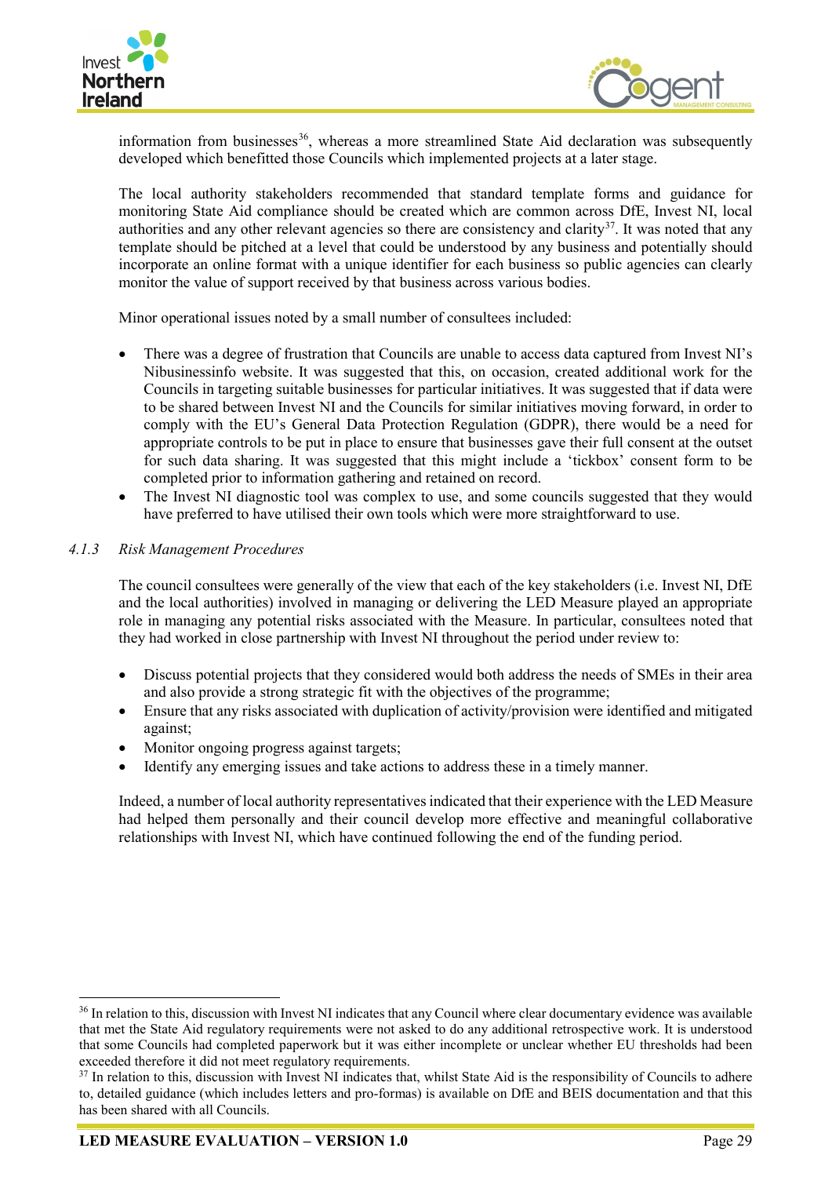



information from businesses $36$ , whereas a more streamlined State Aid declaration was subsequently developed which benefitted those Councils which implemented projects at a later stage.

The local authority stakeholders recommended that standard template forms and guidance for monitoring State Aid compliance should be created which are common across DfE, Invest NI, local authorities and any other relevant agencies so there are consistency and clarity<sup>[37](#page-46-1)</sup>. It was noted that any template should be pitched at a level that could be understood by any business and potentially should incorporate an online format with a unique identifier for each business so public agencies can clearly monitor the value of support received by that business across various bodies.

Minor operational issues noted by a small number of consultees included:

- There was a degree of frustration that Councils are unable to access data captured from Invest NI's Nibusinessinfo website. It was suggested that this, on occasion, created additional work for the Councils in targeting suitable businesses for particular initiatives. It was suggested that if data were to be shared between Invest NI and the Councils for similar initiatives moving forward, in order to comply with the EU's General Data Protection Regulation (GDPR), there would be a need for appropriate controls to be put in place to ensure that businesses gave their full consent at the outset for such data sharing. It was suggested that this might include a 'tickbox' consent form to be completed prior to information gathering and retained on record.
- The Invest NI diagnostic tool was complex to use, and some councils suggested that they would have preferred to have utilised their own tools which were more straightforward to use.

## *4.1.3 Risk Management Procedures*

The council consultees were generally of the view that each of the key stakeholders (i.e. Invest NI, DfE and the local authorities) involved in managing or delivering the LED Measure played an appropriate role in managing any potential risks associated with the Measure. In particular, consultees noted that they had worked in close partnership with Invest NI throughout the period under review to:

- Discuss potential projects that they considered would both address the needs of SMEs in their area and also provide a strong strategic fit with the objectives of the programme;
- Ensure that any risks associated with duplication of activity/provision were identified and mitigated against;
- Monitor ongoing progress against targets;
- Identify any emerging issues and take actions to address these in a timely manner.

Indeed, a number of local authority representatives indicated that their experience with the LED Measure had helped them personally and their council develop more effective and meaningful collaborative relationships with Invest NI, which have continued following the end of the funding period.

<span id="page-46-0"></span><sup>&</sup>lt;sup>36</sup> In relation to this, discussion with Invest NI indicates that any Council where clear documentary evidence was available that met the State Aid regulatory requirements were not asked to do any additional retrospective work. It is understood that some Councils had completed paperwork but it was either incomplete or unclear whether EU thresholds had been exceeded therefore it did not meet regulatory requirements.

<span id="page-46-1"></span><sup>&</sup>lt;sup>37</sup> In relation to this, discussion with Invest NI indicates that, whilst State Aid is the responsibility of Councils to adhere to, detailed guidance (which includes letters and pro-formas) is available on DfE and BEIS documentation and that this has been shared with all Councils.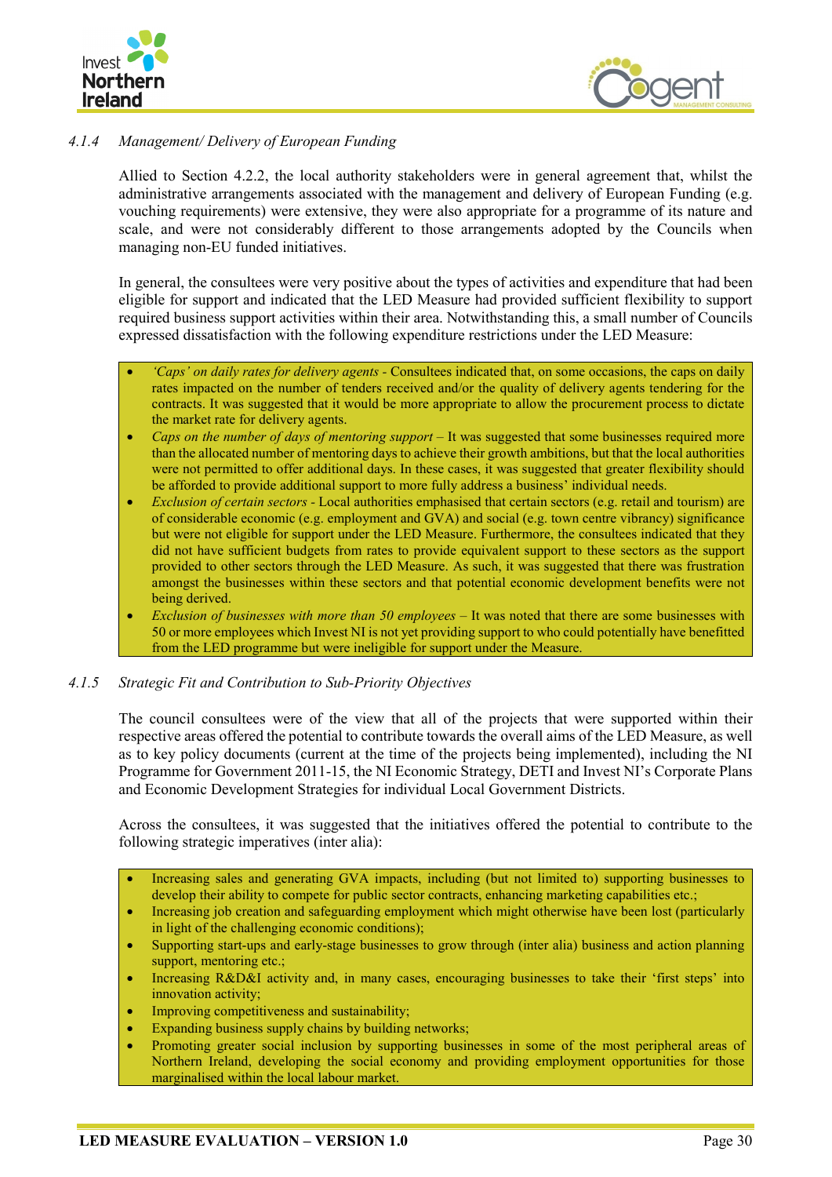



## *4.1.4 Management/ Delivery of European Funding*

Allied to Section 4.2.2, the local authority stakeholders were in general agreement that, whilst the administrative arrangements associated with the management and delivery of European Funding (e.g. vouching requirements) were extensive, they were also appropriate for a programme of its nature and scale, and were not considerably different to those arrangements adopted by the Councils when managing non-EU funded initiatives.

In general, the consultees were very positive about the types of activities and expenditure that had been eligible for support and indicated that the LED Measure had provided sufficient flexibility to support required business support activities within their area. Notwithstanding this, a small number of Councils expressed dissatisfaction with the following expenditure restrictions under the LED Measure:

- *'Caps' on daily rates for delivery agents -* Consultees indicated that, on some occasions, the caps on daily rates impacted on the number of tenders received and/or the quality of delivery agents tendering for the contracts. It was suggested that it would be more appropriate to allow the procurement process to dictate the market rate for delivery agents.
- *Caps on the number of days of mentoring support* It was suggested that some businesses required more than the allocated number of mentoring days to achieve their growth ambitions, but that the local authorities were not permitted to offer additional days. In these cases, it was suggested that greater flexibility should be afforded to provide additional support to more fully address a business' individual needs.
- *Exclusion of certain sectors -* Local authorities emphasised that certain sectors (e.g. retail and tourism) are of considerable economic (e.g. employment and GVA) and social (e.g. town centre vibrancy) significance but were not eligible for support under the LED Measure. Furthermore, the consultees indicated that they did not have sufficient budgets from rates to provide equivalent support to these sectors as the support provided to other sectors through the LED Measure. As such, it was suggested that there was frustration amongst the businesses within these sectors and that potential economic development benefits were not being derived.
- *Exclusion of businesses with more than 50 employees –* It was noted that there are some businesses with 50 or more employees which Invest NI is not yet providing support to who could potentially have benefitted from the LED programme but were ineligible for support under the Measure.

#### *4.1.5 Strategic Fit and Contribution to Sub-Priority Objectives*

The council consultees were of the view that all of the projects that were supported within their respective areas offered the potential to contribute towards the overall aims of the LED Measure, as well as to key policy documents (current at the time of the projects being implemented), including the NI Programme for Government 2011-15, the NI Economic Strategy, DETI and Invest NI's Corporate Plans and Economic Development Strategies for individual Local Government Districts.

Across the consultees, it was suggested that the initiatives offered the potential to contribute to the following strategic imperatives (inter alia):

- Increasing sales and generating GVA impacts, including (but not limited to) supporting businesses to develop their ability to compete for public sector contracts, enhancing marketing capabilities etc.;
- Increasing job creation and safeguarding employment which might otherwise have been lost (particularly in light of the challenging economic conditions);
- Supporting start-ups and early-stage businesses to grow through (inter alia) business and action planning support, mentoring etc.;
- Increasing R&D&I activity and, in many cases, encouraging businesses to take their 'first steps' into innovation activity;
- Improving competitiveness and sustainability;
- Expanding business supply chains by building networks;
- Promoting greater social inclusion by supporting businesses in some of the most peripheral areas of Northern Ireland, developing the social economy and providing employment opportunities for those marginalised within the local labour market.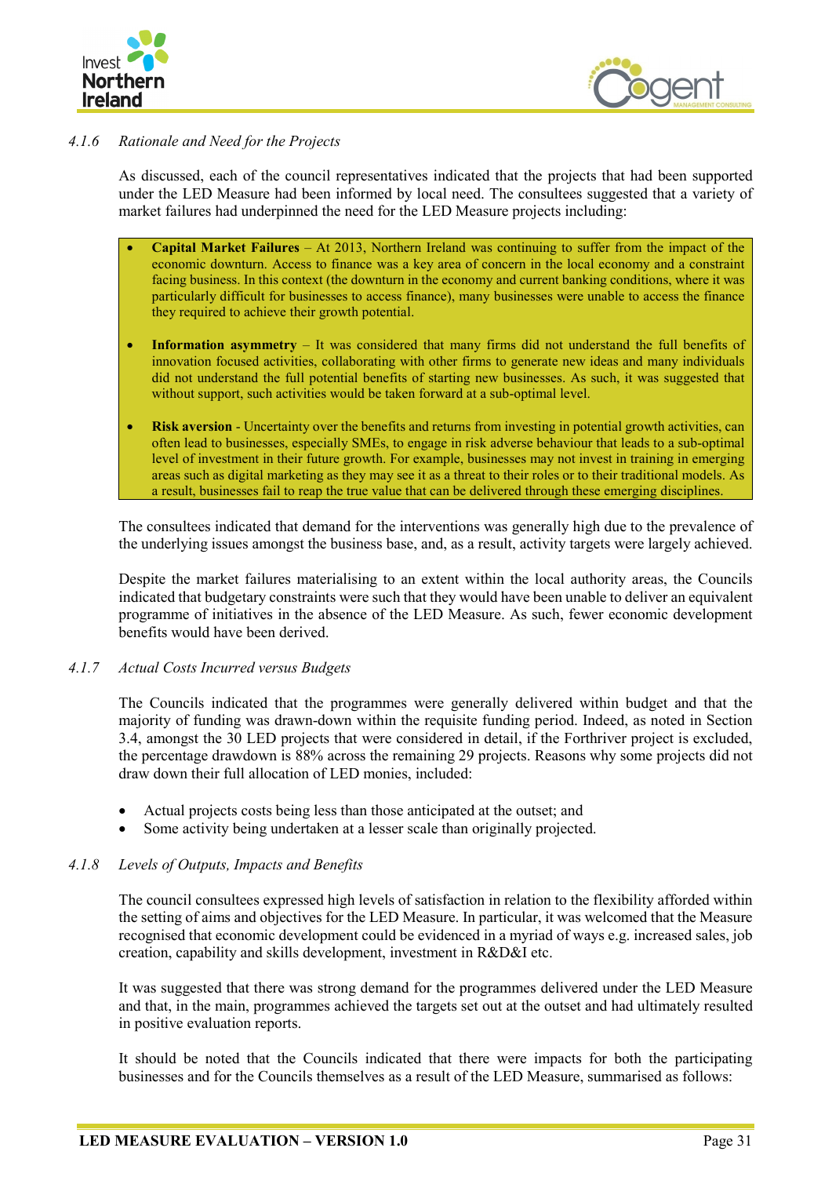



## *4.1.6 Rationale and Need for the Projects*

As discussed, each of the council representatives indicated that the projects that had been supported under the LED Measure had been informed by local need. The consultees suggested that a variety of market failures had underpinned the need for the LED Measure projects including:

- **Capital Market Failures** At 2013, Northern Ireland was continuing to suffer from the impact of the economic downturn. Access to finance was a key area of concern in the local economy and a constraint facing business. In this context (the downturn in the economy and current banking conditions, where it was particularly difficult for businesses to access finance), many businesses were unable to access the finance they required to achieve their growth potential.
- **Information asymmetry** It was considered that many firms did not understand the full benefits of innovation focused activities, collaborating with other firms to generate new ideas and many individuals did not understand the full potential benefits of starting new businesses. As such, it was suggested that without support, such activities would be taken forward at a sub-optimal level.
- **Risk aversion** Uncertainty over the benefits and returns from investing in potential growth activities, can often lead to businesses, especially SMEs, to engage in risk adverse behaviour that leads to a sub-optimal level of investment in their future growth. For example, businesses may not invest in training in emerging areas such as digital marketing as they may see it as a threat to their roles or to their traditional models. As a result, businesses fail to reap the true value that can be delivered through these emerging disciplines.

The consultees indicated that demand for the interventions was generally high due to the prevalence of the underlying issues amongst the business base, and, as a result, activity targets were largely achieved.

Despite the market failures materialising to an extent within the local authority areas, the Councils indicated that budgetary constraints were such that they would have been unable to deliver an equivalent programme of initiatives in the absence of the LED Measure. As such, fewer economic development benefits would have been derived.

#### *4.1.7 Actual Costs Incurred versus Budgets*

The Councils indicated that the programmes were generally delivered within budget and that the majority of funding was drawn-down within the requisite funding period. Indeed, as noted in Section 3.4, amongst the 30 LED projects that were considered in detail, if the Forthriver project is excluded, the percentage drawdown is 88% across the remaining 29 projects. Reasons why some projects did not draw down their full allocation of LED monies, included:

- Actual projects costs being less than those anticipated at the outset; and
- Some activity being undertaken at a lesser scale than originally projected.

## *4.1.8 Levels of Outputs, Impacts and Benefits*

The council consultees expressed high levels of satisfaction in relation to the flexibility afforded within the setting of aims and objectives for the LED Measure. In particular, it was welcomed that the Measure recognised that economic development could be evidenced in a myriad of ways e.g. increased sales, job creation, capability and skills development, investment in R&D&I etc.

It was suggested that there was strong demand for the programmes delivered under the LED Measure and that, in the main, programmes achieved the targets set out at the outset and had ultimately resulted in positive evaluation reports.

It should be noted that the Councils indicated that there were impacts for both the participating businesses and for the Councils themselves as a result of the LED Measure, summarised as follows: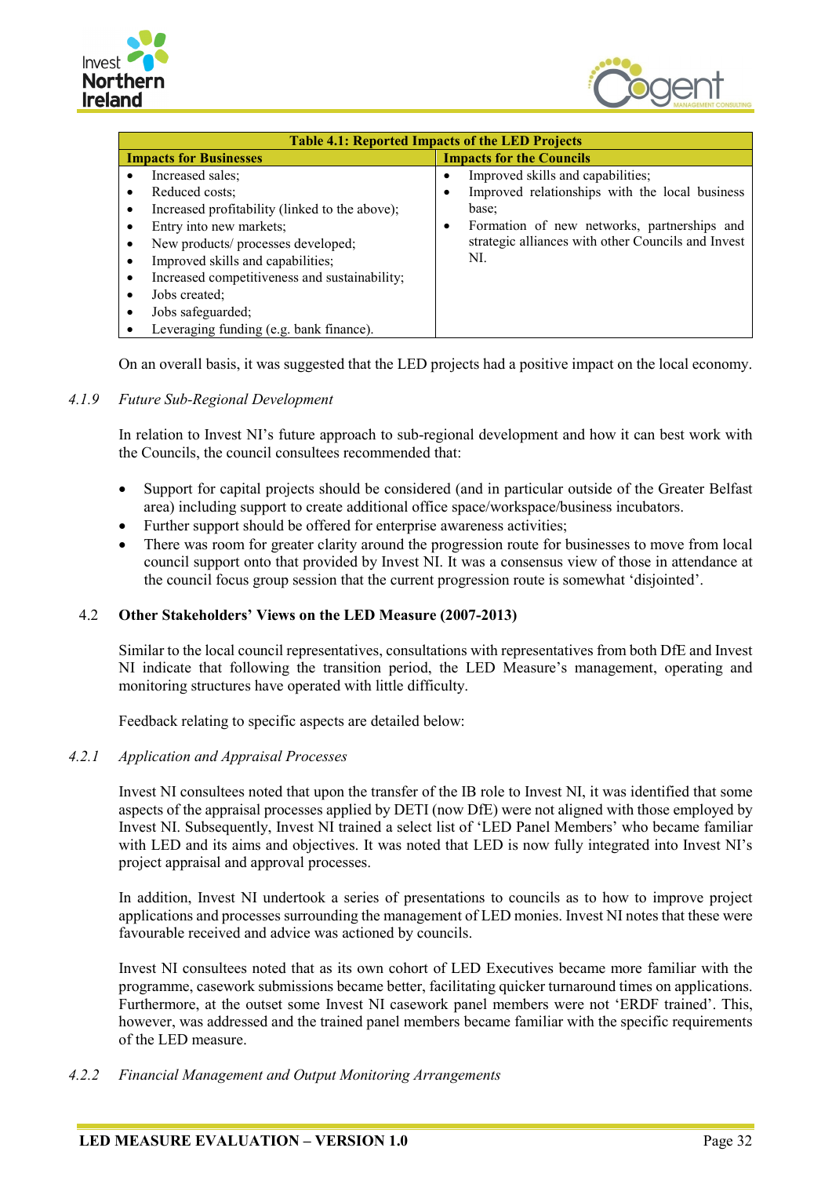



| <b>Table 4.1: Reported Impacts of the LED Projects</b> |                                                    |  |  |  |  |  |  |  |  |
|--------------------------------------------------------|----------------------------------------------------|--|--|--|--|--|--|--|--|
| <b>Impacts for Businesses</b>                          | <b>Impacts for the Councils</b>                    |  |  |  |  |  |  |  |  |
| Increased sales;                                       | Improved skills and capabilities;                  |  |  |  |  |  |  |  |  |
| Reduced costs;                                         | Improved relationships with the local business     |  |  |  |  |  |  |  |  |
| Increased profitability (linked to the above);         | base;                                              |  |  |  |  |  |  |  |  |
| Entry into new markets;                                | Formation of new networks, partnerships and<br>٠   |  |  |  |  |  |  |  |  |
| New products/ processes developed;                     | strategic alliances with other Councils and Invest |  |  |  |  |  |  |  |  |
| Improved skills and capabilities;                      | NI.                                                |  |  |  |  |  |  |  |  |
| Increased competitiveness and sustainability;          |                                                    |  |  |  |  |  |  |  |  |
| Jobs created;                                          |                                                    |  |  |  |  |  |  |  |  |
| Jobs safeguarded;                                      |                                                    |  |  |  |  |  |  |  |  |
| Leveraging funding (e.g. bank finance).                |                                                    |  |  |  |  |  |  |  |  |

On an overall basis, it was suggested that the LED projects had a positive impact on the local economy.

## *4.1.9 Future Sub-Regional Development*

In relation to Invest NI's future approach to sub-regional development and how it can best work with the Councils, the council consultees recommended that:

- Support for capital projects should be considered (and in particular outside of the Greater Belfast area) including support to create additional office space/workspace/business incubators.
- Further support should be offered for enterprise awareness activities;
- There was room for greater clarity around the progression route for businesses to move from local council support onto that provided by Invest NI. It was a consensus view of those in attendance at the council focus group session that the current progression route is somewhat 'disjointed'.

## <span id="page-49-0"></span>4.2 **Other Stakeholders' Views on the LED Measure (2007-2013)**

Similar to the local council representatives, consultations with representatives from both DfE and Invest NI indicate that following the transition period, the LED Measure's management, operating and monitoring structures have operated with little difficulty.

Feedback relating to specific aspects are detailed below:

#### *4.2.1 Application and Appraisal Processes*

Invest NI consultees noted that upon the transfer of the IB role to Invest NI, it was identified that some aspects of the appraisal processes applied by DETI (now DfE) were not aligned with those employed by Invest NI. Subsequently, Invest NI trained a select list of 'LED Panel Members' who became familiar with LED and its aims and objectives. It was noted that LED is now fully integrated into Invest NI's project appraisal and approval processes.

In addition, Invest NI undertook a series of presentations to councils as to how to improve project applications and processes surrounding the management of LED monies. Invest NI notes that these were favourable received and advice was actioned by councils.

Invest NI consultees noted that as its own cohort of LED Executives became more familiar with the programme, casework submissions became better, facilitating quicker turnaround times on applications. Furthermore, at the outset some Invest NI casework panel members were not 'ERDF trained'. This, however, was addressed and the trained panel members became familiar with the specific requirements of the LED measure.

#### *4.2.2 Financial Management and Output Monitoring Arrangements*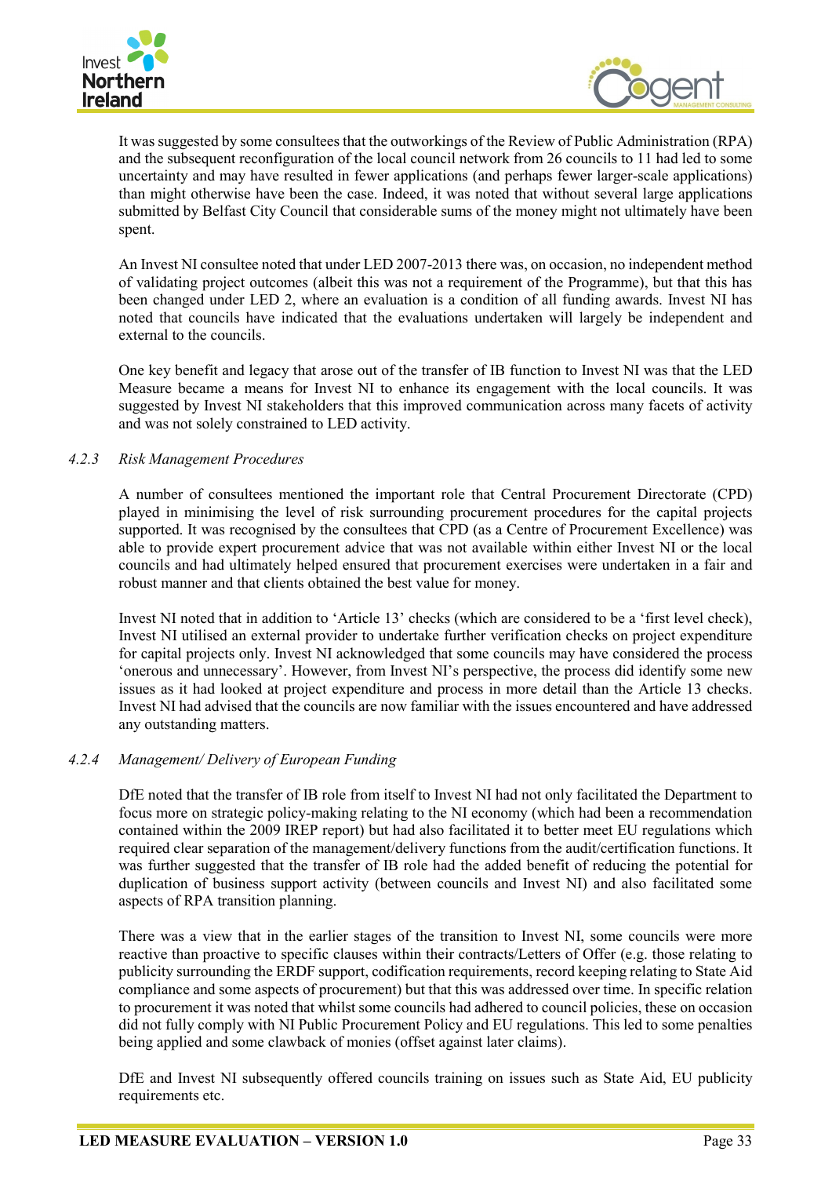



It was suggested by some consultees that the outworkings of the Review of Public Administration (RPA) and the subsequent reconfiguration of the local council network from 26 councils to 11 had led to some uncertainty and may have resulted in fewer applications (and perhaps fewer larger-scale applications) than might otherwise have been the case. Indeed, it was noted that without several large applications submitted by Belfast City Council that considerable sums of the money might not ultimately have been spent.

An Invest NI consultee noted that under LED 2007-2013 there was, on occasion, no independent method of validating project outcomes (albeit this was not a requirement of the Programme), but that this has been changed under LED 2, where an evaluation is a condition of all funding awards. Invest NI has noted that councils have indicated that the evaluations undertaken will largely be independent and external to the councils.

One key benefit and legacy that arose out of the transfer of IB function to Invest NI was that the LED Measure became a means for Invest NI to enhance its engagement with the local councils. It was suggested by Invest NI stakeholders that this improved communication across many facets of activity and was not solely constrained to LED activity.

## *4.2.3 Risk Management Procedures*

A number of consultees mentioned the important role that Central Procurement Directorate (CPD) played in minimising the level of risk surrounding procurement procedures for the capital projects supported. It was recognised by the consultees that CPD (as a Centre of Procurement Excellence) was able to provide expert procurement advice that was not available within either Invest NI or the local councils and had ultimately helped ensured that procurement exercises were undertaken in a fair and robust manner and that clients obtained the best value for money.

Invest NI noted that in addition to 'Article 13' checks (which are considered to be a 'first level check), Invest NI utilised an external provider to undertake further verification checks on project expenditure for capital projects only. Invest NI acknowledged that some councils may have considered the process 'onerous and unnecessary'. However, from Invest NI's perspective, the process did identify some new issues as it had looked at project expenditure and process in more detail than the Article 13 checks. Invest NI had advised that the councils are now familiar with the issues encountered and have addressed any outstanding matters.

## *4.2.4 Management/ Delivery of European Funding*

DfE noted that the transfer of IB role from itself to Invest NI had not only facilitated the Department to focus more on strategic policy-making relating to the NI economy (which had been a recommendation contained within the 2009 IREP report) but had also facilitated it to better meet EU regulations which required clear separation of the management/delivery functions from the audit/certification functions. It was further suggested that the transfer of IB role had the added benefit of reducing the potential for duplication of business support activity (between councils and Invest NI) and also facilitated some aspects of RPA transition planning.

There was a view that in the earlier stages of the transition to Invest NI, some councils were more reactive than proactive to specific clauses within their contracts/Letters of Offer (e.g. those relating to publicity surrounding the ERDF support, codification requirements, record keeping relating to State Aid compliance and some aspects of procurement) but that this was addressed over time. In specific relation to procurement it was noted that whilst some councils had adhered to council policies, these on occasion did not fully comply with NI Public Procurement Policy and EU regulations. This led to some penalties being applied and some clawback of monies (offset against later claims).

DfE and Invest NI subsequently offered councils training on issues such as State Aid, EU publicity requirements etc.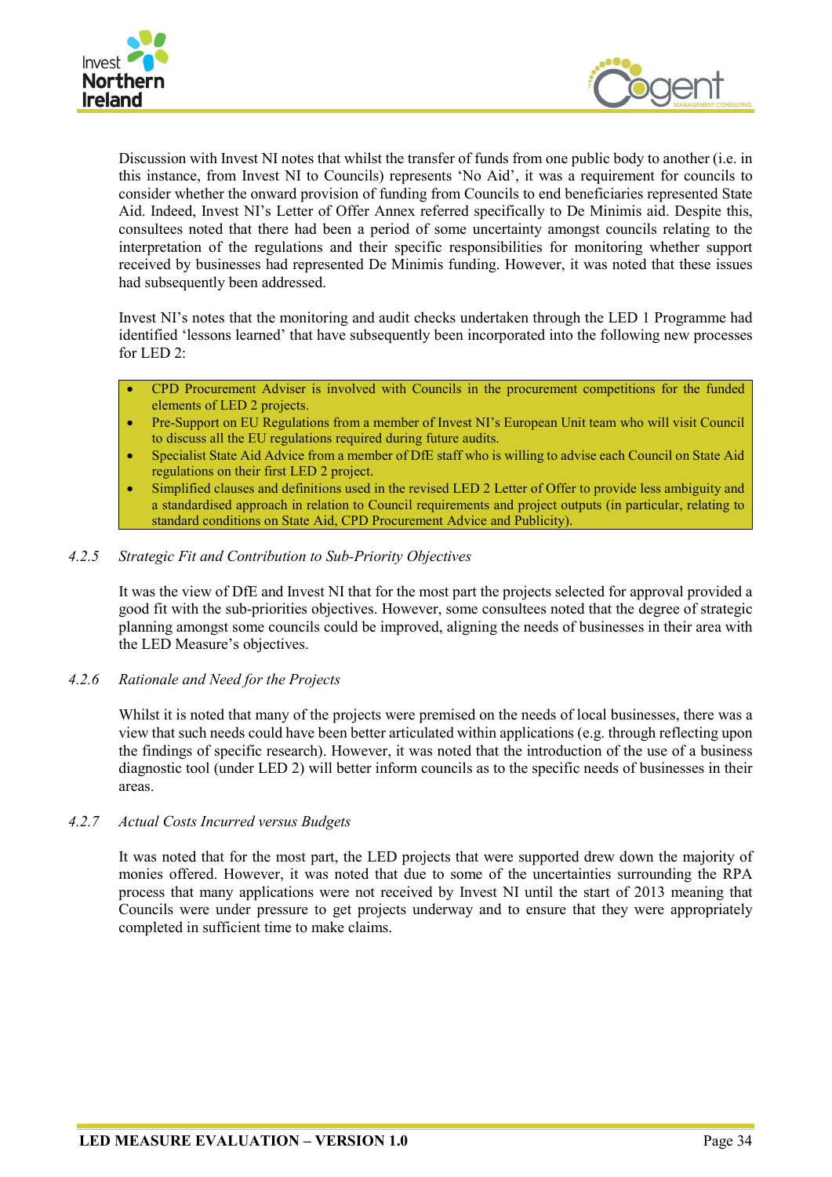



Discussion with Invest NI notes that whilst the transfer of funds from one public body to another (i.e. in this instance, from Invest NI to Councils) represents 'No Aid', it was a requirement for councils to consider whether the onward provision of funding from Councils to end beneficiaries represented State Aid. Indeed, Invest NI's Letter of Offer Annex referred specifically to De Minimis aid. Despite this, consultees noted that there had been a period of some uncertainty amongst councils relating to the interpretation of the regulations and their specific responsibilities for monitoring whether support received by businesses had represented De Minimis funding. However, it was noted that these issues had subsequently been addressed.

Invest NI's notes that the monitoring and audit checks undertaken through the LED 1 Programme had identified 'lessons learned' that have subsequently been incorporated into the following new processes for LED 2:

- CPD Procurement Adviser is involved with Councils in the procurement competitions for the funded elements of LED 2 projects.
- Pre-Support on EU Regulations from a member of Invest NI's European Unit team who will visit Council to discuss all the EU regulations required during future audits.
- Specialist State Aid Advice from a member of DfE staff who is willing to advise each Council on State Aid regulations on their first LED 2 project.
- Simplified clauses and definitions used in the revised LED 2 Letter of Offer to provide less ambiguity and a standardised approach in relation to Council requirements and project outputs (in particular, relating to standard conditions on State Aid, CPD Procurement Advice and Publicity).

#### *4.2.5 Strategic Fit and Contribution to Sub-Priority Objectives*

It was the view of DfE and Invest NI that for the most part the projects selected for approval provided a good fit with the sub-priorities objectives. However, some consultees noted that the degree of strategic planning amongst some councils could be improved, aligning the needs of businesses in their area with the LED Measure's objectives.

#### *4.2.6 Rationale and Need for the Projects*

Whilst it is noted that many of the projects were premised on the needs of local businesses, there was a view that such needs could have been better articulated within applications (e.g. through reflecting upon the findings of specific research). However, it was noted that the introduction of the use of a business diagnostic tool (under LED 2) will better inform councils as to the specific needs of businesses in their areas.

#### *4.2.7 Actual Costs Incurred versus Budgets*

It was noted that for the most part, the LED projects that were supported drew down the majority of monies offered. However, it was noted that due to some of the uncertainties surrounding the RPA process that many applications were not received by Invest NI until the start of 2013 meaning that Councils were under pressure to get projects underway and to ensure that they were appropriately completed in sufficient time to make claims.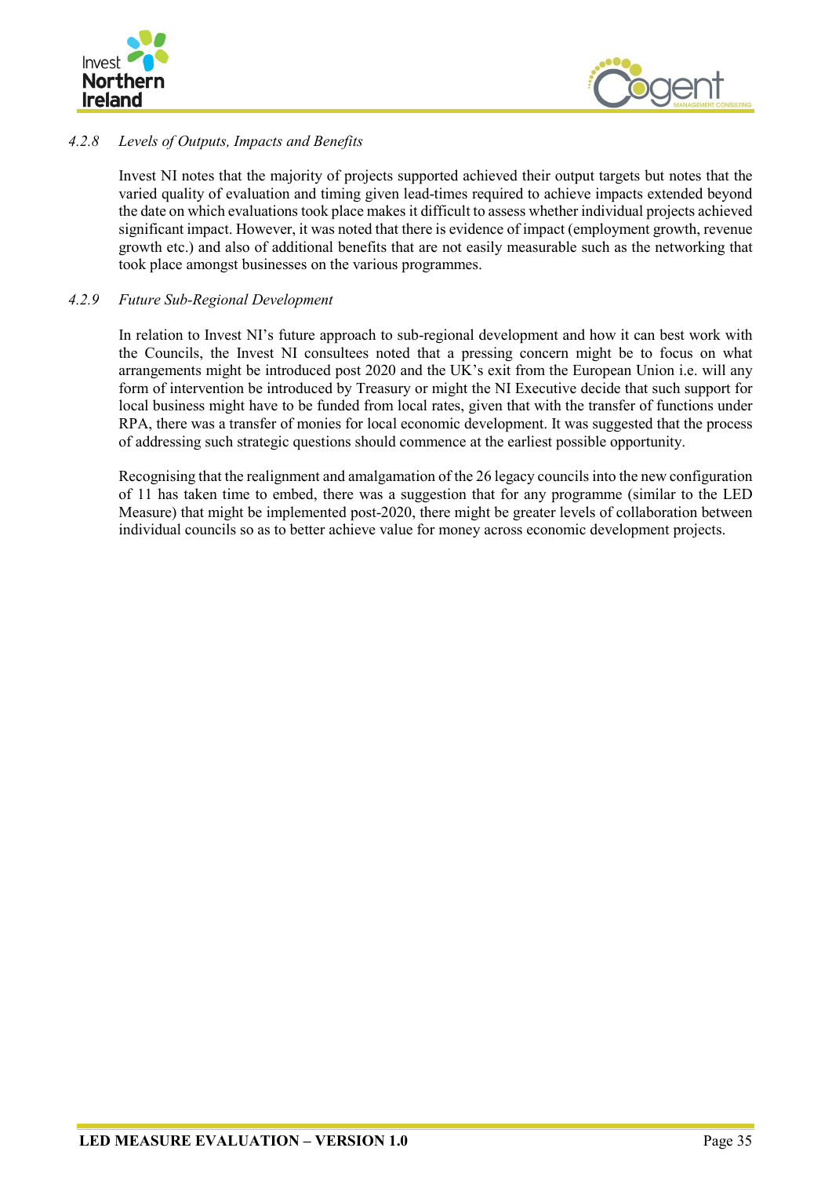



# *4.2.8 Levels of Outputs, Impacts and Benefits*

Invest NI notes that the majority of projects supported achieved their output targets but notes that the varied quality of evaluation and timing given lead-times required to achieve impacts extended beyond the date on which evaluations took place makes it difficult to assess whether individual projects achieved significant impact. However, it was noted that there is evidence of impact (employment growth, revenue growth etc.) and also of additional benefits that are not easily measurable such as the networking that took place amongst businesses on the various programmes.

#### *4.2.9 Future Sub-Regional Development*

In relation to Invest NI's future approach to sub-regional development and how it can best work with the Councils, the Invest NI consultees noted that a pressing concern might be to focus on what arrangements might be introduced post 2020 and the UK's exit from the European Union i.e. will any form of intervention be introduced by Treasury or might the NI Executive decide that such support for local business might have to be funded from local rates, given that with the transfer of functions under RPA, there was a transfer of monies for local economic development. It was suggested that the process of addressing such strategic questions should commence at the earliest possible opportunity.

Recognising that the realignment and amalgamation of the 26 legacy councils into the new configuration of 11 has taken time to embed, there was a suggestion that for any programme (similar to the LED Measure) that might be implemented post-2020, there might be greater levels of collaboration between individual councils so as to better achieve value for money across economic development projects.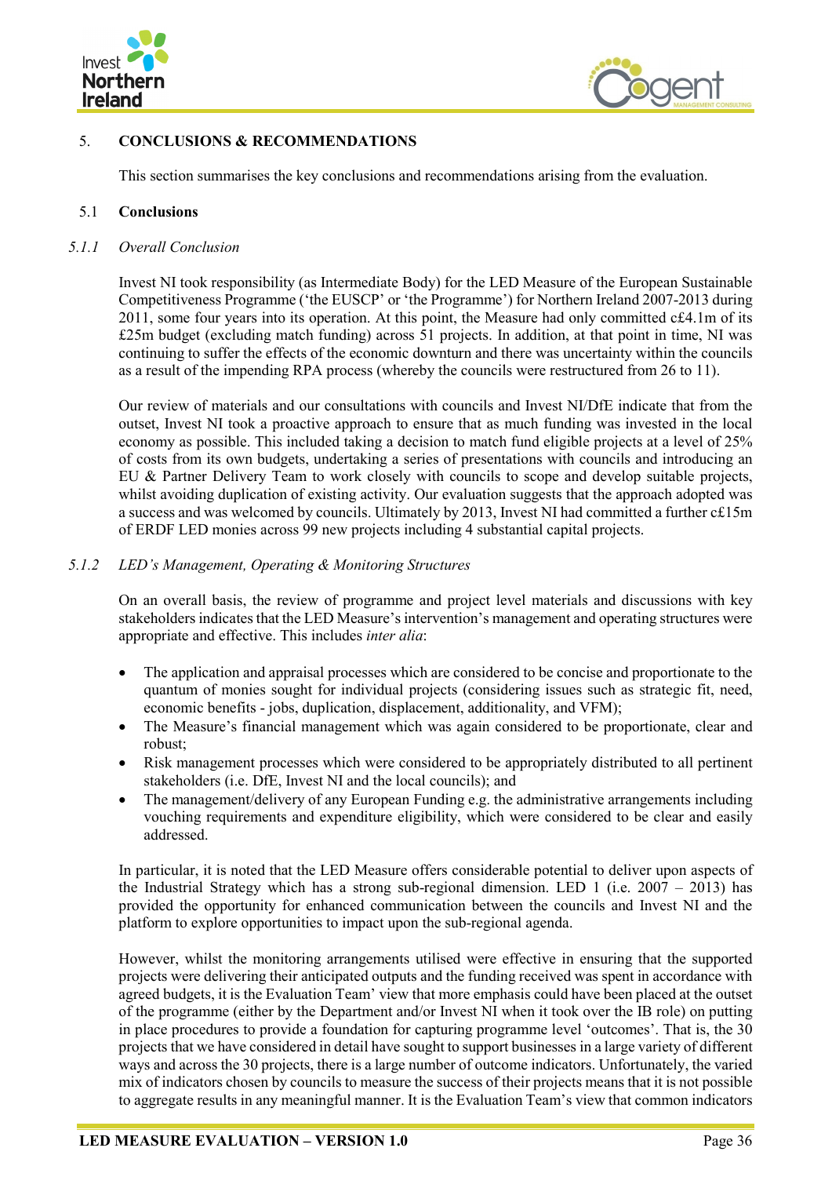



## <span id="page-53-0"></span>5. **CONCLUSIONS & RECOMMENDATIONS**

This section summarises the key conclusions and recommendations arising from the evaluation.

#### <span id="page-53-1"></span>5.1 **Conclusions**

#### *5.1.1 Overall Conclusion*

Invest NI took responsibility (as Intermediate Body) for the LED Measure of the European Sustainable Competitiveness Programme ('the EUSCP' or 'the Programme') for Northern Ireland 2007-2013 during 2011, some four years into its operation. At this point, the Measure had only committed c£4.1m of its £25m budget (excluding match funding) across 51 projects. In addition, at that point in time, NI was continuing to suffer the effects of the economic downturn and there was uncertainty within the councils as a result of the impending RPA process (whereby the councils were restructured from 26 to 11).

Our review of materials and our consultations with councils and Invest NI/DfE indicate that from the outset, Invest NI took a proactive approach to ensure that as much funding was invested in the local economy as possible. This included taking a decision to match fund eligible projects at a level of 25% of costs from its own budgets, undertaking a series of presentations with councils and introducing an EU & Partner Delivery Team to work closely with councils to scope and develop suitable projects, whilst avoiding duplication of existing activity. Our evaluation suggests that the approach adopted was a success and was welcomed by councils. Ultimately by 2013, Invest NI had committed a further c£15m of ERDF LED monies across 99 new projects including 4 substantial capital projects.

#### *5.1.2 LED's Management, Operating & Monitoring Structures*

On an overall basis, the review of programme and project level materials and discussions with key stakeholders indicates that the LED Measure's intervention's management and operating structures were appropriate and effective. This includes *inter alia*:

- The application and appraisal processes which are considered to be concise and proportionate to the quantum of monies sought for individual projects (considering issues such as strategic fit, need, economic benefits - jobs, duplication, displacement, additionality, and VFM);
- The Measure's financial management which was again considered to be proportionate, clear and robust;
- Risk management processes which were considered to be appropriately distributed to all pertinent stakeholders (i.e. DfE, Invest NI and the local councils); and
- The management/delivery of any European Funding e.g. the administrative arrangements including vouching requirements and expenditure eligibility, which were considered to be clear and easily addressed.

In particular, it is noted that the LED Measure offers considerable potential to deliver upon aspects of the Industrial Strategy which has a strong sub-regional dimension. LED 1 (i.e.  $2007 - 2013$ ) has provided the opportunity for enhanced communication between the councils and Invest NI and the platform to explore opportunities to impact upon the sub-regional agenda.

However, whilst the monitoring arrangements utilised were effective in ensuring that the supported projects were delivering their anticipated outputs and the funding received was spent in accordance with agreed budgets, it is the Evaluation Team' view that more emphasis could have been placed at the outset of the programme (either by the Department and/or Invest NI when it took over the IB role) on putting in place procedures to provide a foundation for capturing programme level 'outcomes'. That is, the 30 projects that we have considered in detail have sought to support businesses in a large variety of different ways and across the 30 projects, there is a large number of outcome indicators. Unfortunately, the varied mix of indicators chosen by councils to measure the success of their projects means that it is not possible to aggregate results in any meaningful manner. It is the Evaluation Team's view that common indicators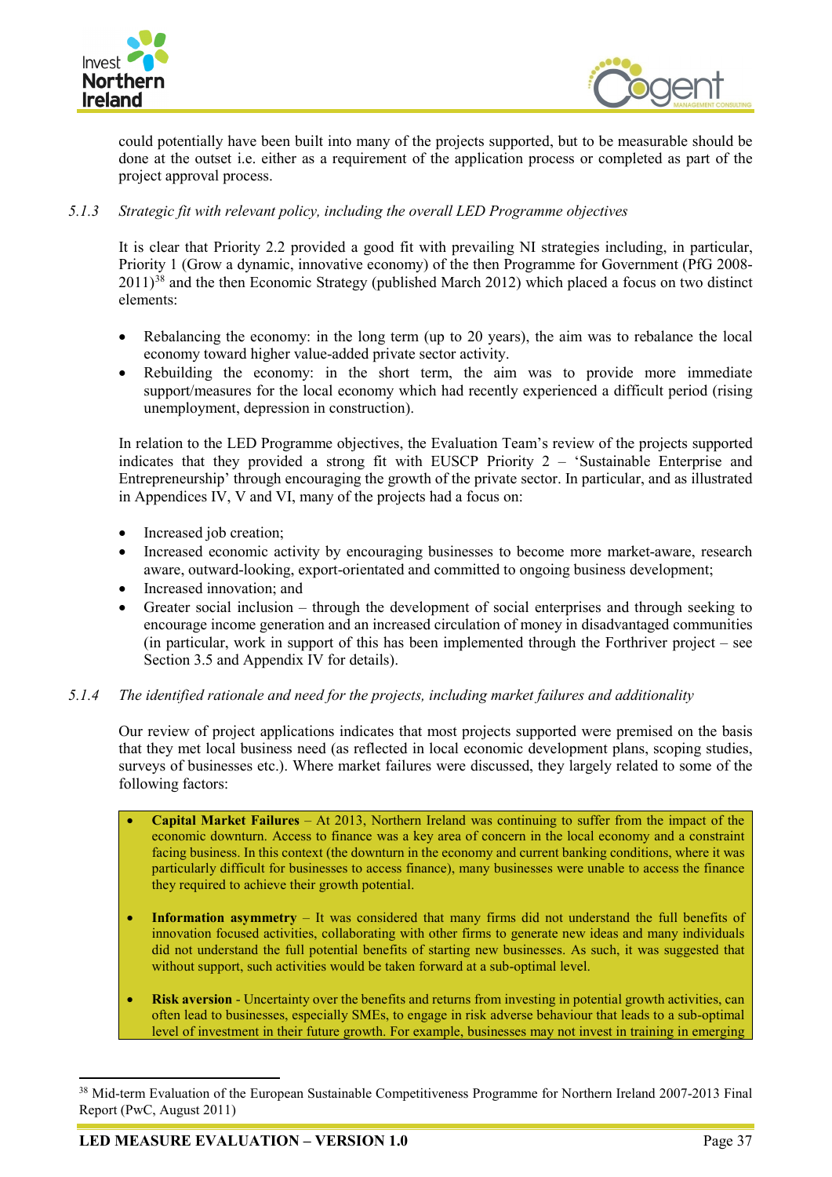



could potentially have been built into many of the projects supported, but to be measurable should be done at the outset i.e. either as a requirement of the application process or completed as part of the project approval process.

## *5.1.3 Strategic fit with relevant policy, including the overall LED Programme objectives*

It is clear that Priority 2.2 provided a good fit with prevailing NI strategies including, in particular, Priority 1 (Grow a dynamic, innovative economy) of the then Programme for Government (PfG 2008- 2011)<sup>[38](#page-54-0)</sup> and the then Economic Strategy (published March 2012) which placed a focus on two distinct elements:

- Rebalancing the economy: in the long term (up to 20 years), the aim was to rebalance the local economy toward higher value-added private sector activity.
- Rebuilding the economy: in the short term, the aim was to provide more immediate support/measures for the local economy which had recently experienced a difficult period (rising unemployment, depression in construction).

In relation to the LED Programme objectives, the Evaluation Team's review of the projects supported indicates that they provided a strong fit with EUSCP Priority 2 – 'Sustainable Enterprise and Entrepreneurship' through encouraging the growth of the private sector. In particular, and as illustrated in Appendices IV, V and VI, many of the projects had a focus on:

- Increased job creation;
- Increased economic activity by encouraging businesses to become more market-aware, research aware, outward-looking, export-orientated and committed to ongoing business development;
- Increased innovation; and
- Greater social inclusion through the development of social enterprises and through seeking to encourage income generation and an increased circulation of money in disadvantaged communities (in particular, work in support of this has been implemented through the Forthriver project – see Section 3.5 and Appendix IV for details).

## *5.1.4 The identified rationale and need for the projects, including market failures and additionality*

Our review of project applications indicates that most projects supported were premised on the basis that they met local business need (as reflected in local economic development plans, scoping studies, surveys of businesses etc.). Where market failures were discussed, they largely related to some of the following factors:

- **Capital Market Failures** At 2013, Northern Ireland was continuing to suffer from the impact of the economic downturn. Access to finance was a key area of concern in the local economy and a constraint facing business. In this context (the downturn in the economy and current banking conditions, where it was particularly difficult for businesses to access finance), many businesses were unable to access the finance they required to achieve their growth potential.
- **Information asymmetry** It was considered that many firms did not understand the full benefits of innovation focused activities, collaborating with other firms to generate new ideas and many individuals did not understand the full potential benefits of starting new businesses. As such, it was suggested that without support, such activities would be taken forward at a sub-optimal level.
- **Risk aversion** Uncertainty over the benefits and returns from investing in potential growth activities, can often lead to businesses, especially SMEs, to engage in risk adverse behaviour that leads to a sub-optimal level of investment in their future growth. For example, businesses may not invest in training in emerging

<span id="page-54-0"></span><sup>&</sup>lt;sup>38</sup> Mid-term Evaluation of the European Sustainable Competitiveness Programme for Northern Ireland 2007-2013 Final Report (PwC, August 2011)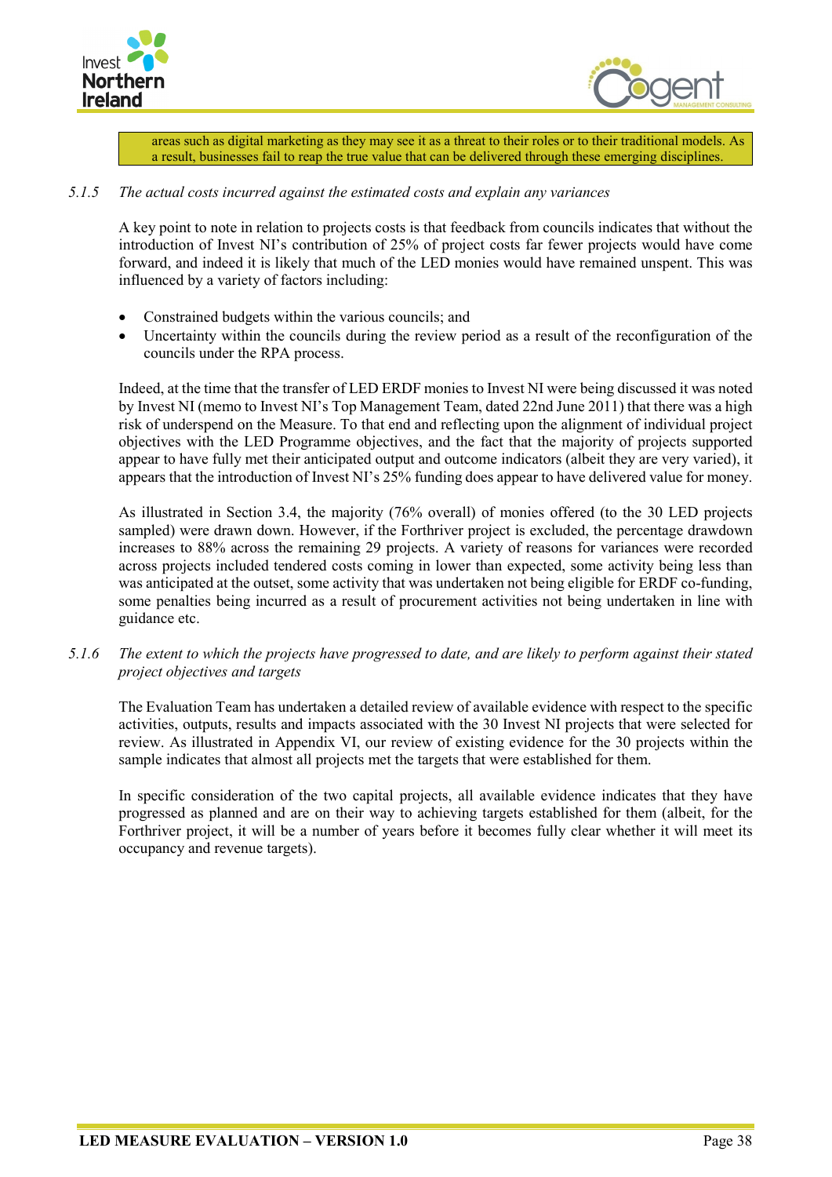



areas such as digital marketing as they may see it as a threat to their roles or to their traditional models. As a result, businesses fail to reap the true value that can be delivered through these emerging disciplines.

## *5.1.5 The actual costs incurred against the estimated costs and explain any variances*

A key point to note in relation to projects costs is that feedback from councils indicates that without the introduction of Invest NI's contribution of 25% of project costs far fewer projects would have come forward, and indeed it is likely that much of the LED monies would have remained unspent. This was influenced by a variety of factors including:

- Constrained budgets within the various councils; and
- Uncertainty within the councils during the review period as a result of the reconfiguration of the councils under the RPA process.

Indeed, at the time that the transfer of LED ERDF monies to Invest NI were being discussed it was noted by Invest NI (memo to Invest NI's Top Management Team, dated 22nd June 2011) that there was a high risk of underspend on the Measure. To that end and reflecting upon the alignment of individual project objectives with the LED Programme objectives, and the fact that the majority of projects supported appear to have fully met their anticipated output and outcome indicators (albeit they are very varied), it appears that the introduction of Invest NI's 25% funding does appear to have delivered value for money.

As illustrated in Section 3.4, the majority (76% overall) of monies offered (to the 30 LED projects sampled) were drawn down. However, if the Forthriver project is excluded, the percentage drawdown increases to 88% across the remaining 29 projects. A variety of reasons for variances were recorded across projects included tendered costs coming in lower than expected, some activity being less than was anticipated at the outset, some activity that was undertaken not being eligible for ERDF co-funding, some penalties being incurred as a result of procurement activities not being undertaken in line with guidance etc.

*5.1.6 The extent to which the projects have progressed to date, and are likely to perform against their stated project objectives and targets*

The Evaluation Team has undertaken a detailed review of available evidence with respect to the specific activities, outputs, results and impacts associated with the 30 Invest NI projects that were selected for review. As illustrated in Appendix VI, our review of existing evidence for the 30 projects within the sample indicates that almost all projects met the targets that were established for them.

In specific consideration of the two capital projects, all available evidence indicates that they have progressed as planned and are on their way to achieving targets established for them (albeit, for the Forthriver project, it will be a number of years before it becomes fully clear whether it will meet its occupancy and revenue targets).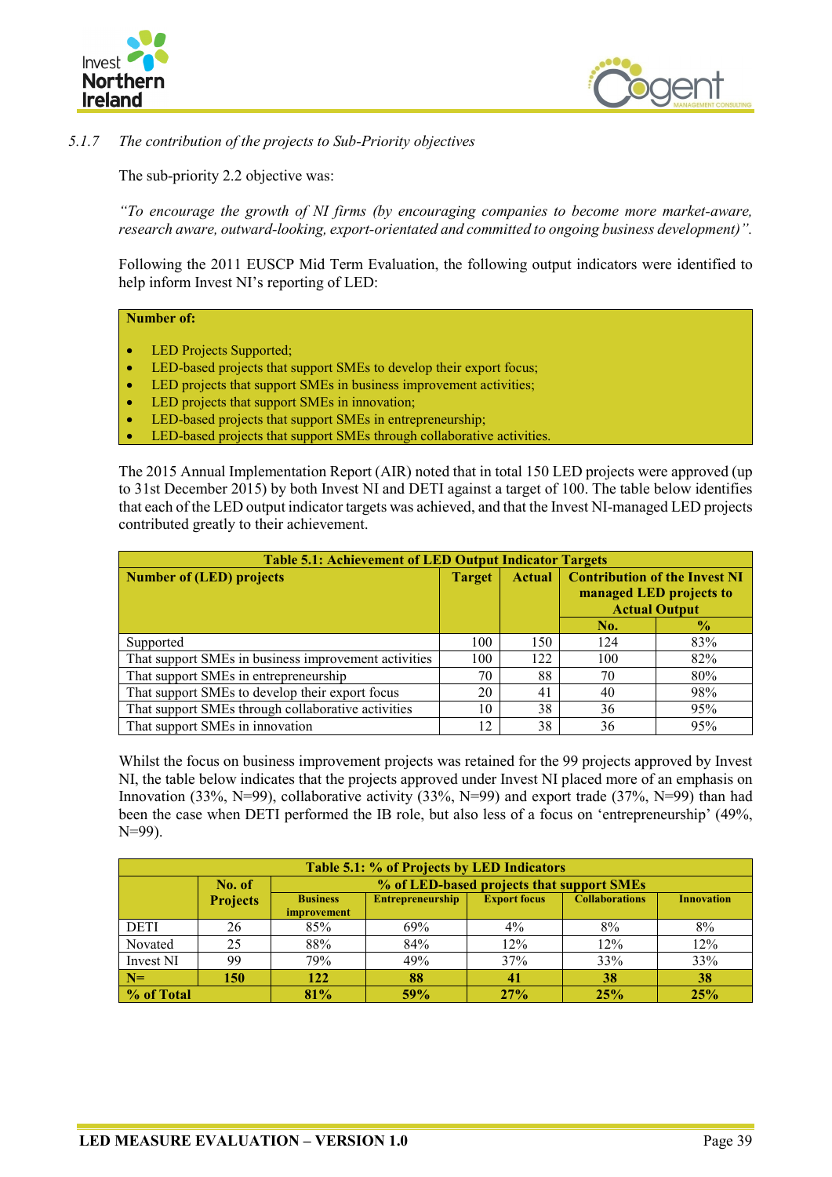



*5.1.7 The contribution of the projects to Sub-Priority objectives*

The sub-priority 2.2 objective was:

*"To encourage the growth of NI firms (by encouraging companies to become more market-aware, research aware, outward-looking, export-orientated and committed to ongoing business development)".*

Following the 2011 EUSCP Mid Term Evaluation, the following output indicators were identified to help inform Invest NI's reporting of LED:

#### **Number of:**

- LED Projects Supported;
- LED-based projects that support SMEs to develop their export focus;
- LED projects that support SMEs in business improvement activities;
- LED projects that support SMEs in innovation;
- LED-based projects that support SMEs in entrepreneurship;
- LED-based projects that support SMEs through collaborative activities.

The 2015 Annual Implementation Report (AIR) noted that in total 150 LED projects were approved (up to 31st December 2015) by both Invest NI and DETI against a target of 100. The table below identifies that each of the LED output indicator targets was achieved, and that the Invest NI-managed LED projects contributed greatly to their achievement.

| <b>Table 5.1: Achievement of LED Output Indicator Targets</b> |               |               |                                                                                         |               |  |  |  |  |  |  |
|---------------------------------------------------------------|---------------|---------------|-----------------------------------------------------------------------------------------|---------------|--|--|--|--|--|--|
| <b>Number of (LED) projects</b>                               | <b>Target</b> | <b>Actual</b> | <b>Contribution of the Invest NI</b><br>managed LED projects to<br><b>Actual Output</b> |               |  |  |  |  |  |  |
|                                                               |               |               | No.                                                                                     | $\frac{1}{2}$ |  |  |  |  |  |  |
| Supported                                                     | 100           | 150           | 124                                                                                     | 83%           |  |  |  |  |  |  |
| That support SMEs in business improvement activities          | 100           | 122           | 100                                                                                     | 82%           |  |  |  |  |  |  |
| That support SMEs in entrepreneurship                         | 70            | 88            | 70                                                                                      | 80%           |  |  |  |  |  |  |
| That support SMEs to develop their export focus               | 20            | 41            | 40                                                                                      | 98%           |  |  |  |  |  |  |
| That support SMEs through collaborative activities            | 10            | 38            | 36                                                                                      | 95%           |  |  |  |  |  |  |
| That support SMEs in innovation                               | 12            | 38            | 36                                                                                      | 95%           |  |  |  |  |  |  |

Whilst the focus on business improvement projects was retained for the 99 projects approved by Invest NI, the table below indicates that the projects approved under Invest NI placed more of an emphasis on Innovation (33%, N=99), collaborative activity (33%, N=99) and export trade (37%, N=99) than had been the case when DETI performed the IB role, but also less of a focus on 'entrepreneurship' (49%, N=99).

|                      | Table 5.1: % of Projects by LED Indicators |                 |                                           |                     |                       |                   |  |  |  |  |  |  |
|----------------------|--------------------------------------------|-----------------|-------------------------------------------|---------------------|-----------------------|-------------------|--|--|--|--|--|--|
|                      | No. of                                     |                 | % of LED-based projects that support SMEs |                     |                       |                   |  |  |  |  |  |  |
|                      | <b>Projects</b>                            | <b>Business</b> | <b>Entrepreneurship</b>                   | <b>Export focus</b> | <b>Collaborations</b> | <b>Innovation</b> |  |  |  |  |  |  |
|                      |                                            | improvement     |                                           |                     |                       |                   |  |  |  |  |  |  |
| <b>DETI</b>          | 26                                         | 85%             | 69%                                       | $4\%$               | 8%                    | 8%                |  |  |  |  |  |  |
| Novated              | 25                                         | 88%             | 84%                                       | 12%                 | 12%                   | 12%               |  |  |  |  |  |  |
| Invest <sub>NI</sub> | 99                                         | 79%             | 49%                                       | 37%                 | 33%                   | 33%               |  |  |  |  |  |  |
| $N=$                 | 150                                        | 122             | 88                                        | 41                  | 38                    | 38                |  |  |  |  |  |  |
| % of Total           |                                            | 81%             | 59%                                       | 27%                 | 25%                   | 25%               |  |  |  |  |  |  |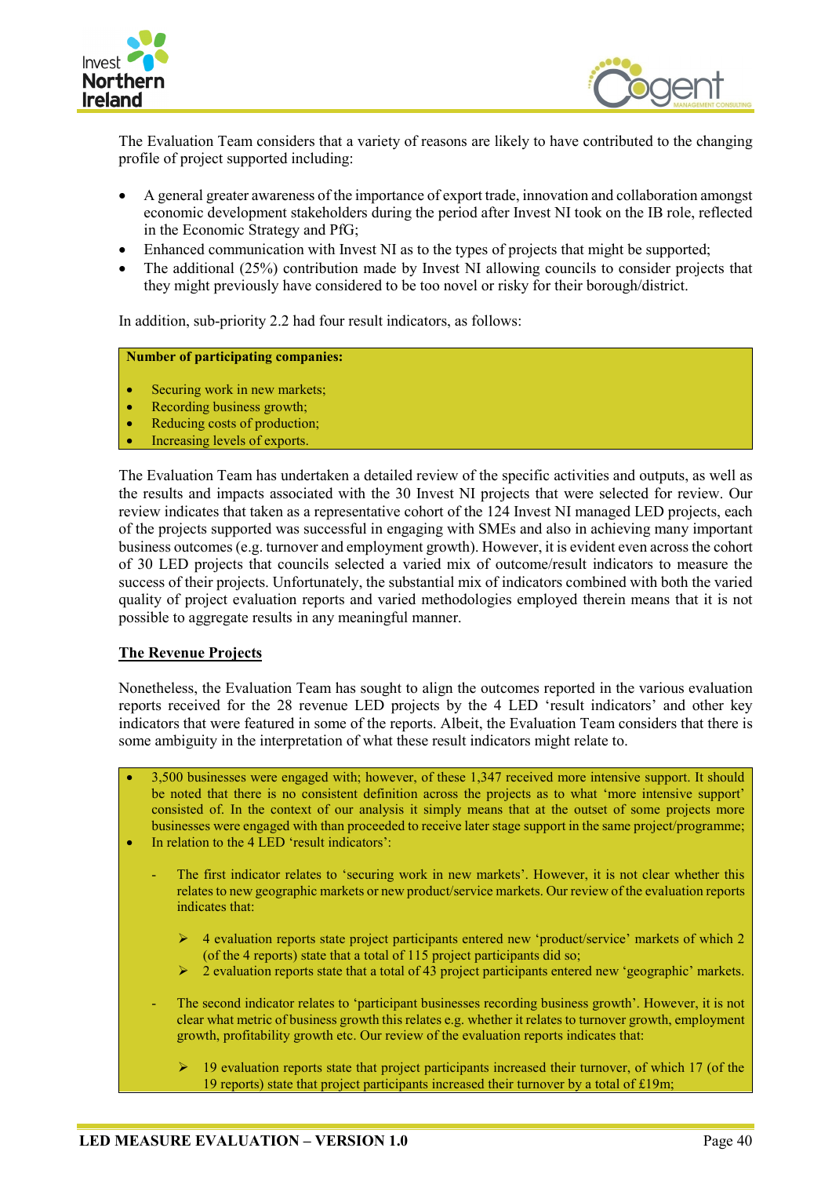



The Evaluation Team considers that a variety of reasons are likely to have contributed to the changing profile of project supported including:

- A general greater awareness of the importance of export trade, innovation and collaboration amongst economic development stakeholders during the period after Invest NI took on the IB role, reflected in the Economic Strategy and PfG;
- Enhanced communication with Invest NI as to the types of projects that might be supported;
- The additional (25%) contribution made by Invest NI allowing councils to consider projects that they might previously have considered to be too novel or risky for their borough/district.

In addition, sub-priority 2.2 had four result indicators, as follows:

#### **Number of participating companies:**

- Securing work in new markets;
- Recording business growth:
- Reducing costs of production:
- Increasing levels of exports.

The Evaluation Team has undertaken a detailed review of the specific activities and outputs, as well as the results and impacts associated with the 30 Invest NI projects that were selected for review. Our review indicates that taken as a representative cohort of the 124 Invest NI managed LED projects, each of the projects supported was successful in engaging with SMEs and also in achieving many important business outcomes (e.g. turnover and employment growth). However, it is evident even across the cohort of 30 LED projects that councils selected a varied mix of outcome/result indicators to measure the success of their projects. Unfortunately, the substantial mix of indicators combined with both the varied quality of project evaluation reports and varied methodologies employed therein means that it is not possible to aggregate results in any meaningful manner.

#### **The Revenue Projects**

Nonetheless, the Evaluation Team has sought to align the outcomes reported in the various evaluation reports received for the 28 revenue LED projects by the 4 LED 'result indicators' and other key indicators that were featured in some of the reports. Albeit, the Evaluation Team considers that there is some ambiguity in the interpretation of what these result indicators might relate to.

- 3,500 businesses were engaged with; however, of these 1,347 received more intensive support. It should be noted that there is no consistent definition across the projects as to what 'more intensive support' consisted of. In the context of our analysis it simply means that at the outset of some projects more businesses were engaged with than proceeded to receive later stage support in the same project/programme; • In relation to the 4 LED 'result indicators':
- - The first indicator relates to 'securing work in new markets'. However, it is not clear whether this relates to new geographic markets or new product/service markets. Our review of the evaluation reports indicates that:
		- $\triangleright$  4 evaluation reports state project participants entered new 'product/service' markets of which 2 (of the 4 reports) state that a total of 115 project participants did so;
		- 2 evaluation reports state that a total of 43 project participants entered new 'geographic' markets.
	- The second indicator relates to 'participant businesses recording business growth'. However, it is not clear what metric of business growth this relates e.g. whether it relates to turnover growth, employment growth, profitability growth etc. Our review of the evaluation reports indicates that:
		- 19 evaluation reports state that project participants increased their turnover, of which 17 (of the 19 reports) state that project participants increased their turnover by a total of £19m;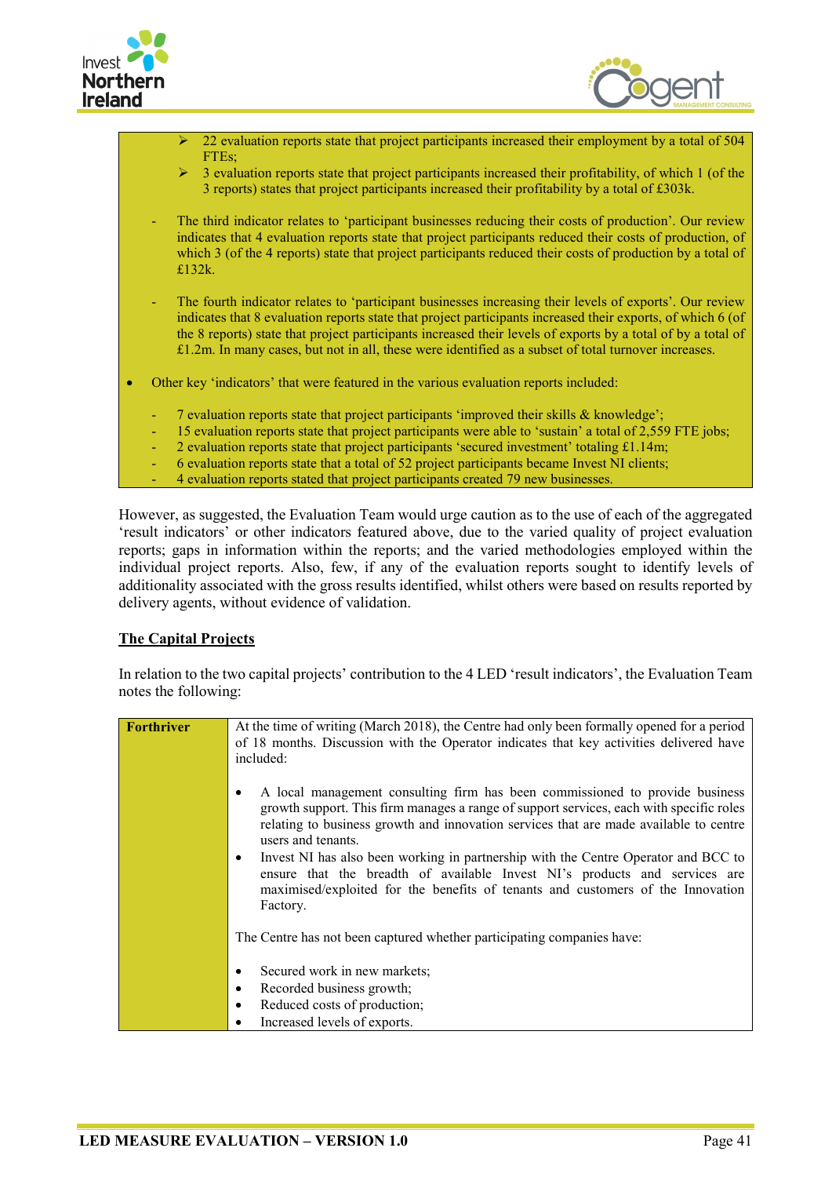



- 22 evaluation reports state that project participants increased their employment by a total of 504  $FTEs:$
- 3 evaluation reports state that project participants increased their profitability, of which 1 (of the 3 reports) states that project participants increased their profitability by a total of £303k.
- The third indicator relates to 'participant businesses reducing their costs of production'. Our review indicates that 4 evaluation reports state that project participants reduced their costs of production, of which 3 (of the 4 reports) state that project participants reduced their costs of production by a total of £132k.
- The fourth indicator relates to 'participant businesses increasing their levels of exports'. Our review indicates that 8 evaluation reports state that project participants increased their exports, of which 6 (of the 8 reports) state that project participants increased their levels of exports by a total of by a total of £1.2m. In many cases, but not in all, these were identified as a subset of total turnover increases.
- Other key 'indicators' that were featured in the various evaluation reports included:
	- 7 evaluation reports state that project participants 'improved their skills & knowledge';
	- 15 evaluation reports state that project participants were able to 'sustain' a total of 2,559 FTE jobs;
	- 2 evaluation reports state that project participants 'secured investment' totaling  $£1.14m$ ;
	- 6 evaluation reports state that a total of 52 project participants became Invest NI clients;
	- 4 evaluation reports stated that project participants created 79 new businesses.

However, as suggested, the Evaluation Team would urge caution as to the use of each of the aggregated 'result indicators' or other indicators featured above, due to the varied quality of project evaluation reports; gaps in information within the reports; and the varied methodologies employed within the individual project reports. Also, few, if any of the evaluation reports sought to identify levels of additionality associated with the gross results identified, whilst others were based on results reported by delivery agents, without evidence of validation.

#### **The Capital Projects**

In relation to the two capital projects' contribution to the 4 LED 'result indicators', the Evaluation Team notes the following:

| Forthriver | At the time of writing (March 2018), the Centre had only been formally opened for a period<br>of 18 months. Discussion with the Operator indicates that key activities delivered have<br>included:                                                                                     |
|------------|----------------------------------------------------------------------------------------------------------------------------------------------------------------------------------------------------------------------------------------------------------------------------------------|
|            | A local management consulting firm has been commissioned to provide business<br>growth support. This firm manages a range of support services, each with specific roles<br>relating to business growth and innovation services that are made available to centre<br>users and tenants. |
|            | Invest NI has also been working in partnership with the Centre Operator and BCC to<br>ensure that the breadth of available Invest NI's products and services are<br>maximised/exploited for the benefits of tenants and customers of the Innovation<br>Factory.                        |
|            | The Centre has not been captured whether participating companies have:                                                                                                                                                                                                                 |
|            | Secured work in new markets;<br>٠                                                                                                                                                                                                                                                      |
|            | Recorded business growth;<br>٠                                                                                                                                                                                                                                                         |
|            | Reduced costs of production;<br>٠                                                                                                                                                                                                                                                      |
|            | Increased levels of exports.                                                                                                                                                                                                                                                           |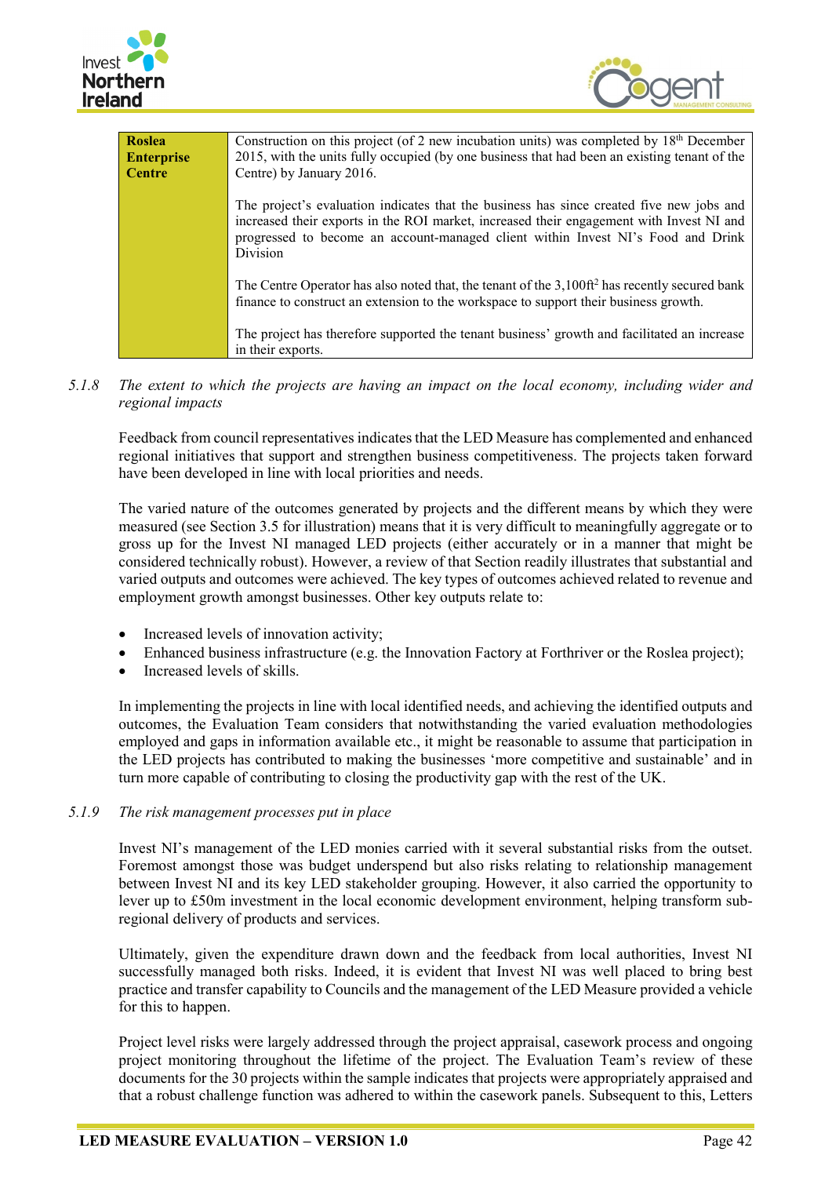



| <b>Roslea</b><br><b>Enterprise</b> | Construction on this project (of 2 new incubation units) was completed by $18th$ December<br>2015, with the units fully occupied (by one business that had been an existing tenant of the                                                                                                   |
|------------------------------------|---------------------------------------------------------------------------------------------------------------------------------------------------------------------------------------------------------------------------------------------------------------------------------------------|
| <b>Centre</b>                      | Centre) by January 2016.                                                                                                                                                                                                                                                                    |
|                                    | The project's evaluation indicates that the business has since created five new jobs and<br>increased their exports in the ROI market, increased their engagement with Invest NI and<br>progressed to become an account-managed client within Invest NI's Food and Drink<br><b>Division</b> |
|                                    | The Centre Operator has also noted that, the tenant of the 3,100ft <sup>2</sup> has recently secured bank<br>finance to construct an extension to the workspace to support their business growth.                                                                                           |
|                                    | The project has therefore supported the tenant business' growth and facilitated an increase<br>in their exports.                                                                                                                                                                            |

*5.1.8 The extent to which the projects are having an impact on the local economy, including wider and regional impacts*

Feedback from council representatives indicates that the LED Measure has complemented and enhanced regional initiatives that support and strengthen business competitiveness. The projects taken forward have been developed in line with local priorities and needs.

The varied nature of the outcomes generated by projects and the different means by which they were measured (see Section 3.5 for illustration) means that it is very difficult to meaningfully aggregate or to gross up for the Invest NI managed LED projects (either accurately or in a manner that might be considered technically robust). However, a review of that Section readily illustrates that substantial and varied outputs and outcomes were achieved. The key types of outcomes achieved related to revenue and employment growth amongst businesses. Other key outputs relate to:

- Increased levels of innovation activity;
- Enhanced business infrastructure (e.g. the Innovation Factory at Forthriver or the Roslea project);
- Increased levels of skills.

In implementing the projects in line with local identified needs, and achieving the identified outputs and outcomes, the Evaluation Team considers that notwithstanding the varied evaluation methodologies employed and gaps in information available etc., it might be reasonable to assume that participation in the LED projects has contributed to making the businesses 'more competitive and sustainable' and in turn more capable of contributing to closing the productivity gap with the rest of the UK.

#### *5.1.9 The risk management processes put in place*

Invest NI's management of the LED monies carried with it several substantial risks from the outset. Foremost amongst those was budget underspend but also risks relating to relationship management between Invest NI and its key LED stakeholder grouping. However, it also carried the opportunity to lever up to £50m investment in the local economic development environment, helping transform subregional delivery of products and services.

Ultimately, given the expenditure drawn down and the feedback from local authorities, Invest NI successfully managed both risks. Indeed, it is evident that Invest NI was well placed to bring best practice and transfer capability to Councils and the management of the LED Measure provided a vehicle for this to happen.

Project level risks were largely addressed through the project appraisal, casework process and ongoing project monitoring throughout the lifetime of the project. The Evaluation Team's review of these documents for the 30 projects within the sample indicates that projects were appropriately appraised and that a robust challenge function was adhered to within the casework panels. Subsequent to this, Letters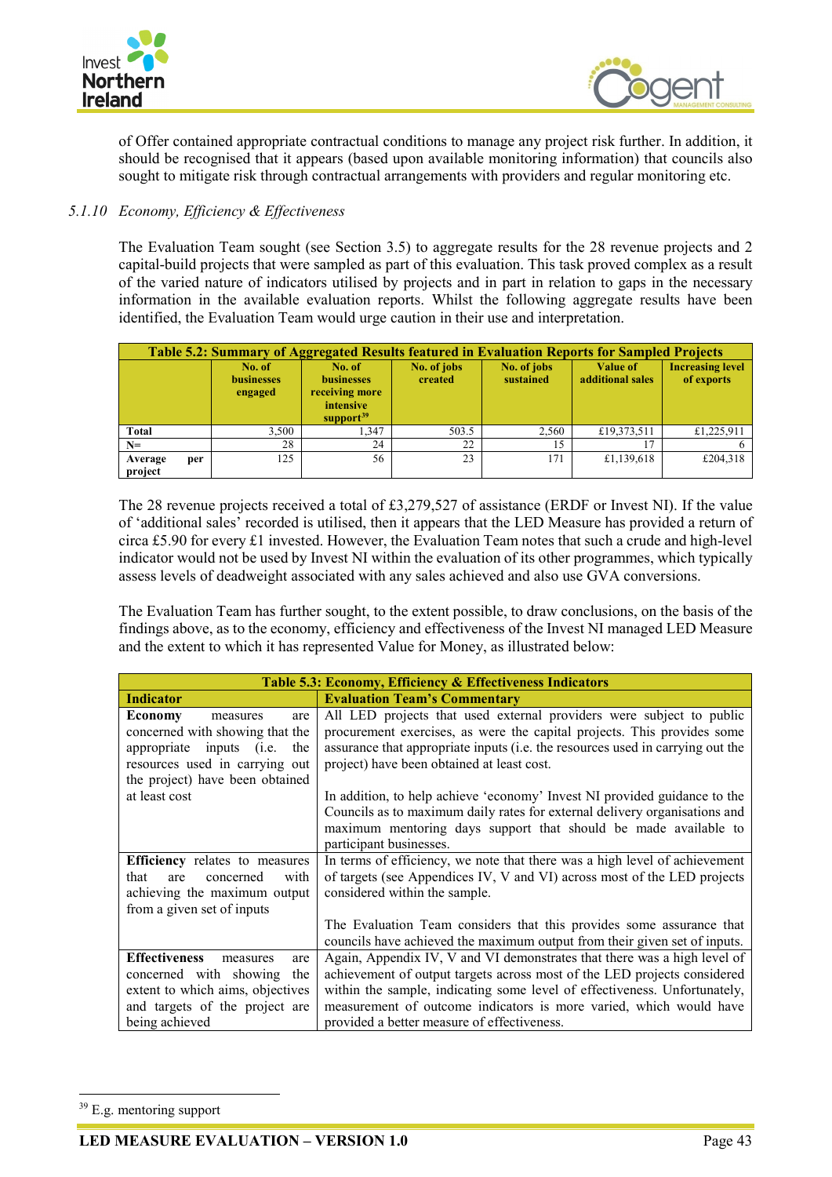



of Offer contained appropriate contractual conditions to manage any project risk further. In addition, it should be recognised that it appears (based upon available monitoring information) that councils also sought to mitigate risk through contractual arrangements with providers and regular monitoring etc.

## *5.1.10 Economy, Efficiency & Effectiveness*

The Evaluation Team sought (see Section 3.5) to aggregate results for the 28 revenue projects and 2 capital-build projects that were sampled as part of this evaluation. This task proved complex as a result of the varied nature of indicators utilised by projects and in part in relation to gaps in the necessary information in the available evaluation reports. Whilst the following aggregate results have been identified, the Evaluation Team would urge caution in their use and interpretation.

|                    |     |                                        | Table 5.2: Summary of Aggregated Results featured in Evaluation Reports for Sampled Projects |                        |                          |                                     |                                       |
|--------------------|-----|----------------------------------------|----------------------------------------------------------------------------------------------|------------------------|--------------------------|-------------------------------------|---------------------------------------|
|                    |     | No. of<br><b>businesses</b><br>engaged | No. of<br><b>businesses</b><br>receiving more<br>intensive<br>support <sup>39</sup>          | No. of jobs<br>created | No. of jobs<br>sustained | <b>Value of</b><br>additional sales | <b>Increasing level</b><br>of exports |
| <b>Total</b>       |     | 3.500                                  | 1.347                                                                                        | 503.5                  | 2,560                    | £19,373,511                         | £1,225,911                            |
| $N=$               |     | 28                                     | 24                                                                                           | 22                     | 15                       |                                     |                                       |
| Average<br>project | per | 125                                    | 56                                                                                           | 23                     | 171                      | £1,139,618                          | £204,318                              |

The 28 revenue projects received a total of £3,279,527 of assistance (ERDF or Invest NI). If the value of 'additional sales' recorded is utilised, then it appears that the LED Measure has provided a return of circa £5.90 for every £1 invested. However, the Evaluation Team notes that such a crude and high-level indicator would not be used by Invest NI within the evaluation of its other programmes, which typically assess levels of deadweight associated with any sales achieved and also use GVA conversions.

The Evaluation Team has further sought, to the extent possible, to draw conclusions, on the basis of the findings above, as to the economy, efficiency and effectiveness of the Invest NI managed LED Measure and the extent to which it has represented Value for Money, as illustrated below:

| Table 5.3: Economy, Efficiency & Effectiveness Indicators                                                                                                                                                                                                                                                                                              |  |
|--------------------------------------------------------------------------------------------------------------------------------------------------------------------------------------------------------------------------------------------------------------------------------------------------------------------------------------------------------|--|
| <b>Evaluation Team's Commentary</b>                                                                                                                                                                                                                                                                                                                    |  |
| All LED projects that used external providers were subject to public<br>procurement exercises, as were the capital projects. This provides some<br>assurance that appropriate inputs (i.e. the resources used in carrying out the<br>project) have been obtained at least cost.                                                                        |  |
| In addition, to help achieve 'economy' Invest NI provided guidance to the<br>Councils as to maximum daily rates for external delivery organisations and<br>maximum mentoring days support that should be made available to<br>participant businesses.                                                                                                  |  |
| In terms of efficiency, we note that there was a high level of achievement<br>of targets (see Appendices IV, V and VI) across most of the LED projects<br>considered within the sample.<br>The Evaluation Team considers that this provides some assurance that                                                                                        |  |
| councils have achieved the maximum output from their given set of inputs.                                                                                                                                                                                                                                                                              |  |
| Again, Appendix IV, V and VI demonstrates that there was a high level of<br>achievement of output targets across most of the LED projects considered<br>within the sample, indicating some level of effectiveness. Unfortunately,<br>measurement of outcome indicators is more varied, which would have<br>provided a better measure of effectiveness. |  |
|                                                                                                                                                                                                                                                                                                                                                        |  |

<span id="page-60-0"></span><sup>&</sup>lt;sup>39</sup> E.g. mentoring support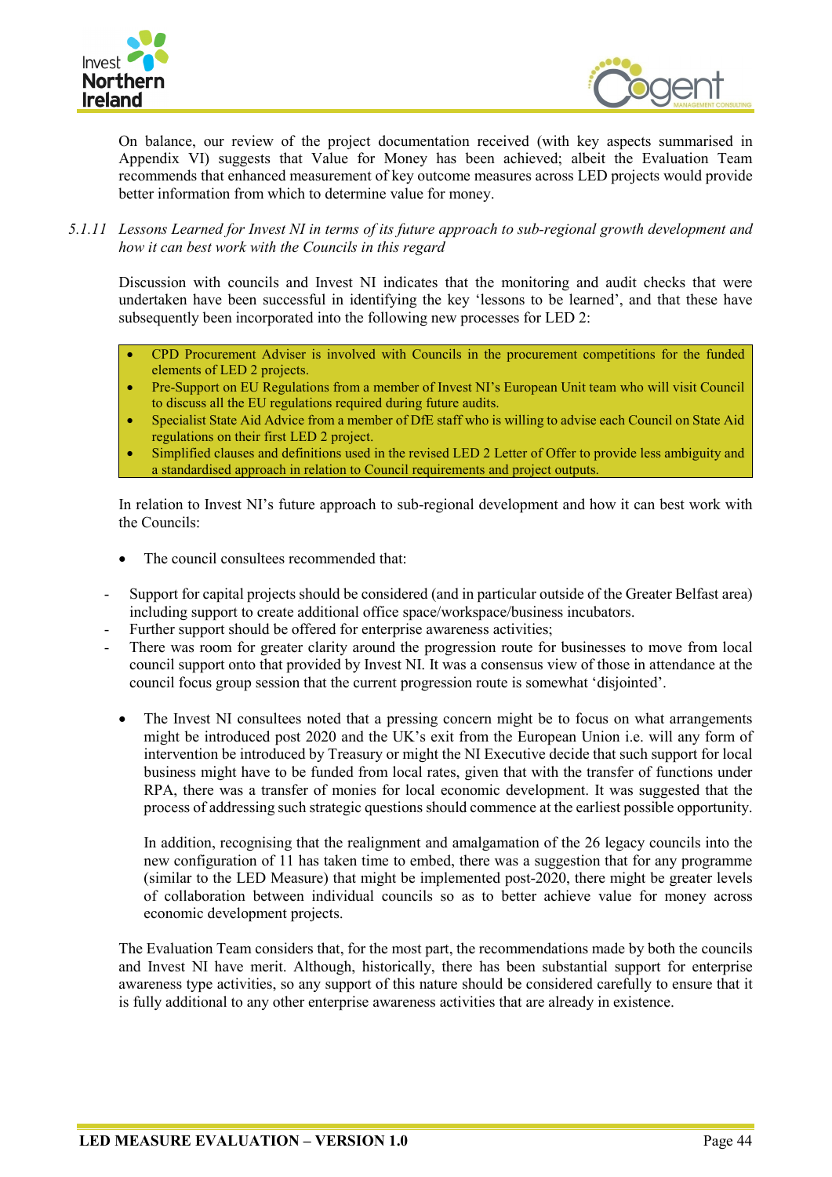



On balance, our review of the project documentation received (with key aspects summarised in Appendix VI) suggests that Value for Money has been achieved; albeit the Evaluation Team recommends that enhanced measurement of key outcome measures across LED projects would provide better information from which to determine value for money.

*5.1.11 Lessons Learned for Invest NI in terms of its future approach to sub-regional growth development and how it can best work with the Councils in this regard*

Discussion with councils and Invest NI indicates that the monitoring and audit checks that were undertaken have been successful in identifying the key 'lessons to be learned', and that these have subsequently been incorporated into the following new processes for LED 2:

- CPD Procurement Adviser is involved with Councils in the procurement competitions for the funded elements of LED 2 projects.
- Pre-Support on EU Regulations from a member of Invest NI's European Unit team who will visit Council to discuss all the EU regulations required during future audits.
- Specialist State Aid Advice from a member of DfE staff who is willing to advise each Council on State Aid regulations on their first LED 2 project.
- Simplified clauses and definitions used in the revised LED 2 Letter of Offer to provide less ambiguity and a standardised approach in relation to Council requirements and project outputs.

In relation to Invest NI's future approach to sub-regional development and how it can best work with the Councils:

- The council consultees recommended that:
- Support for capital projects should be considered (and in particular outside of the Greater Belfast area) including support to create additional office space/workspace/business incubators.
- Further support should be offered for enterprise awareness activities;
- There was room for greater clarity around the progression route for businesses to move from local council support onto that provided by Invest NI. It was a consensus view of those in attendance at the council focus group session that the current progression route is somewhat 'disjointed'.
	- The Invest NI consultees noted that a pressing concern might be to focus on what arrangements might be introduced post 2020 and the UK's exit from the European Union i.e. will any form of intervention be introduced by Treasury or might the NI Executive decide that such support for local business might have to be funded from local rates, given that with the transfer of functions under RPA, there was a transfer of monies for local economic development. It was suggested that the process of addressing such strategic questions should commence at the earliest possible opportunity.

In addition, recognising that the realignment and amalgamation of the 26 legacy councils into the new configuration of 11 has taken time to embed, there was a suggestion that for any programme (similar to the LED Measure) that might be implemented post-2020, there might be greater levels of collaboration between individual councils so as to better achieve value for money across economic development projects.

The Evaluation Team considers that, for the most part, the recommendations made by both the councils and Invest NI have merit. Although, historically, there has been substantial support for enterprise awareness type activities, so any support of this nature should be considered carefully to ensure that it is fully additional to any other enterprise awareness activities that are already in existence.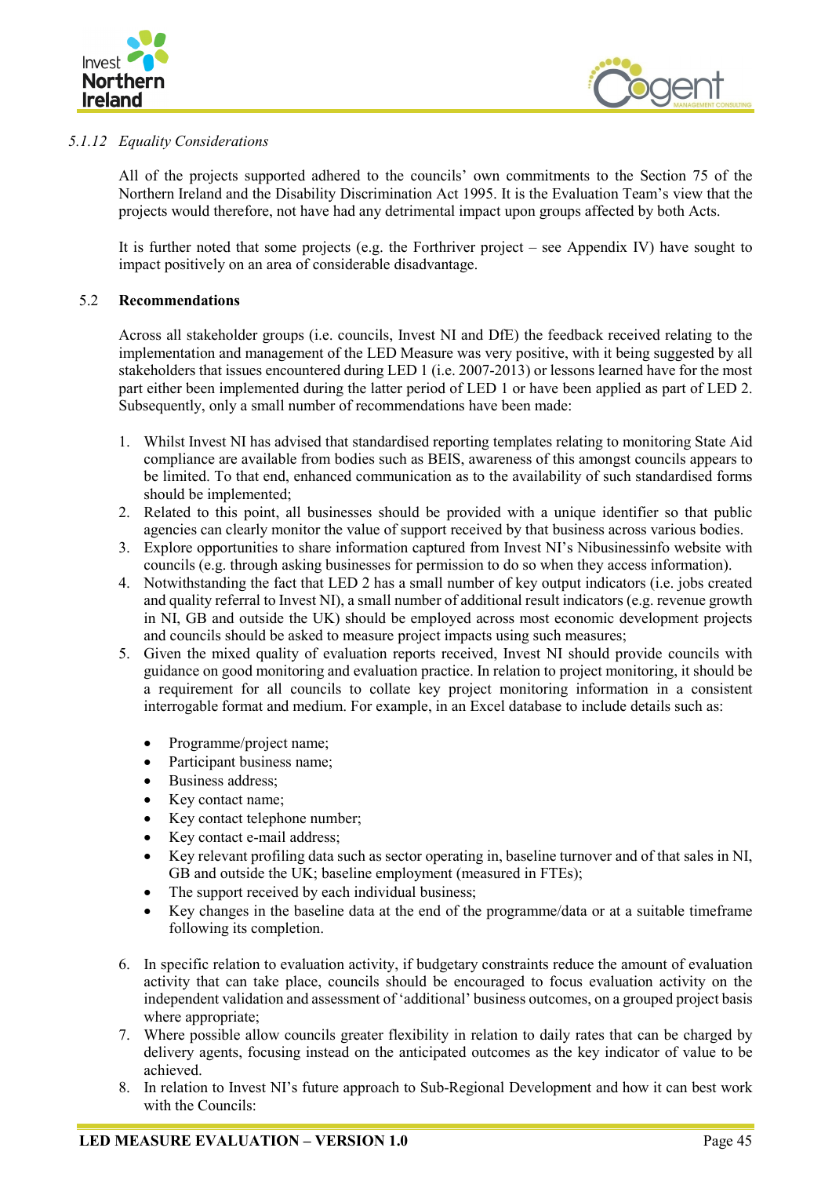



## *5.1.12 Equality Considerations*

All of the projects supported adhered to the councils' own commitments to the Section 75 of the Northern Ireland and the Disability Discrimination Act 1995. It is the Evaluation Team's view that the projects would therefore, not have had any detrimental impact upon groups affected by both Acts.

It is further noted that some projects (e.g. the Forthriver project – see Appendix IV) have sought to impact positively on an area of considerable disadvantage.

## <span id="page-62-0"></span>5.2 **Recommendations**

Across all stakeholder groups (i.e. councils, Invest NI and DfE) the feedback received relating to the implementation and management of the LED Measure was very positive, with it being suggested by all stakeholders that issues encountered during LED 1 (i.e. 2007-2013) or lessons learned have for the most part either been implemented during the latter period of LED 1 or have been applied as part of LED 2. Subsequently, only a small number of recommendations have been made:

- 1. Whilst Invest NI has advised that standardised reporting templates relating to monitoring State Aid compliance are available from bodies such as BEIS, awareness of this amongst councils appears to be limited. To that end, enhanced communication as to the availability of such standardised forms should be implemented;
- 2. Related to this point, all businesses should be provided with a unique identifier so that public agencies can clearly monitor the value of support received by that business across various bodies.
- 3. Explore opportunities to share information captured from Invest NI's Nibusinessinfo website with councils (e.g. through asking businesses for permission to do so when they access information).
- 4. Notwithstanding the fact that LED 2 has a small number of key output indicators (i.e. jobs created and quality referral to Invest NI), a small number of additional result indicators (e.g. revenue growth in NI, GB and outside the UK) should be employed across most economic development projects and councils should be asked to measure project impacts using such measures;
- 5. Given the mixed quality of evaluation reports received, Invest NI should provide councils with guidance on good monitoring and evaluation practice. In relation to project monitoring, it should be a requirement for all councils to collate key project monitoring information in a consistent interrogable format and medium. For example, in an Excel database to include details such as:
	- Programme/project name;
	- Participant business name;
	- Business address:
	- Key contact name;
	- Key contact telephone number;
	- Key contact e-mail address:
	- Key relevant profiling data such as sector operating in, baseline turnover and of that sales in NI, GB and outside the UK; baseline employment (measured in FTEs);
	- The support received by each individual business;
	- Key changes in the baseline data at the end of the programme/data or at a suitable timeframe following its completion.
- 6. In specific relation to evaluation activity, if budgetary constraints reduce the amount of evaluation activity that can take place, councils should be encouraged to focus evaluation activity on the independent validation and assessment of 'additional' business outcomes, on a grouped project basis where appropriate;
- 7. Where possible allow councils greater flexibility in relation to daily rates that can be charged by delivery agents, focusing instead on the anticipated outcomes as the key indicator of value to be achieved.
- 8. In relation to Invest NI's future approach to Sub-Regional Development and how it can best work with the Councils: